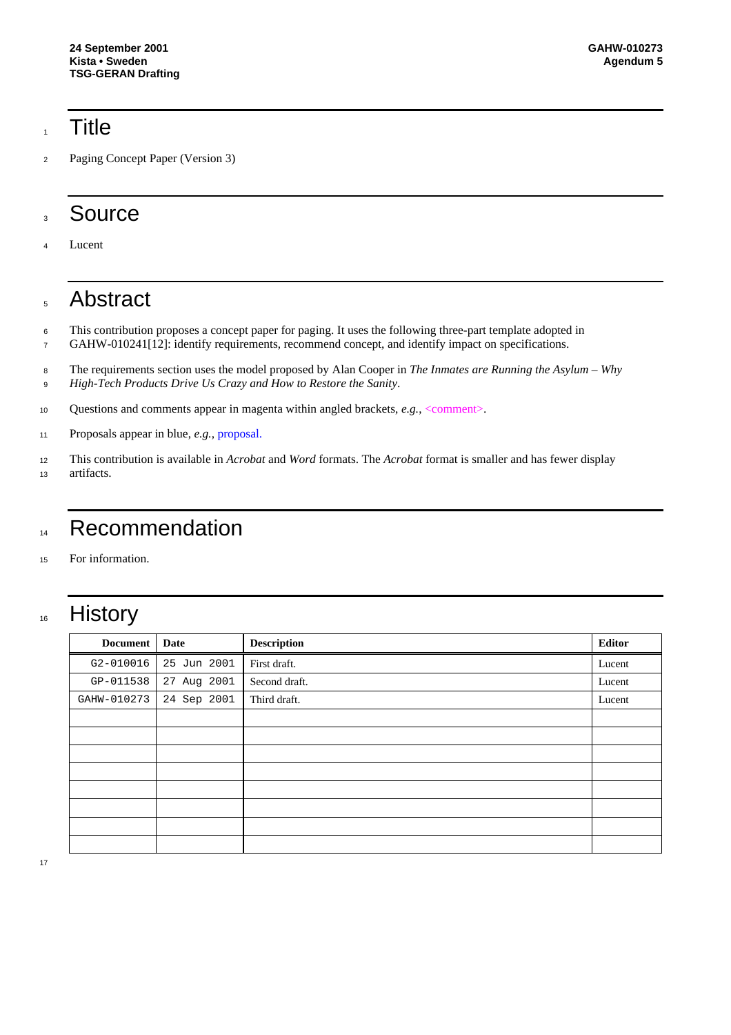### $1$  Title

<sup>2</sup> Paging Concept Paper (Version 3)

## <sup>3</sup> Source

<sup>4</sup> Lucent

## <sup>5</sup> Abstract

- <sup>6</sup> This contribution proposes a concept paper for paging. It uses the following three-part template adopted in
- <sup>7</sup> GAHW-010241[12]: identify requirements, recommend concept, and identify impact on specifications.

<sup>8</sup> The requirements section uses the model proposed by Alan Cooper in *The Inmates are Running the Asylum – Why* <sup>9</sup> *High-Tech Products Drive Us Crazy and How to Restore the Sanity*.

- 10 Questions and comments appear in magenta within angled brackets, *e.g.*, <comment>.
- <sup>11</sup> Proposals appear in blue, *e.g.*, proposal.
- <sup>12</sup> This contribution is available in *Acrobat* and *Word* formats. The *Acrobat* format is smaller and has fewer display <sup>13</sup> artifacts.

## <sup>14</sup> Recommendation

<sup>15</sup> For information.

## 16 History

| <b>Document</b> | Date        | <b>Description</b> | Editor |
|-----------------|-------------|--------------------|--------|
| G2-010016       | 25 Jun 2001 | First draft.       | Lucent |
| GP-011538       | 27 Aug 2001 | Second draft.      | Lucent |
| GAHW-010273     | 24 Sep 2001 | Third draft.       | Lucent |
|                 |             |                    |        |
|                 |             |                    |        |
|                 |             |                    |        |
|                 |             |                    |        |
|                 |             |                    |        |
|                 |             |                    |        |
|                 |             |                    |        |
|                 |             |                    |        |

17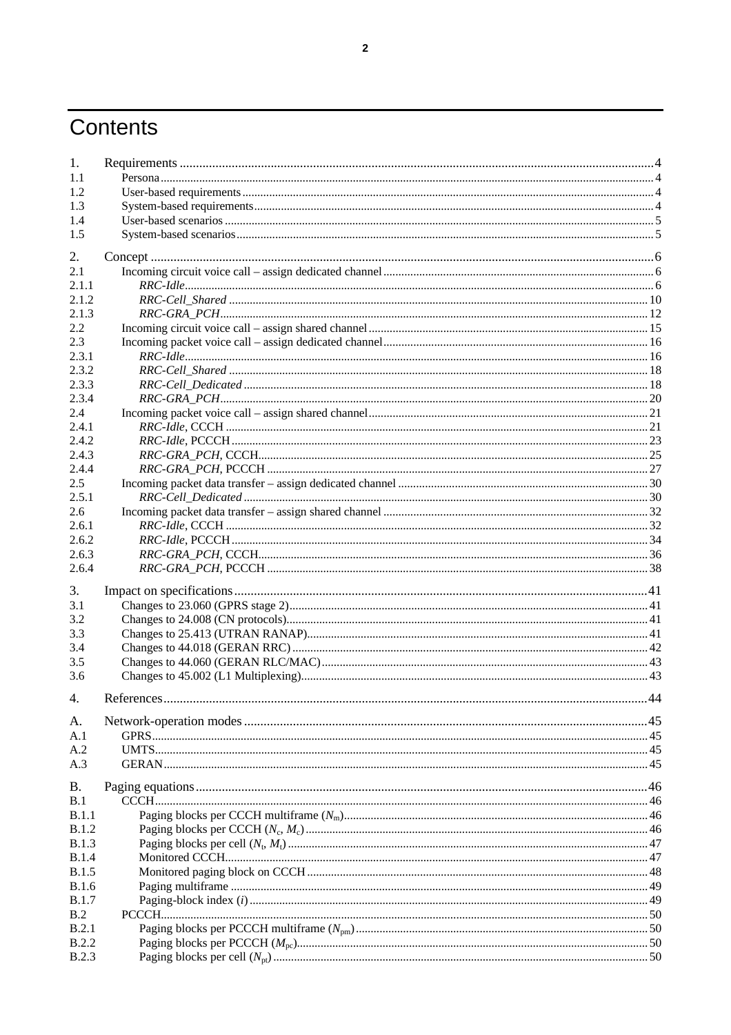# Contents

| 1.           |  |
|--------------|--|
| 1.1          |  |
| 1.2          |  |
| 1.3          |  |
| 1.4          |  |
| 1.5          |  |
|              |  |
| 2.<br>2.1    |  |
| 2.1.1        |  |
| 2.1.2        |  |
| 2.1.3        |  |
| 2.2          |  |
| 2.3          |  |
| 2.3.1        |  |
| 2.3.2        |  |
| 2.3.3        |  |
| 2.3.4        |  |
| 2.4          |  |
| 2.4.1        |  |
| 2.4.2        |  |
| 2.4.3        |  |
| 2.4.4        |  |
| 2.5          |  |
| 2.5.1        |  |
| 2.6          |  |
| 2.6.1        |  |
| 2.6.2        |  |
| 2.6.3        |  |
| 2.6.4        |  |
|              |  |
| 3.           |  |
| 3.1          |  |
| 3.2          |  |
| 3.3          |  |
| 3.4<br>3.5   |  |
| 3.6          |  |
|              |  |
| 4.           |  |
|              |  |
| A.           |  |
| A.1          |  |
| A.2          |  |
| A.3          |  |
| B.           |  |
| B.1          |  |
| B.1.1        |  |
| B.1.2        |  |
| <b>B.1.3</b> |  |
| B.1.4        |  |
| <b>B.1.5</b> |  |
| <b>B.1.6</b> |  |
| B.1.7        |  |
| B.2          |  |
| B.2.1        |  |
| <b>B.2.2</b> |  |
| <b>B.2.3</b> |  |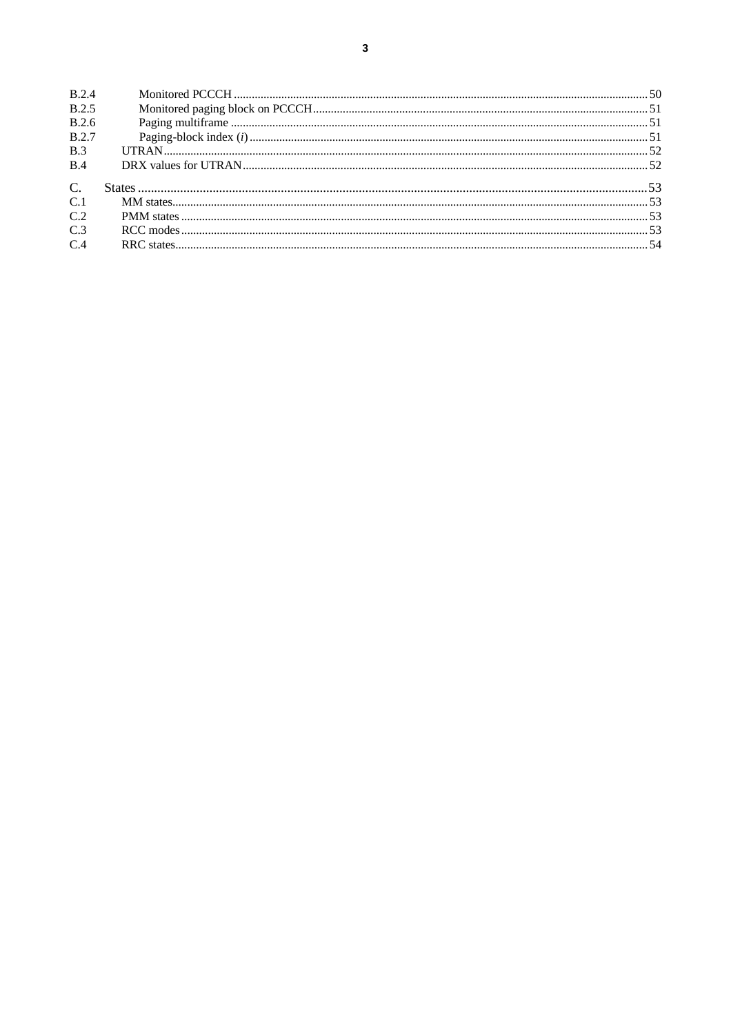| <b>B.2.4</b>     |  |
|------------------|--|
| <b>B.2.5</b>     |  |
| B.2.6            |  |
| <b>B.2.7</b>     |  |
| B.3              |  |
| B.4              |  |
| $\overline{C}$ . |  |
| C.1              |  |
| C.2              |  |
| C.3              |  |
| C.4              |  |
|                  |  |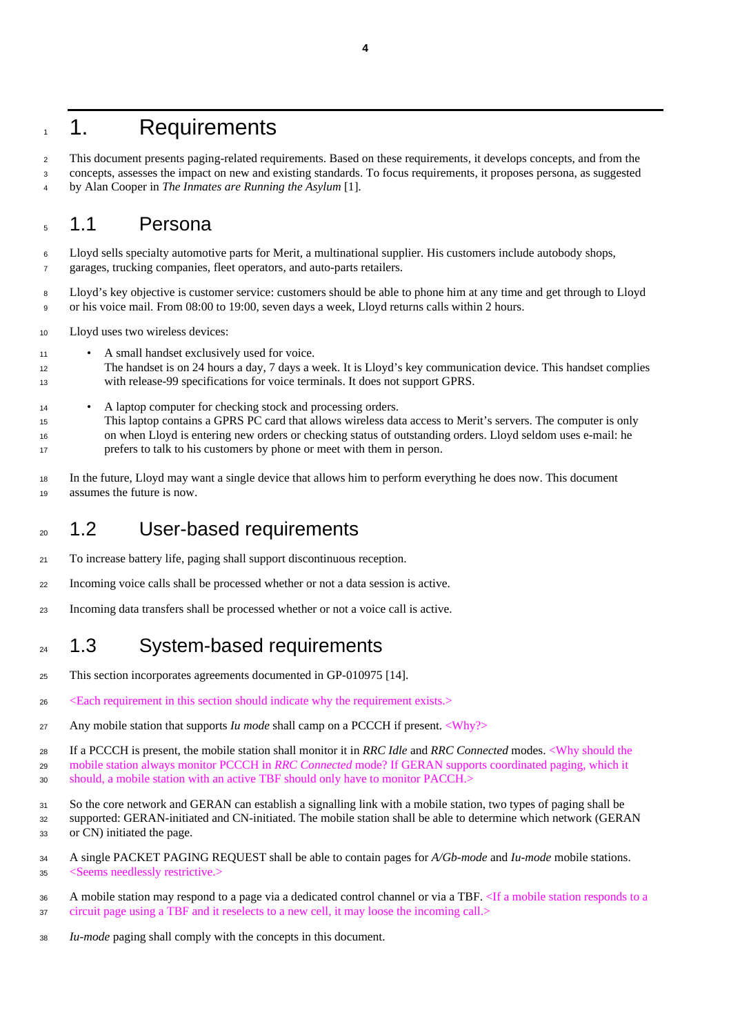## 1. Requirements

 This document presents paging-related requirements. Based on these requirements, it develops concepts, and from the concepts, assesses the impact on new and existing standards. To focus requirements, it proposes persona, as suggested

by Alan Cooper in *The Inmates are Running the Asylum* [1]*.*

### 1.1 Persona

Lloyd sells specialty automotive parts for Merit, a multinational supplier. His customers include autobody shops,

- garages, trucking companies, fleet operators, and auto-parts retailers.
- Lloyd's key objective is customer service: customers should be able to phone him at any time and get through to Lloyd or his voice mail. From 08:00 to 19:00, seven days a week, Lloyd returns calls within 2 hours.
- Lloyd uses two wireless devices:
- A small handset exclusively used for voice.
- The handset is on 24 hours a day, 7 days a week. It is Lloyd's key communication device. This handset complies with release-99 specifications for voice terminals. It does not support GPRS.
- <sup>14</sup> A laptop computer for checking stock and processing orders.
- This laptop contains a GPRS PC card that allows wireless data access to Merit's servers. The computer is only on when Lloyd is entering new orders or checking status of outstanding orders. Lloyd seldom uses e-mail: he prefers to talk to his customers by phone or meet with them in person.
- In the future, Lloyd may want a single device that allows him to perform everything he does now. This document assumes the future is now.

## 20 1.2 User-based requirements

- To increase battery life, paging shall support discontinuous reception.
- Incoming voice calls shall be processed whether or not a data session is active.
- Incoming data transfers shall be processed whether or not a voice call is active.

## 24 1.3 System-based requirements

- This section incorporates agreements documented in GP-010975 [14].
- <Each requirement in this section should indicate why the requirement exists.>
- Any mobile station that supports *Iu mode* shall camp on a PCCCH if present. <Why?>

 If a PCCCH is present, the mobile station shall monitor it in *RRC Idle* and *RRC Connected* modes. <Why should the mobile station always monitor PCCCH in *RRC Connected* mode? If GERAN supports coordinated paging, which it

- should, a mobile station with an active TBF should only have to monitor PACCH.>
- So the core network and GERAN can establish a signalling link with a mobile station, two types of paging shall be supported: GERAN-initiated and CN-initiated. The mobile station shall be able to determine which network (GERAN or CN) initiated the page.
- A single PACKET PAGING REQUEST shall be able to contain pages for *A/Gb-mode* and *Iu-mode* mobile stations. <Seems needlessly restrictive.>
- A mobile station may respond to a page via a dedicated control channel or via a TBF. <If a mobile station responds to a circuit page using a TBF and it reselects to a new cell, it may loose the incoming call.>
- *Iu-mode* paging shall comply with the concepts in this document.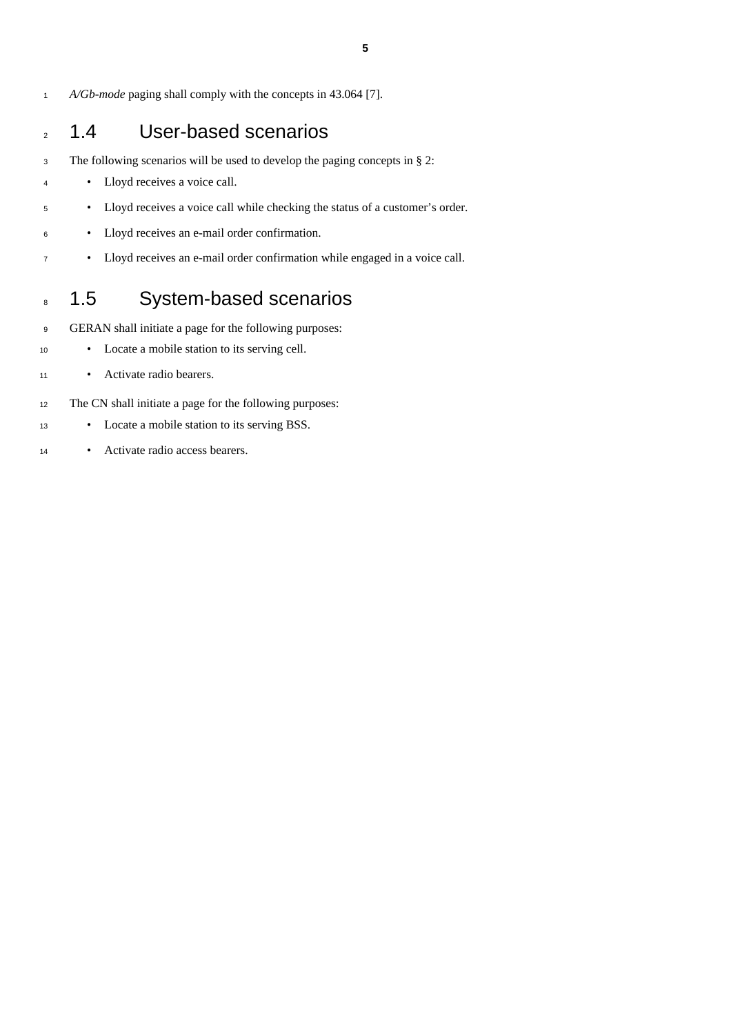*A/Gb-mode* paging shall comply with the concepts in 43.064 [7].

## 2 1.4 User-based scenarios

- The following scenarios will be used to develop the paging concepts in § 2:
- Lloyd receives a voice call.
- Lloyd receives a voice call while checking the status of a customer's order.
- Lloyd receives an e-mail order confirmation.
- Lloyd receives an e-mail order confirmation while engaged in a voice call.

## 8 1.5 System-based scenarios

- GERAN shall initiate a page for the following purposes:
- Locate a mobile station to its serving cell.
- Activate radio bearers.
- The CN shall initiate a page for the following purposes:
- Locate a mobile station to its serving BSS.
- Activate radio access bearers.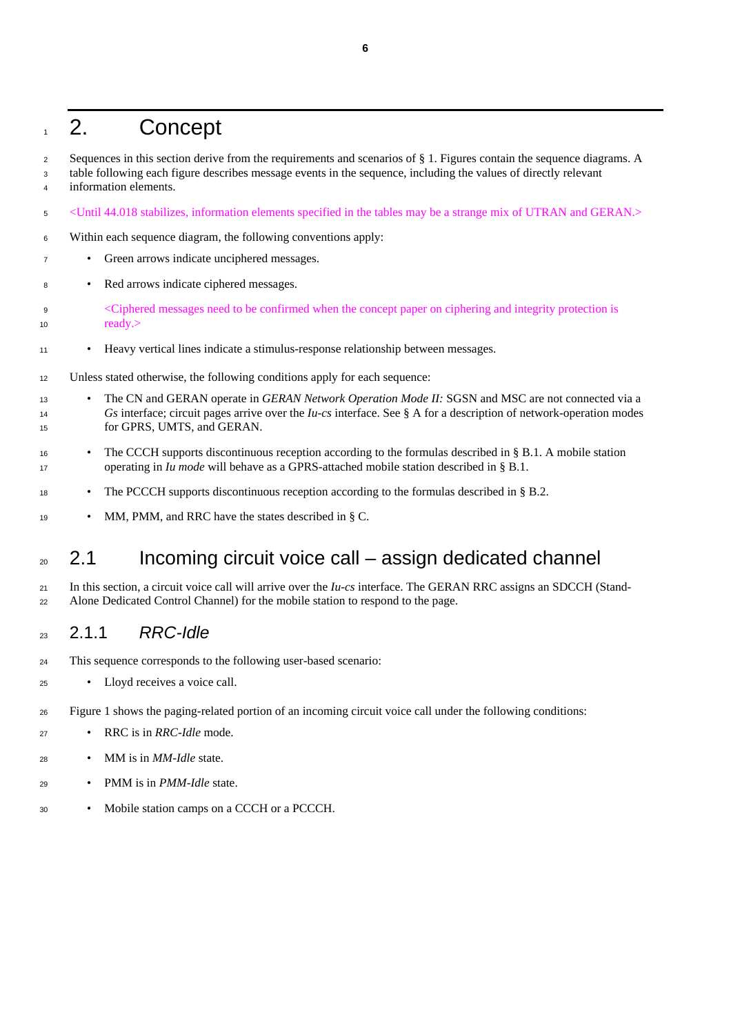## 1 2. Concept

- Sequences in this section derive from the requirements and scenarios of § 1. Figures contain the sequence diagrams. A
- table following each figure describes message events in the sequence, including the values of directly relevant information elements.
- <Until 44.018 stabilizes, information elements specified in the tables may be a strange mix of UTRAN and GERAN.>
- Within each sequence diagram, the following conventions apply:
- Green arrows indicate unciphered messages.
- Red arrows indicate ciphered messages.
- <Ciphered messages need to be confirmed when the concept paper on ciphering and integrity protection is ready.>
- Heavy vertical lines indicate a stimulus-response relationship between messages.
- Unless stated otherwise, the following conditions apply for each sequence:
- <sup>13</sup> The CN and GERAN operate in *GERAN Network Operation Mode II:* SGSN and MSC are not connected via a *Gs* interface; circuit pages arrive over the *Iu-cs* interface. See § A for a description of network-operation modes for GPRS, UMTS, and GERAN.
- The CCCH supports discontinuous reception according to the formulas described in § B.1. A mobile station operating in *Iu mode* will behave as a GPRS-attached mobile station described in § B.1.
- <sup>18</sup> The PCCCH supports discontinuous reception according to the formulas described in § B.2.
- MM, PMM, and RRC have the states described in § C.

## $2.1$  Incoming circuit voice call – assign dedicated channel

 In this section, a circuit voice call will arrive over the *Iu-cs* interface. The GERAN RRC assigns an SDCCH (Stand-Alone Dedicated Control Channel) for the mobile station to respond to the page.

### 2.1.1 *RRC-Idle*

- This sequence corresponds to the following user-based scenario:
- Lloyd receives a voice call.
- Figure 1 shows the paging-related portion of an incoming circuit voice call under the following conditions:
- RRC is in *RRC-Idle* mode.
- MM is in *MM-Idle* state.
- PMM is in *PMM-Idle* state.
- Mobile station camps on a CCCH or a PCCCH.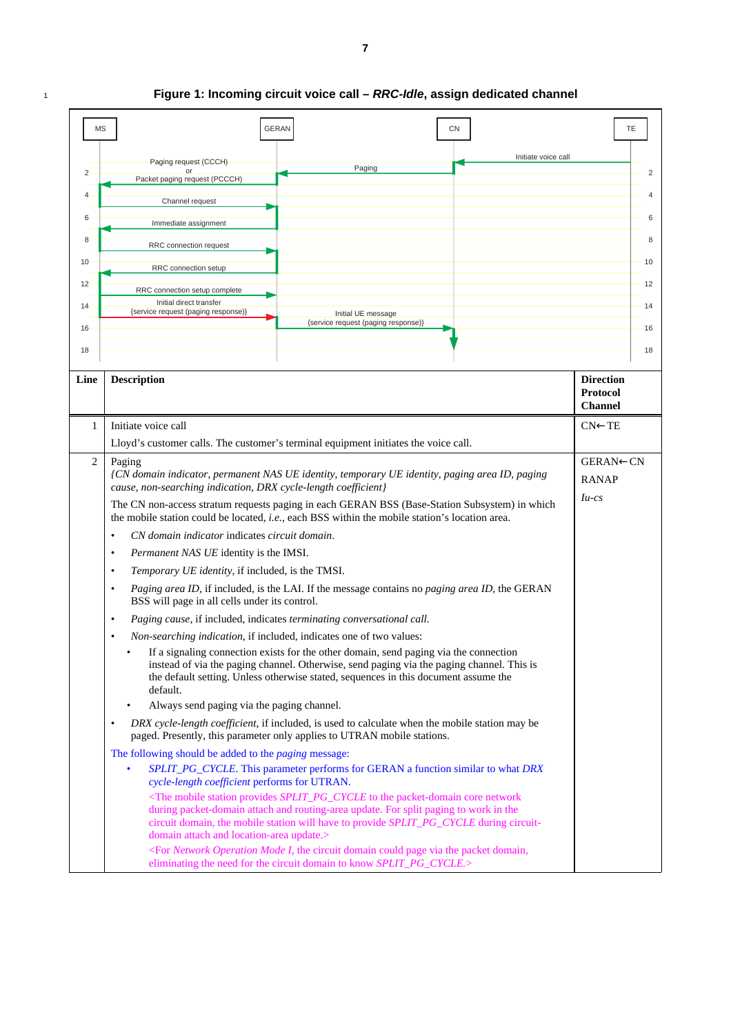| <b>MS</b>       |                                                                                                                                                                                                 | <b>GERAN</b>                                                                                                                                                                                                                                                                                      | <b>CN</b>           | <b>TE</b>                         |
|-----------------|-------------------------------------------------------------------------------------------------------------------------------------------------------------------------------------------------|---------------------------------------------------------------------------------------------------------------------------------------------------------------------------------------------------------------------------------------------------------------------------------------------------|---------------------|-----------------------------------|
|                 |                                                                                                                                                                                                 |                                                                                                                                                                                                                                                                                                   | Initiate voice call |                                   |
| $2^{\circ}$     | Paging request (CCCH)<br>Packet paging request (PCCCH)                                                                                                                                          | Paging                                                                                                                                                                                                                                                                                            |                     | 2                                 |
| $\overline{4}$  | Channel request                                                                                                                                                                                 |                                                                                                                                                                                                                                                                                                   |                     | 4                                 |
| 6               |                                                                                                                                                                                                 |                                                                                                                                                                                                                                                                                                   |                     | 6                                 |
| 8               | Immediate assignment                                                                                                                                                                            |                                                                                                                                                                                                                                                                                                   |                     | 8                                 |
|                 | RRC connection request                                                                                                                                                                          |                                                                                                                                                                                                                                                                                                   |                     |                                   |
| 10 <sup>°</sup> | RRC connection setup                                                                                                                                                                            |                                                                                                                                                                                                                                                                                                   |                     | 10                                |
| 12 <sup>°</sup> | RRC connection setup complete                                                                                                                                                                   |                                                                                                                                                                                                                                                                                                   |                     | 12                                |
| 14              | Initial direct transfer<br>{service request (paging response)}                                                                                                                                  | Initial UE message                                                                                                                                                                                                                                                                                |                     | 14                                |
| 16              |                                                                                                                                                                                                 | {service request (paging response)}                                                                                                                                                                                                                                                               |                     | 16                                |
| 18              |                                                                                                                                                                                                 |                                                                                                                                                                                                                                                                                                   |                     | 18                                |
| Line            | <b>Description</b>                                                                                                                                                                              |                                                                                                                                                                                                                                                                                                   |                     | <b>Direction</b>                  |
|                 |                                                                                                                                                                                                 |                                                                                                                                                                                                                                                                                                   |                     | <b>Protocol</b><br><b>Channel</b> |
| $\mathbf{1}$    | Initiate voice call                                                                                                                                                                             |                                                                                                                                                                                                                                                                                                   |                     | $CN \leftarrow TE$                |
|                 | Lloyd's customer calls. The customer's terminal equipment initiates the voice call.                                                                                                             |                                                                                                                                                                                                                                                                                                   |                     |                                   |
| $\overline{2}$  | Paging                                                                                                                                                                                          |                                                                                                                                                                                                                                                                                                   |                     | GERAN←CN                          |
|                 | (CN domain indicator, permanent NAS UE identity, temporary UE identity, paging area ID, paging<br>cause, non-searching indication, DRX cycle-length coefficient}                                |                                                                                                                                                                                                                                                                                                   |                     | <b>RANAP</b>                      |
|                 | The CN non-access stratum requests paging in each GERAN BSS (Base-Station Subsystem) in which<br>the mobile station could be located, i.e., each BSS within the mobile station's location area. |                                                                                                                                                                                                                                                                                                   |                     | $Iu-cs$                           |
|                 | CN domain indicator indicates circuit domain.<br>$\bullet$                                                                                                                                      |                                                                                                                                                                                                                                                                                                   |                     |                                   |
|                 | Permanent NAS UE identity is the IMSI.<br>$\bullet$                                                                                                                                             |                                                                                                                                                                                                                                                                                                   |                     |                                   |
|                 | Temporary UE identity, if included, is the TMSI.<br>$\bullet$                                                                                                                                   |                                                                                                                                                                                                                                                                                                   |                     |                                   |
|                 | $\bullet$<br>BSS will page in all cells under its control.                                                                                                                                      | Paging area ID, if included, is the LAI. If the message contains no paging area ID, the GERAN                                                                                                                                                                                                     |                     |                                   |
|                 | $\bullet$                                                                                                                                                                                       | Paging cause, if included, indicates terminating conversational call.                                                                                                                                                                                                                             |                     |                                   |
|                 | Non-searching indication, if included, indicates one of two values:<br>$\bullet$                                                                                                                |                                                                                                                                                                                                                                                                                                   |                     |                                   |
|                 | default.                                                                                                                                                                                        | If a signaling connection exists for the other domain, send paging via the connection<br>instead of via the paging channel. Otherwise, send paging via the paging channel. This is<br>the default setting. Unless otherwise stated, sequences in this document assume the                         |                     |                                   |
|                 | Always send paging via the paging channel.<br>$\bullet$                                                                                                                                         |                                                                                                                                                                                                                                                                                                   |                     |                                   |
|                 | $\bullet$                                                                                                                                                                                       | DRX cycle-length coefficient, if included, is used to calculate when the mobile station may be<br>paged. Presently, this parameter only applies to UTRAN mobile stations.                                                                                                                         |                     |                                   |
|                 | The following should be added to the <i>paging</i> message:                                                                                                                                     |                                                                                                                                                                                                                                                                                                   |                     |                                   |
|                 | $\bullet$<br>cycle-length coefficient performs for UTRAN.                                                                                                                                       | SPLIT_PG_CYCLE. This parameter performs for GERAN a function similar to what DRX                                                                                                                                                                                                                  |                     |                                   |
|                 | domain attach and location-area update.>                                                                                                                                                        | <the core="" mobile="" network<br="" packet-domain="" provides="" split_pg_cycle="" station="" the="" to="">during packet-domain attach and routing-area update. For split paging to work in the<br/>circuit domain, the mobile station will have to provide SPLIT_PG_CYCLE during circuit-</the> |                     |                                   |
|                 |                                                                                                                                                                                                 | <for circuit="" could="" domain="" domain,<br="" i,="" mode="" network="" operation="" packet="" page="" the="" via="">eliminating the need for the circuit domain to know SPLIT_PG_CYCLE.&gt;</for>                                                                                              |                     |                                   |

#### <sup>1</sup> **Figure 1: Incoming circuit voice call –** *RRC-Idle***, assign dedicated channel**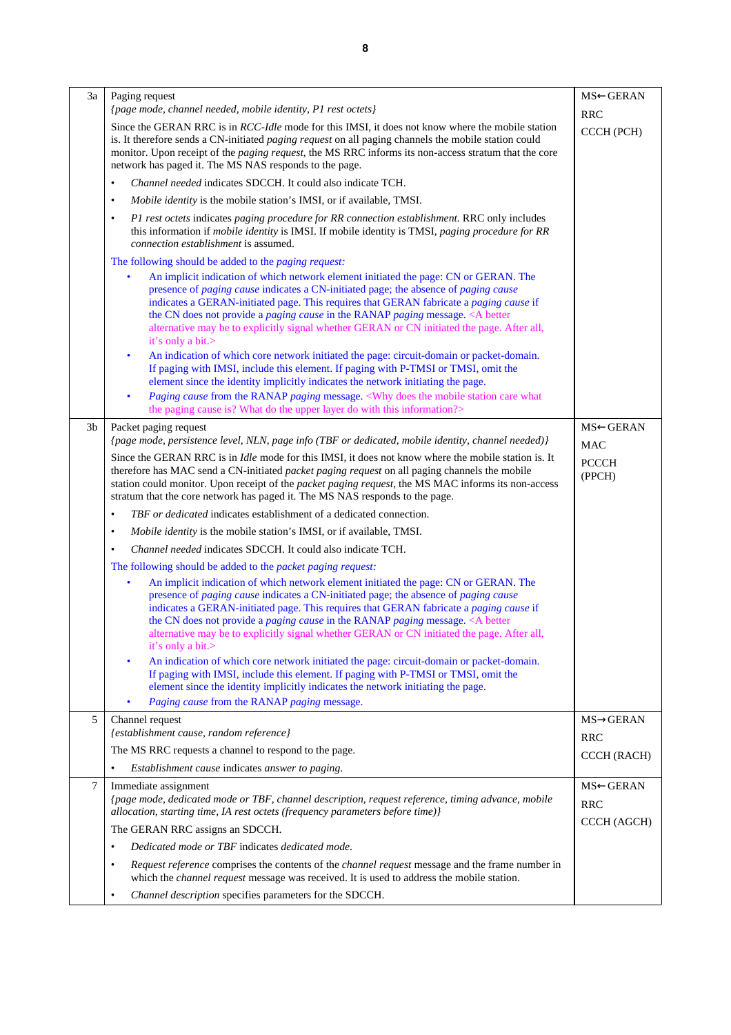| 3a | Paging request                                                                                                                                                                                                                                                                                                                                                                                                                                                                                     | MS←GERAN                              |
|----|----------------------------------------------------------------------------------------------------------------------------------------------------------------------------------------------------------------------------------------------------------------------------------------------------------------------------------------------------------------------------------------------------------------------------------------------------------------------------------------------------|---------------------------------------|
|    | {page mode, channel needed, mobile identity, P1 rest octets}                                                                                                                                                                                                                                                                                                                                                                                                                                       | <b>RRC</b>                            |
|    | Since the GERAN RRC is in <i>RCC-Idle</i> mode for this IMSI, it does not know where the mobile station<br>is. It therefore sends a CN-initiated <i>paging request</i> on all paging channels the mobile station could<br>monitor. Upon receipt of the <i>paging request</i> , the MS RRC informs its non-access stratum that the core                                                                                                                                                             | CCCH (PCH)                            |
|    | network has paged it. The MS NAS responds to the page.                                                                                                                                                                                                                                                                                                                                                                                                                                             |                                       |
|    | Channel needed indicates SDCCH. It could also indicate TCH.<br>$\bullet$                                                                                                                                                                                                                                                                                                                                                                                                                           |                                       |
|    | Mobile identity is the mobile station's IMSI, or if available, TMSI.<br>$\bullet$                                                                                                                                                                                                                                                                                                                                                                                                                  |                                       |
|    | P1 rest octets indicates paging procedure for RR connection establishment. RRC only includes<br>$\bullet$<br>this information if <i>mobile identity</i> is IMSI. If mobile identity is TMSI, <i>paging procedure for RR</i><br>connection establishment is assumed.                                                                                                                                                                                                                                |                                       |
|    | The following should be added to the <i>paging request</i> :                                                                                                                                                                                                                                                                                                                                                                                                                                       |                                       |
|    | An implicit indication of which network element initiated the page: CN or GERAN. The<br>presence of paging cause indicates a CN-initiated page; the absence of paging cause<br>indicates a GERAN-initiated page. This requires that GERAN fabricate a paging cause if<br>the CN does not provide a <i>paging cause</i> in the RANAP <i>paging</i> message. <a better<br="">alternative may be to explicitly signal whether GERAN or CN initiated the page. After all,<br/>it's only a bit.&gt;</a> |                                       |
|    | An indication of which core network initiated the page: circuit-domain or packet-domain.<br>If paging with IMSI, include this element. If paging with P-TMSI or TMSI, omit the<br>element since the identity implicitly indicates the network initiating the page.<br><i>Paging cause</i> from the RANAP <i>paging</i> message. <why care="" does="" mobile="" station="" the="" what<br="">the paging cause is? What do the upper layer do with this information?&gt;</why>                       |                                       |
| 3b | Packet paging request                                                                                                                                                                                                                                                                                                                                                                                                                                                                              | MS←GERAN                              |
|    | {page mode, persistence level, NLN, page info (TBF or dedicated, mobile identity, channel needed)}                                                                                                                                                                                                                                                                                                                                                                                                 | <b>MAC</b>                            |
|    | Since the GERAN RRC is in <i>Idle</i> mode for this IMSI, it does not know where the mobile station is. It<br>therefore has MAC send a CN-initiated packet paging request on all paging channels the mobile<br>station could monitor. Upon receipt of the packet paging request, the MS MAC informs its non-access<br>stratum that the core network has paged it. The MS NAS responds to the page.                                                                                                 | <b>PCCCH</b><br>(PPCH)                |
|    | TBF or dedicated indicates establishment of a dedicated connection.<br>$\bullet$                                                                                                                                                                                                                                                                                                                                                                                                                   |                                       |
|    | Mobile identity is the mobile station's IMSI, or if available, TMSI.<br>$\bullet$                                                                                                                                                                                                                                                                                                                                                                                                                  |                                       |
|    | Channel needed indicates SDCCH. It could also indicate TCH.                                                                                                                                                                                                                                                                                                                                                                                                                                        |                                       |
|    | The following should be added to the packet paging request:                                                                                                                                                                                                                                                                                                                                                                                                                                        |                                       |
|    | An implicit indication of which network element initiated the page: CN or GERAN. The<br>presence of paging cause indicates a CN-initiated page; the absence of paging cause<br>indicates a GERAN-initiated page. This requires that GERAN fabricate a paging cause if<br>the CN does not provide a <i>paging cause</i> in the RANAP <i>paging</i> message. < A better<br>alternative may be to explicitly signal whether GERAN or CN initiated the page. After all,<br>it's only a bit.>           |                                       |
|    | An indication of which core network initiated the page: circuit-domain or packet-domain.<br>If paging with IMSI, include this element. If paging with P-TMSI or TMSI, omit the<br>element since the identity implicitly indicates the network initiating the page.<br>Paging cause from the RANAP paging message.                                                                                                                                                                                  |                                       |
| 5  | Channel request                                                                                                                                                                                                                                                                                                                                                                                                                                                                                    | $MS \rightarrow GERAN$                |
|    | {establishment cause, random reference}                                                                                                                                                                                                                                                                                                                                                                                                                                                            | <b>RRC</b>                            |
|    | The MS RRC requests a channel to respond to the page.                                                                                                                                                                                                                                                                                                                                                                                                                                              | CCCH (RACH)                           |
|    | Establishment cause indicates answer to paging.                                                                                                                                                                                                                                                                                                                                                                                                                                                    |                                       |
| 7  | Immediate assignment<br>{page mode, dedicated mode or TBF, channel description, request reference, timing advance, mobile<br>allocation, starting time, IA rest octets (frequency parameters before time)}                                                                                                                                                                                                                                                                                         | MS←GERAN<br><b>RRC</b><br>CCCH (AGCH) |
|    | The GERAN RRC assigns an SDCCH.                                                                                                                                                                                                                                                                                                                                                                                                                                                                    |                                       |
|    | Dedicated mode or TBF indicates dedicated mode.<br>$\bullet$                                                                                                                                                                                                                                                                                                                                                                                                                                       |                                       |
|    | Request reference comprises the contents of the <i>channel request</i> message and the frame number in<br>$\bullet$<br>which the <i>channel request</i> message was received. It is used to address the mobile station.                                                                                                                                                                                                                                                                            |                                       |
|    | Channel description specifies parameters for the SDCCH.                                                                                                                                                                                                                                                                                                                                                                                                                                            |                                       |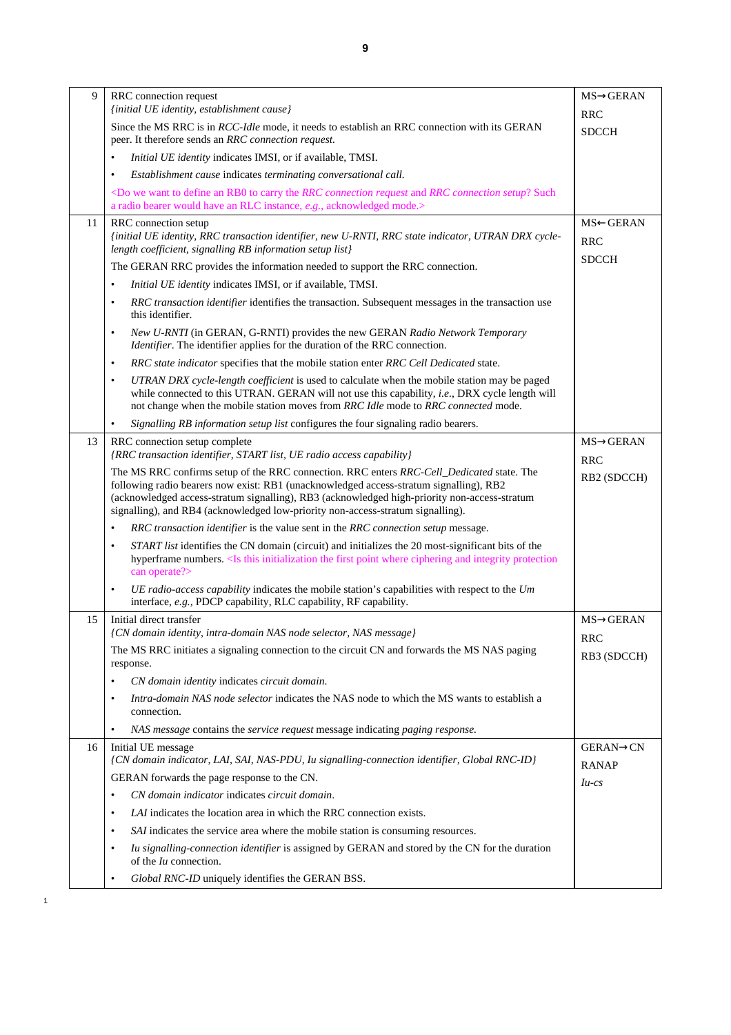| 9  | RRC connection request                                                                                                                                                                                                                                                                                                                                                 | $MS \rightarrow GERAN$               |
|----|------------------------------------------------------------------------------------------------------------------------------------------------------------------------------------------------------------------------------------------------------------------------------------------------------------------------------------------------------------------------|--------------------------------------|
|    | {initial UE identity, establishment cause}<br>Since the MS RRC is in <i>RCC-Idle</i> mode, it needs to establish an RRC connection with its GERAN                                                                                                                                                                                                                      | <b>RRC</b>                           |
|    | peer. It therefore sends an RRC connection request.                                                                                                                                                                                                                                                                                                                    | <b>SDCCH</b>                         |
|    | Initial UE identity indicates IMSI, or if available, TMSI.<br>$\bullet$                                                                                                                                                                                                                                                                                                |                                      |
|    | Establishment cause indicates terminating conversational call.<br>$\bullet$                                                                                                                                                                                                                                                                                            |                                      |
|    | <do an="" and="" carry="" connection="" define="" rb0="" request="" rrc="" setup?="" such<br="" the="" to="" want="" we="">a radio bearer would have an RLC instance, e.g., acknowledged mode.&gt;</do>                                                                                                                                                                |                                      |
| 11 | RRC connection setup<br>{initial UE identity, RRC transaction identifier, new U-RNTI, RRC state indicator, UTRAN DRX cycle-<br>length coefficient, signalling RB information setup list}                                                                                                                                                                               | MS←GERAN<br><b>RRC</b>               |
|    | The GERAN RRC provides the information needed to support the RRC connection.                                                                                                                                                                                                                                                                                           | <b>SDCCH</b>                         |
|    | Initial UE identity indicates IMSI, or if available, TMSI.<br>$\bullet$                                                                                                                                                                                                                                                                                                |                                      |
|    | RRC transaction identifier identifies the transaction. Subsequent messages in the transaction use<br>$\bullet$<br>this identifier.                                                                                                                                                                                                                                     |                                      |
|    | New U-RNTI (in GERAN, G-RNTI) provides the new GERAN Radio Network Temporary<br>$\bullet$<br><i>Identifier</i> . The identifier applies for the duration of the RRC connection.                                                                                                                                                                                        |                                      |
|    | RRC state indicator specifies that the mobile station enter RRC Cell Dedicated state.<br>$\bullet$                                                                                                                                                                                                                                                                     |                                      |
|    | UTRAN DRX cycle-length coefficient is used to calculate when the mobile station may be paged<br>$\bullet$<br>while connected to this UTRAN. GERAN will not use this capability, <i>i.e.</i> , DRX cycle length will<br>not change when the mobile station moves from RRC Idle mode to RRC connected mode.                                                              |                                      |
|    | Signalling RB information setup list configures the four signaling radio bearers.                                                                                                                                                                                                                                                                                      |                                      |
| 13 | RRC connection setup complete<br>{RRC transaction identifier, START list, UE radio access capability}                                                                                                                                                                                                                                                                  | $MS \rightarrow GERAN$<br><b>RRC</b> |
|    | The MS RRC confirms setup of the RRC connection. RRC enters RRC-Cell_Dedicated state. The<br>following radio bearers now exist: RB1 (unacknowledged access-stratum signalling), RB2<br>(acknowledged access-stratum signalling), RB3 (acknowledged high-priority non-access-stratum<br>signalling), and RB4 (acknowledged low-priority non-access-stratum signalling). | RB2 (SDCCH)                          |
|    | RRC transaction identifier is the value sent in the RRC connection setup message.<br>$\bullet$                                                                                                                                                                                                                                                                         |                                      |
|    | START list identifies the CN domain (circuit) and initializes the 20 most-significant bits of the<br>hyperframe numbers. <is and="" ciphering="" first="" initialization="" integrity="" point="" protection<br="" the="" this="" where="">can operate?&gt;</is>                                                                                                       |                                      |
|    | UE radio-access capability indicates the mobile station's capabilities with respect to the $Um$<br>$\bullet$<br>interface, e.g., PDCP capability, RLC capability, RF capability.                                                                                                                                                                                       |                                      |
| 15 | Initial direct transfer<br>{CN domain identity, intra-domain NAS node selector, NAS message}                                                                                                                                                                                                                                                                           | $MS \rightarrow GERAN$<br><b>RRC</b> |
|    | The MS RRC initiates a signaling connection to the circuit CN and forwards the MS NAS paging<br>response.                                                                                                                                                                                                                                                              | RB3 (SDCCH)                          |
|    | CN domain identity indicates circuit domain.<br>$\bullet$                                                                                                                                                                                                                                                                                                              |                                      |
|    | Intra-domain NAS node selector indicates the NAS node to which the MS wants to establish a<br>$\bullet$<br>connection.                                                                                                                                                                                                                                                 |                                      |
|    | NAS message contains the service request message indicating paging response.<br>$\bullet$                                                                                                                                                                                                                                                                              |                                      |
| 16 | Initial UE message<br>{CN domain indicator, LAI, SAI, NAS-PDU, Iu signalling-connection identifier, Global RNC-ID}                                                                                                                                                                                                                                                     | <b>GERAN→CN</b><br><b>RANAP</b>      |
|    | GERAN forwards the page response to the CN.                                                                                                                                                                                                                                                                                                                            | $Iu-cs$                              |
|    | CN domain indicator indicates circuit domain.<br>$\bullet$                                                                                                                                                                                                                                                                                                             |                                      |
|    | LAI indicates the location area in which the RRC connection exists.<br>$\bullet$                                                                                                                                                                                                                                                                                       |                                      |
|    | SAI indicates the service area where the mobile station is consuming resources.<br>$\bullet$                                                                                                                                                                                                                                                                           |                                      |
|    | Iu signalling-connection identifier is assigned by GERAN and stored by the CN for the duration<br>of the $Iu$ connection.                                                                                                                                                                                                                                              |                                      |
|    | Global RNC-ID uniquely identifies the GERAN BSS.                                                                                                                                                                                                                                                                                                                       |                                      |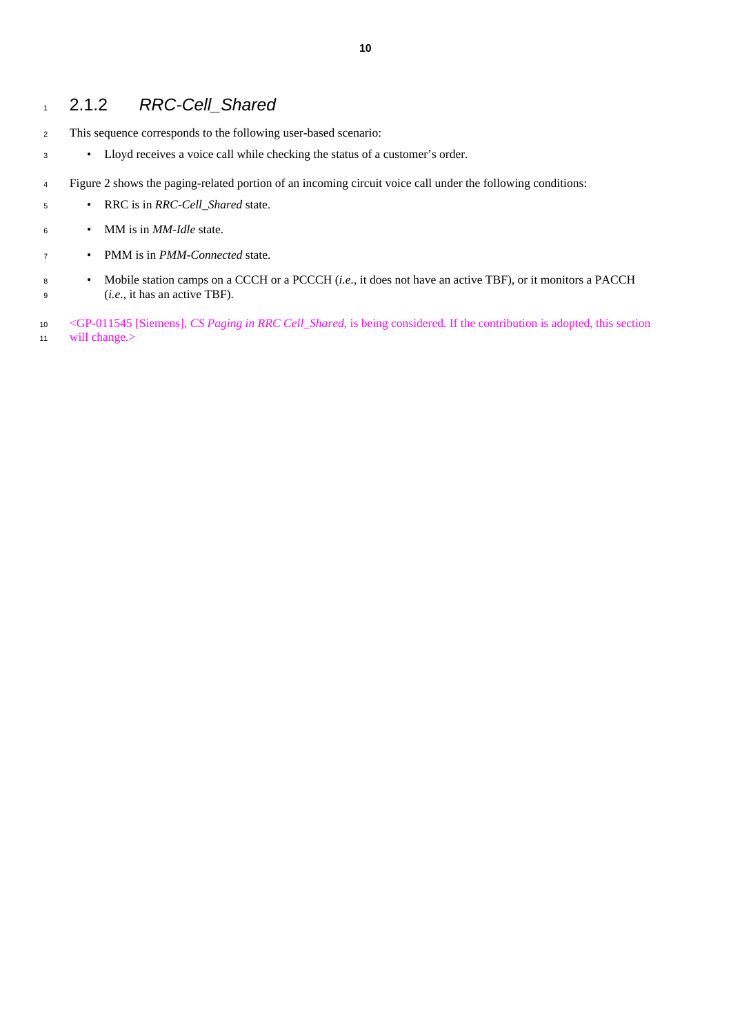#### 2.1.2 *RRC-Cell\_Shared*

- This sequence corresponds to the following user-based scenario:
- Lloyd receives a voice call while checking the status of a customer's order.
- Figure 2 shows the paging-related portion of an incoming circuit voice call under the following conditions:
- RRC is in *RRC-Cell\_Shared* state.
- MM is in *MM-Idle* state.
- PMM is in *PMM-Connected* state.
- Mobile station camps on a CCCH or a PCCCH (*i.e.*, it does not have an active TBF), or it monitors a PACCH (*i.e*., it has an active TBF).
- <GP-011545 [Siemens], *CS Paging in RRC Cell\_Shared*, is being considered. If the contribution is adopted, this section will change.>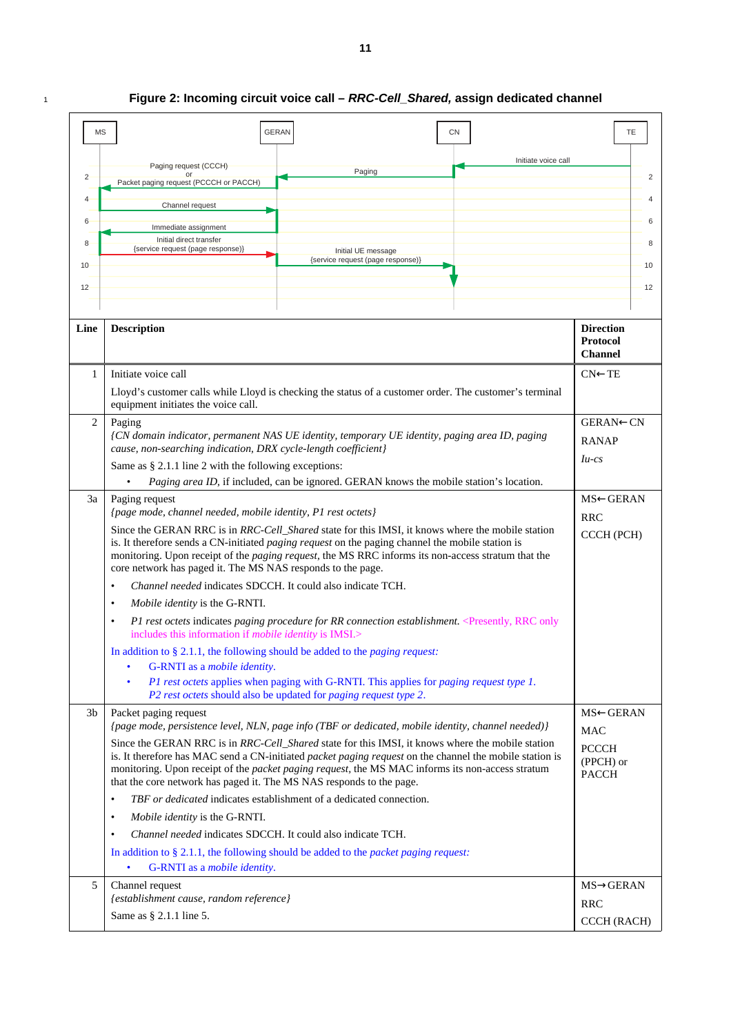### <sup>1</sup> **Figure 2: Incoming circuit voice call –** *RRC-Cell\_Shared,* **assign dedicated channel**

| MS              | <b>GERAN</b><br>CN                                                                                                                                                                                                                                                                                                                                                                      | TE                                                    |
|-----------------|-----------------------------------------------------------------------------------------------------------------------------------------------------------------------------------------------------------------------------------------------------------------------------------------------------------------------------------------------------------------------------------------|-------------------------------------------------------|
|                 | Initiate voice call                                                                                                                                                                                                                                                                                                                                                                     |                                                       |
| $\overline{2}$  | Paging request (CCCH)<br>Paging<br>or<br>Packet paging request (PCCCH or PACCH)                                                                                                                                                                                                                                                                                                         | 2                                                     |
| 4               |                                                                                                                                                                                                                                                                                                                                                                                         | $\overline{4}$                                        |
|                 | Channel request                                                                                                                                                                                                                                                                                                                                                                         |                                                       |
| 6               | Immediate assignment                                                                                                                                                                                                                                                                                                                                                                    | 6                                                     |
| 8               | Initial direct transfer<br>{service request (page response)}<br>Initial UE message                                                                                                                                                                                                                                                                                                      | 8                                                     |
| 10 <sup>°</sup> | {service request (page response)}                                                                                                                                                                                                                                                                                                                                                       | 10                                                    |
| 12 <sup>°</sup> |                                                                                                                                                                                                                                                                                                                                                                                         | 12                                                    |
|                 |                                                                                                                                                                                                                                                                                                                                                                                         |                                                       |
| Line            | <b>Description</b>                                                                                                                                                                                                                                                                                                                                                                      | <b>Direction</b><br><b>Protocol</b><br><b>Channel</b> |
| 1               | Initiate voice call                                                                                                                                                                                                                                                                                                                                                                     | $CN \leftarrow TE$                                    |
|                 | Lloyd's customer calls while Lloyd is checking the status of a customer order. The customer's terminal<br>equipment initiates the voice call.                                                                                                                                                                                                                                           |                                                       |
| 2               | Paging                                                                                                                                                                                                                                                                                                                                                                                  | <b>GERAN←CN</b>                                       |
|                 | (CN domain indicator, permanent NAS UE identity, temporary UE identity, paging area ID, paging<br>cause, non-searching indication, DRX cycle-length coefficient}                                                                                                                                                                                                                        | <b>RANAP</b>                                          |
|                 | Same as $\S 2.1.1$ line 2 with the following exceptions:                                                                                                                                                                                                                                                                                                                                | $Iu-cs$                                               |
|                 | Paging area ID, if included, can be ignored. GERAN knows the mobile station's location.                                                                                                                                                                                                                                                                                                 |                                                       |
| 3a              | Paging request                                                                                                                                                                                                                                                                                                                                                                          | MS←GERAN                                              |
|                 | {page mode, channel needed, mobile identity, P1 rest octets}                                                                                                                                                                                                                                                                                                                            | <b>RRC</b>                                            |
|                 | Since the GERAN RRC is in RRC-Cell_Shared state for this IMSI, it knows where the mobile station<br>is. It therefore sends a CN-initiated <i>paging request</i> on the paging channel the mobile station is<br>monitoring. Upon receipt of the paging request, the MS RRC informs its non-access stratum that the<br>core network has paged it. The MS NAS responds to the page.        | CCCH (PCH)                                            |
|                 | Channel needed indicates SDCCH. It could also indicate TCH.<br>$\bullet$                                                                                                                                                                                                                                                                                                                |                                                       |
|                 | Mobile identity is the G-RNTI.<br>$\bullet$                                                                                                                                                                                                                                                                                                                                             |                                                       |
|                 | P1 rest octets indicates paging procedure for RR connection establishment. <presently, only<br="" rrc=""><math display="inline">\bullet</math><br/>includes this information if <i>mobile identity</i> is IMSI.&gt;</presently,>                                                                                                                                                        |                                                       |
|                 | In addition to $\S$ 2.1.1, the following should be added to the <i>paging request:</i><br>G-RNTI as a <i>mobile identity</i> .<br>$\bullet$                                                                                                                                                                                                                                             |                                                       |
|                 | P1 rest octets applies when paging with G-RNTI. This applies for paging request type 1.<br>P2 rest octets should also be updated for paging request type 2.                                                                                                                                                                                                                             |                                                       |
| 3 <sub>b</sub>  | Packet paging request<br>{page mode, persistence level, NLN, page info (TBF or dedicated, mobile identity, channel needed)}                                                                                                                                                                                                                                                             | MS←GERAN<br><b>MAC</b>                                |
|                 | Since the GERAN RRC is in RRC-Cell_Shared state for this IMSI, it knows where the mobile station<br>is. It therefore has MAC send a CN-initiated packet paging request on the channel the mobile station is<br>monitoring. Upon receipt of the packet paging request, the MS MAC informs its non-access stratum<br>that the core network has paged it. The MS NAS responds to the page. | <b>PCCCH</b><br>(PPCH) or<br><b>PACCH</b>             |
|                 | TBF or dedicated indicates establishment of a dedicated connection.<br>$\bullet$                                                                                                                                                                                                                                                                                                        |                                                       |
|                 | Mobile identity is the G-RNTI.<br>$\bullet$                                                                                                                                                                                                                                                                                                                                             |                                                       |
|                 | Channel needed indicates SDCCH. It could also indicate TCH.<br>$\bullet$                                                                                                                                                                                                                                                                                                                |                                                       |
|                 | In addition to $\S 2.1.1$ , the following should be added to the <i>packet paging request:</i>                                                                                                                                                                                                                                                                                          |                                                       |
|                 | G-RNTI as a mobile identity.<br>$\bullet$                                                                                                                                                                                                                                                                                                                                               |                                                       |
| 5               | Channel request<br>{establishment cause, random reference}                                                                                                                                                                                                                                                                                                                              | $MS \rightarrow GERAN$                                |
|                 | Same as § 2.1.1 line 5.                                                                                                                                                                                                                                                                                                                                                                 | <b>RRC</b>                                            |
|                 |                                                                                                                                                                                                                                                                                                                                                                                         | CCCH (RACH)                                           |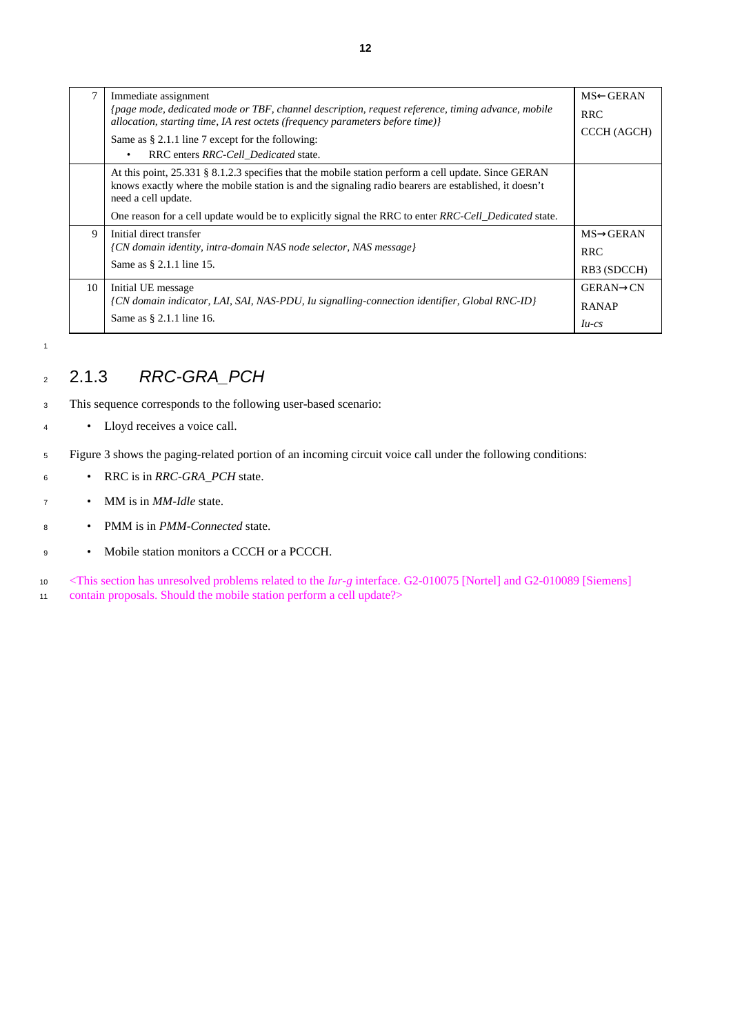|    | Immediate assignment                                                                                                                                                                                                                 | $MS \leftarrow GERAN$  |
|----|--------------------------------------------------------------------------------------------------------------------------------------------------------------------------------------------------------------------------------------|------------------------|
|    | (page mode, dedicated mode or TBF, channel description, request reference, timing advance, mobile<br>allocation, starting time, IA rest octets (frequency parameters before time) $\}$                                               | <b>RRC</b>             |
|    | Same as $\S 2.1.1$ line 7 except for the following:                                                                                                                                                                                  | CCCH (AGCH)            |
|    | RRC enters RRC-Cell Dedicated state.<br>$\bullet$                                                                                                                                                                                    |                        |
|    | At this point, 25.331 § 8.1.2.3 specifies that the mobile station perform a cell update. Since GERAN<br>knows exactly where the mobile station is and the signaling radio bearers are established, it doesn't<br>need a cell update. |                        |
|    | One reason for a cell update would be to explicitly signal the RRC to enter RRC-Cell Dedicated state.                                                                                                                                |                        |
| 9  | Initial direct transfer                                                                                                                                                                                                              | $MS \rightarrow GERAN$ |
|    | (CN domain identity, intra-domain NAS node selector, NAS message)                                                                                                                                                                    | <b>RRC</b>             |
|    | Same as § 2.1.1 line 15.                                                                                                                                                                                                             | RB3 (SDCCH)            |
| 10 | Initial UE message                                                                                                                                                                                                                   | $GERAN \rightarrow CN$ |
|    | {CN domain indicator, LAI, SAI, NAS-PDU, Iu signalling-connection identifier, Global RNC-ID}                                                                                                                                         | <b>RANAP</b>           |
|    | Same as $\S 2.1.1$ line 16.                                                                                                                                                                                                          | $Iu-cs$                |

### <sup>2</sup> 2.1.3 *RRC-GRA\_PCH*

- <sup>3</sup> This sequence corresponds to the following user-based scenario:
- <sup>4</sup> Lloyd receives a voice call.
- <sup>5</sup> Figure 3 shows the paging-related portion of an incoming circuit voice call under the following conditions:
- <sup>6</sup> RRC is in *RRC-GRA\_PCH* state.
- <sup>7</sup> MM is in *MM-Idle* state.
- <sup>8</sup> PMM is in *PMM-Connected* state.
- <sup>9</sup> Mobile station monitors a CCCH or a PCCCH.
- <sup>10</sup> <This section has unresolved problems related to the *Iur-g* interface. G2-010075 [Nortel] and G2-010089 [Siemens] 11 contain proposals. Should the mobile station perform a cell update?>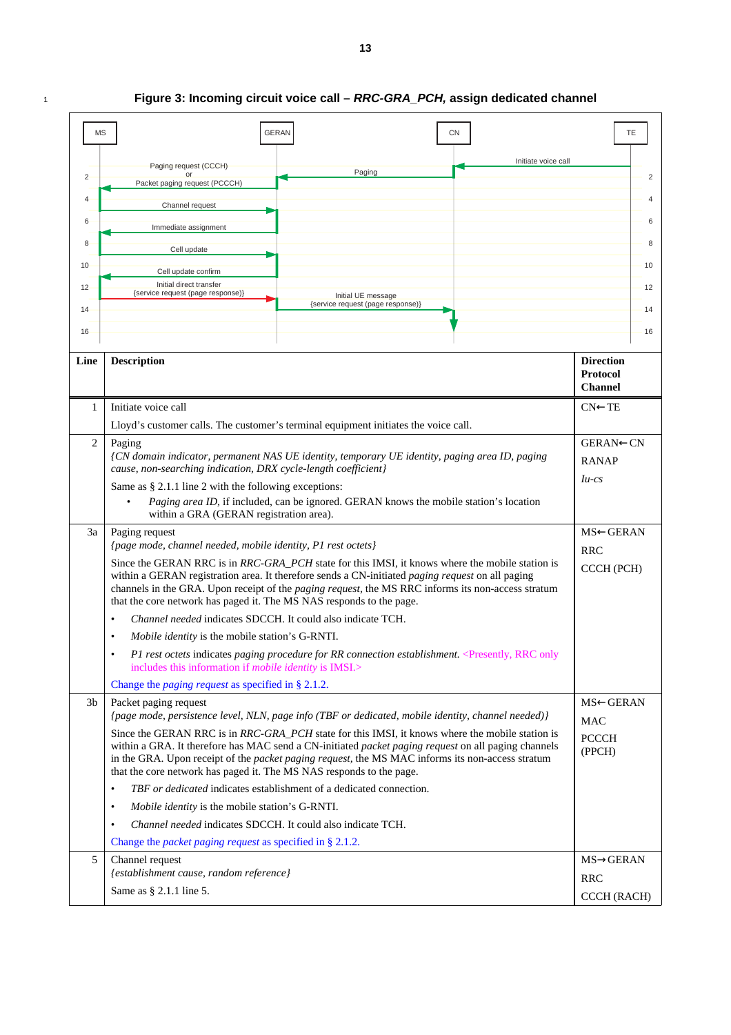### <sup>1</sup> **Figure 3: Incoming circuit voice call –** *RRC-GRA\_PCH,* **assign dedicated channel**

| <b>MS</b>       |                                                                                                                                                                                                                                                                                                                                                                                    | <b>GERAN</b>                                                                                                                                 | CN | <b>TE</b>                         |
|-----------------|------------------------------------------------------------------------------------------------------------------------------------------------------------------------------------------------------------------------------------------------------------------------------------------------------------------------------------------------------------------------------------|----------------------------------------------------------------------------------------------------------------------------------------------|----|-----------------------------------|
|                 |                                                                                                                                                                                                                                                                                                                                                                                    |                                                                                                                                              |    | Initiate voice call               |
| $\overline{2}$  | Paging request (CCCH)                                                                                                                                                                                                                                                                                                                                                              | Paging                                                                                                                                       |    | $\overline{2}$                    |
| $\overline{4}$  | Packet paging request (PCCCH)                                                                                                                                                                                                                                                                                                                                                      |                                                                                                                                              |    | $\overline{4}$                    |
|                 | Channel request                                                                                                                                                                                                                                                                                                                                                                    |                                                                                                                                              |    |                                   |
| 6               | Immediate assignment                                                                                                                                                                                                                                                                                                                                                               |                                                                                                                                              |    | 6                                 |
| 8               | Cell update                                                                                                                                                                                                                                                                                                                                                                        |                                                                                                                                              |    | 8                                 |
| 10 <sup>°</sup> | Cell update confirm                                                                                                                                                                                                                                                                                                                                                                |                                                                                                                                              |    | 10                                |
| 12              | Initial direct transfer                                                                                                                                                                                                                                                                                                                                                            |                                                                                                                                              |    | 12                                |
|                 | {service request (page response)}                                                                                                                                                                                                                                                                                                                                                  | Initial UE message<br>{service request (page response)}                                                                                      |    |                                   |
| 14              |                                                                                                                                                                                                                                                                                                                                                                                    |                                                                                                                                              |    | 14                                |
| 16              |                                                                                                                                                                                                                                                                                                                                                                                    |                                                                                                                                              |    | 16                                |
| Line            | <b>Description</b>                                                                                                                                                                                                                                                                                                                                                                 |                                                                                                                                              |    | <b>Direction</b>                  |
|                 |                                                                                                                                                                                                                                                                                                                                                                                    |                                                                                                                                              |    | <b>Protocol</b><br><b>Channel</b> |
| 1               | Initiate voice call                                                                                                                                                                                                                                                                                                                                                                |                                                                                                                                              |    | $CN \leftarrow TE$                |
|                 | Lloyd's customer calls. The customer's terminal equipment initiates the voice call.                                                                                                                                                                                                                                                                                                |                                                                                                                                              |    |                                   |
| $\overline{2}$  | Paging                                                                                                                                                                                                                                                                                                                                                                             |                                                                                                                                              |    | GERAN←CN                          |
|                 | (CN domain indicator, permanent NAS UE identity, temporary UE identity, paging area ID, paging<br>cause, non-searching indication, DRX cycle-length coefficient}                                                                                                                                                                                                                   |                                                                                                                                              |    | <b>RANAP</b>                      |
|                 | Same as $\S 2.1.1$ line 2 with the following exceptions:                                                                                                                                                                                                                                                                                                                           |                                                                                                                                              |    | $Iu-cs$                           |
|                 |                                                                                                                                                                                                                                                                                                                                                                                    | Paging area ID, if included, can be ignored. GERAN knows the mobile station's location                                                       |    |                                   |
|                 | within a GRA (GERAN registration area).                                                                                                                                                                                                                                                                                                                                            |                                                                                                                                              |    |                                   |
| 3a              | Paging request                                                                                                                                                                                                                                                                                                                                                                     |                                                                                                                                              |    | MS←GERAN                          |
|                 | {page mode, channel needed, mobile identity, P1 rest octets}                                                                                                                                                                                                                                                                                                                       |                                                                                                                                              |    | <b>RRC</b>                        |
|                 | Since the GERAN RRC is in RRC-GRA_PCH state for this IMSI, it knows where the mobile station is<br>within a GERAN registration area. It therefore sends a CN-initiated <i>paging request</i> on all paging<br>channels in the GRA. Upon receipt of the <i>paging request</i> , the MS RRC informs its non-access stratum                                                           |                                                                                                                                              |    | CCCH (PCH)                        |
|                 | that the core network has paged it. The MS NAS responds to the page.                                                                                                                                                                                                                                                                                                               |                                                                                                                                              |    |                                   |
|                 | Channel needed indicates SDCCH. It could also indicate TCH.<br>$\bullet$                                                                                                                                                                                                                                                                                                           |                                                                                                                                              |    |                                   |
|                 | Mobile identity is the mobile station's G-RNTI.<br>٠                                                                                                                                                                                                                                                                                                                               |                                                                                                                                              |    |                                   |
|                 | includes this information if mobile identity is IMSI.>                                                                                                                                                                                                                                                                                                                             | P1 rest octets indicates paging procedure for RR connection establishment. <presently, only<="" rrc="" th=""><th></th><th></th></presently,> |    |                                   |
|                 | Change the <i>paging request</i> as specified in $\S 2.1.2$ .                                                                                                                                                                                                                                                                                                                      |                                                                                                                                              |    |                                   |
| 3 <sub>b</sub>  | Packet paging request                                                                                                                                                                                                                                                                                                                                                              |                                                                                                                                              |    | MS←GERAN                          |
|                 | {page mode, persistence level, NLN, page info (TBF or dedicated, mobile identity, channel needed)}                                                                                                                                                                                                                                                                                 |                                                                                                                                              |    | <b>MAC</b>                        |
|                 | Since the GERAN RRC is in RRC-GRA_PCH state for this IMSI, it knows where the mobile station is<br>within a GRA. It therefore has MAC send a CN-initiated packet paging request on all paging channels<br>in the GRA. Upon receipt of the packet paging request, the MS MAC informs its non-access stratum<br>that the core network has paged it. The MS NAS responds to the page. |                                                                                                                                              |    | <b>PCCCH</b><br>(PPCH)            |
|                 | $\bullet$                                                                                                                                                                                                                                                                                                                                                                          | TBF or dedicated indicates establishment of a dedicated connection.                                                                          |    |                                   |
|                 | Mobile identity is the mobile station's G-RNTI.<br>$\bullet$                                                                                                                                                                                                                                                                                                                       |                                                                                                                                              |    |                                   |
|                 | Channel needed indicates SDCCH. It could also indicate TCH.<br>$\bullet$                                                                                                                                                                                                                                                                                                           |                                                                                                                                              |    |                                   |
|                 | Change the <i>packet paging request</i> as specified in § 2.1.2.                                                                                                                                                                                                                                                                                                                   |                                                                                                                                              |    |                                   |
| 5               | Channel request                                                                                                                                                                                                                                                                                                                                                                    |                                                                                                                                              |    | $MS \rightarrow GERAN$            |
|                 | {establishment cause, random reference}                                                                                                                                                                                                                                                                                                                                            |                                                                                                                                              |    | <b>RRC</b>                        |
|                 | Same as § 2.1.1 line 5.                                                                                                                                                                                                                                                                                                                                                            |                                                                                                                                              |    | CCCH (RACH)                       |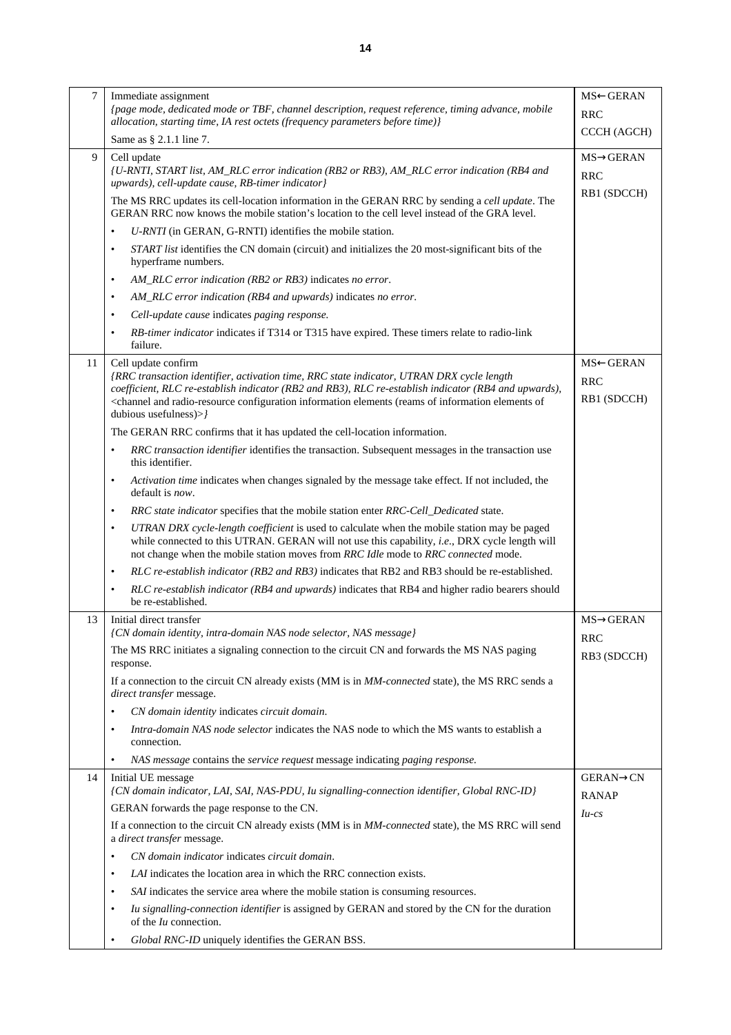| $\tau$ | Immediate assignment<br>(page mode, dedicated mode or TBF, channel description, request reference, timing advance, mobile<br>allocation, starting time, IA rest octets (frequency parameters before time)}                                                                                                                                                            | MS←GERAN<br><b>RRC</b>                |
|--------|-----------------------------------------------------------------------------------------------------------------------------------------------------------------------------------------------------------------------------------------------------------------------------------------------------------------------------------------------------------------------|---------------------------------------|
|        | Same as § 2.1.1 line 7.                                                                                                                                                                                                                                                                                                                                               | CCCH (AGCH)                           |
| 9      | Cell update<br>{U-RNTI, START list, AM_RLC error indication (RB2 or RB3), AM_RLC error indication (RB4 and<br>upwards), cell-update cause, RB-timer indicator}                                                                                                                                                                                                        | $MS \rightarrow GERAN$<br><b>RRC</b>  |
|        | The MS RRC updates its cell-location information in the GERAN RRC by sending a cell update. The<br>GERAN RRC now knows the mobile station's location to the cell level instead of the GRA level.                                                                                                                                                                      | RB1 (SDCCH)                           |
|        | U-RNTI (in GERAN, G-RNTI) identifies the mobile station.<br>$\bullet$                                                                                                                                                                                                                                                                                                 |                                       |
|        | START list identifies the CN domain (circuit) and initializes the 20 most-significant bits of the<br>$\bullet$<br>hyperframe numbers.                                                                                                                                                                                                                                 |                                       |
|        | AM_RLC error indication (RB2 or RB3) indicates no error.<br>$\bullet$                                                                                                                                                                                                                                                                                                 |                                       |
|        | AM_RLC error indication (RB4 and upwards) indicates no error.<br>$\bullet$                                                                                                                                                                                                                                                                                            |                                       |
|        | Cell-update cause indicates paging response.<br>$\bullet$                                                                                                                                                                                                                                                                                                             |                                       |
|        | RB-timer indicator indicates if T314 or T315 have expired. These timers relate to radio-link<br>$\bullet$<br>failure.                                                                                                                                                                                                                                                 |                                       |
| 11     | Cell update confirm<br>{RRC transaction identifier, activation time, RRC state indicator, UTRAN DRX cycle length<br>coefficient, RLC re-establish indicator (RB2 and RB3), RLC re-establish indicator (RB4 and upwards),<br><channel (reams="" and="" configuration="" elements="" information="" of="" of<br="" radio-resource="">dubious usefulness)&gt;/</channel> | MS←GERAN<br><b>RRC</b><br>RB1 (SDCCH) |
|        | The GERAN RRC confirms that it has updated the cell-location information.                                                                                                                                                                                                                                                                                             |                                       |
|        | RRC transaction identifier identifies the transaction. Subsequent messages in the transaction use<br>$\bullet$<br>this identifier.                                                                                                                                                                                                                                    |                                       |
|        | Activation time indicates when changes signaled by the message take effect. If not included, the<br>$\bullet$<br>default is <i>now</i> .                                                                                                                                                                                                                              |                                       |
|        | RRC state indicator specifies that the mobile station enter RRC-Cell_Dedicated state.<br>$\bullet$                                                                                                                                                                                                                                                                    |                                       |
|        | UTRAN DRX cycle-length coefficient is used to calculate when the mobile station may be paged<br>$\bullet$<br>while connected to this UTRAN. GERAN will not use this capability, i.e., DRX cycle length will<br>not change when the mobile station moves from RRC Idle mode to RRC connected mode.                                                                     |                                       |
|        | RLC re-establish indicator (RB2 and RB3) indicates that RB2 and RB3 should be re-established.<br>$\bullet$                                                                                                                                                                                                                                                            |                                       |
|        | RLC re-establish indicator (RB4 and upwards) indicates that RB4 and higher radio bearers should<br>$\bullet$<br>be re-established.                                                                                                                                                                                                                                    |                                       |
| 13     | Initial direct transfer<br>{CN domain identity, intra-domain NAS node selector, NAS message}                                                                                                                                                                                                                                                                          | $MS \rightarrow GERAN$<br>RRC         |
|        | The MS RRC initiates a signaling connection to the circuit CN and forwards the MS NAS paging<br>response.                                                                                                                                                                                                                                                             | RB3 (SDCCH)                           |
|        | If a connection to the circuit CN already exists (MM is in MM-connected state), the MS RRC sends a<br>direct transfer message.                                                                                                                                                                                                                                        |                                       |
|        | CN domain identity indicates circuit domain.<br>$\bullet$                                                                                                                                                                                                                                                                                                             |                                       |
|        | Intra-domain NAS node selector indicates the NAS node to which the MS wants to establish a<br>$\bullet$<br>connection.                                                                                                                                                                                                                                                |                                       |
|        | NAS message contains the service request message indicating paging response.<br>$\bullet$                                                                                                                                                                                                                                                                             |                                       |
| 14     | Initial UE message                                                                                                                                                                                                                                                                                                                                                    | <b>GERAN→CN</b>                       |
|        | {CN domain indicator, LAI, SAI, NAS-PDU, Iu signalling-connection identifier, Global RNC-ID}                                                                                                                                                                                                                                                                          | <b>RANAP</b>                          |
|        | GERAN forwards the page response to the CN.                                                                                                                                                                                                                                                                                                                           | $Iu-cs$                               |
|        | If a connection to the circuit CN already exists (MM is in MM-connected state), the MS RRC will send<br>a direct transfer message.                                                                                                                                                                                                                                    |                                       |
|        | CN domain indicator indicates circuit domain.<br>$\bullet$                                                                                                                                                                                                                                                                                                            |                                       |
|        | LAI indicates the location area in which the RRC connection exists.<br>$\bullet$                                                                                                                                                                                                                                                                                      |                                       |
|        | SAI indicates the service area where the mobile station is consuming resources.<br>$\bullet$                                                                                                                                                                                                                                                                          |                                       |
|        | Iu signalling-connection identifier is assigned by GERAN and stored by the CN for the duration<br>of the <i>Iu</i> connection.                                                                                                                                                                                                                                        |                                       |
|        | Global RNC-ID uniquely identifies the GERAN BSS.                                                                                                                                                                                                                                                                                                                      |                                       |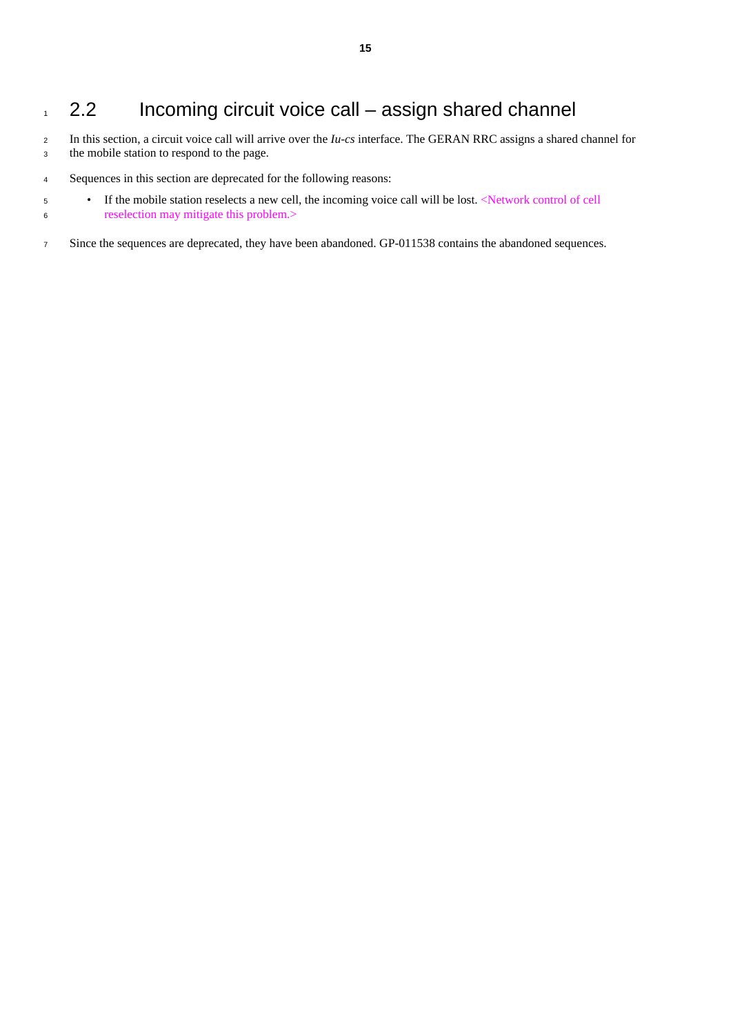## 1 2.2 Incoming circuit voice call – assign shared channel

- In this section, a circuit voice call will arrive over the *Iu-cs* interface. The GERAN RRC assigns a shared channel for the mobile station to respond to the page.
- Sequences in this section are deprecated for the following reasons:
- If the mobile station reselects a new cell, the incoming voice call will be lost. <Network control of cell reselection may mitigate this problem.>
- Since the sequences are deprecated, they have been abandoned. GP-011538 contains the abandoned sequences.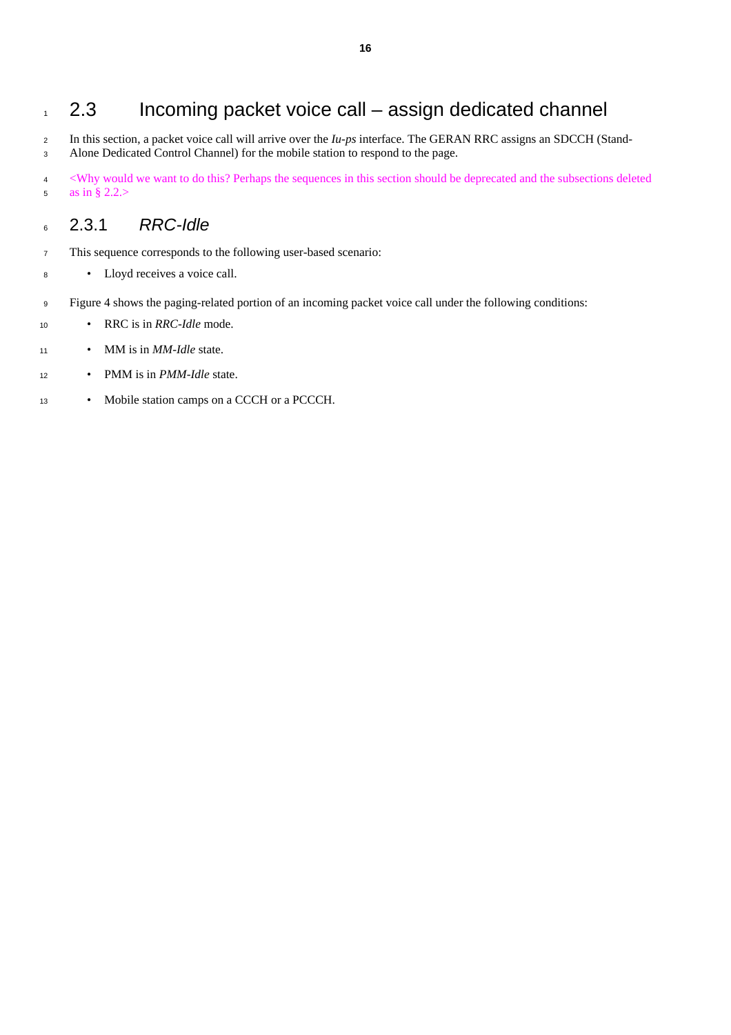## 1 2.3 Incoming packet voice call – assign dedicated channel

 In this section, a packet voice call will arrive over the *Iu-ps* interface. The GERAN RRC assigns an SDCCH (Stand-Alone Dedicated Control Channel) for the mobile station to respond to the page.

 <Why would we want to do this? Perhaps the sequences in this section should be deprecated and the subsections deleted as in § 2.2.>

### 2.3.1 *RRC-Idle*

- This sequence corresponds to the following user-based scenario:
- Lloyd receives a voice call.
- Figure 4 shows the paging-related portion of an incoming packet voice call under the following conditions:
- RRC is in *RRC-Idle* mode.
- MM is in *MM-Idle* state.
- PMM is in *PMM-Idle* state.
- Mobile station camps on a CCCH or a PCCCH.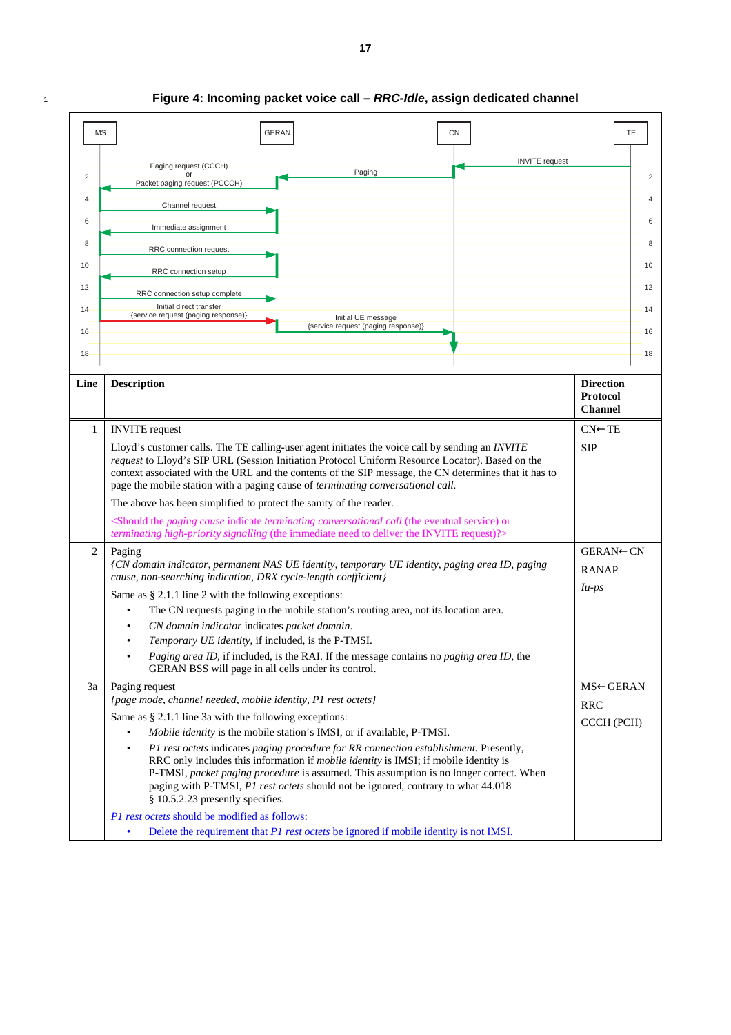#### <sup>1</sup> **Figure 4: Incoming packet voice call –** *RRC-Idle***, assign dedicated channel** 2 MS GERAN CN TE Paging request (CCCH) or Packet paging request (PCCCH) INVITE request Paging

Channel request

Immediate assignment RRC connection request RRC connection setup RRC connection setup complete

| 14             | Initial direct transfer<br>{service request (paging response)}                                                                                                                                                                                                                                                                                                                                                |                                                                                                                                                                                                                                                                                                                                                                     | 14                                                    |
|----------------|---------------------------------------------------------------------------------------------------------------------------------------------------------------------------------------------------------------------------------------------------------------------------------------------------------------------------------------------------------------------------------------------------------------|---------------------------------------------------------------------------------------------------------------------------------------------------------------------------------------------------------------------------------------------------------------------------------------------------------------------------------------------------------------------|-------------------------------------------------------|
| 16             |                                                                                                                                                                                                                                                                                                                                                                                                               | Initial UE message<br>{service request (paging response)}                                                                                                                                                                                                                                                                                                           | 16                                                    |
|                |                                                                                                                                                                                                                                                                                                                                                                                                               |                                                                                                                                                                                                                                                                                                                                                                     |                                                       |
| 18             |                                                                                                                                                                                                                                                                                                                                                                                                               |                                                                                                                                                                                                                                                                                                                                                                     | 18                                                    |
| Line           | <b>Description</b>                                                                                                                                                                                                                                                                                                                                                                                            |                                                                                                                                                                                                                                                                                                                                                                     | <b>Direction</b><br><b>Protocol</b><br><b>Channel</b> |
| 1              | <b>INVITE</b> request                                                                                                                                                                                                                                                                                                                                                                                         |                                                                                                                                                                                                                                                                                                                                                                     | $CN \leftarrow TE$                                    |
|                | Lloyd's customer calls. The TE calling-user agent initiates the voice call by sending an <i>INVITE</i><br>request to Lloyd's SIP URL (Session Initiation Protocol Uniform Resource Locator). Based on the<br>context associated with the URL and the contents of the SIP message, the CN determines that it has to<br>page the mobile station with a paging cause of <i>terminating conversational call</i> . |                                                                                                                                                                                                                                                                                                                                                                     | <b>SIP</b>                                            |
|                | The above has been simplified to protect the sanity of the reader.                                                                                                                                                                                                                                                                                                                                            |                                                                                                                                                                                                                                                                                                                                                                     |                                                       |
|                | <should <i="" the="">paging cause indicate <i>terminating conversational call</i> (the eventual service) or<br/>terminating high-priority signalling (the immediate need to deliver the INVITE request)?&gt;</should>                                                                                                                                                                                         |                                                                                                                                                                                                                                                                                                                                                                     |                                                       |
| $\overline{2}$ | Paging                                                                                                                                                                                                                                                                                                                                                                                                        |                                                                                                                                                                                                                                                                                                                                                                     | <b>GERAN←CN</b>                                       |
|                | (CN domain indicator, permanent NAS UE identity, temporary UE identity, paging area ID, paging<br>cause, non-searching indication, DRX cycle-length coefficient}                                                                                                                                                                                                                                              |                                                                                                                                                                                                                                                                                                                                                                     | <b>RANAP</b>                                          |
|                |                                                                                                                                                                                                                                                                                                                                                                                                               |                                                                                                                                                                                                                                                                                                                                                                     | $Iu-ps$                                               |
|                | Same as $\S 2.1.1$ line 2 with the following exceptions:                                                                                                                                                                                                                                                                                                                                                      | The CN requests paging in the mobile station's routing area, not its location area.                                                                                                                                                                                                                                                                                 |                                                       |
|                | CN domain indicator indicates packet domain.                                                                                                                                                                                                                                                                                                                                                                  |                                                                                                                                                                                                                                                                                                                                                                     |                                                       |
|                | Temporary UE identity, if included, is the P-TMSI.<br>$\bullet$                                                                                                                                                                                                                                                                                                                                               |                                                                                                                                                                                                                                                                                                                                                                     |                                                       |
|                | GERAN BSS will page in all cells under its control.                                                                                                                                                                                                                                                                                                                                                           | Paging area ID, if included, is the RAI. If the message contains no paging area ID, the                                                                                                                                                                                                                                                                             |                                                       |
| 3a             | Paging request                                                                                                                                                                                                                                                                                                                                                                                                |                                                                                                                                                                                                                                                                                                                                                                     | MS←GERAN                                              |
|                | {page mode, channel needed, mobile identity, P1 rest octets}                                                                                                                                                                                                                                                                                                                                                  |                                                                                                                                                                                                                                                                                                                                                                     | <b>RRC</b>                                            |
|                | Same as § 2.1.1 line 3a with the following exceptions:                                                                                                                                                                                                                                                                                                                                                        |                                                                                                                                                                                                                                                                                                                                                                     | CCCH (PCH)                                            |
|                | $\bullet$                                                                                                                                                                                                                                                                                                                                                                                                     | Mobile identity is the mobile station's IMSI, or if available, P-TMSI.                                                                                                                                                                                                                                                                                              |                                                       |
|                | $\bullet$<br>§ 10.5.2.23 presently specifies.                                                                                                                                                                                                                                                                                                                                                                 | P1 rest octets indicates paging procedure for RR connection establishment. Presently,<br>RRC only includes this information if <i>mobile identity</i> is IMSI; if mobile identity is<br>P-TMSI, packet paging procedure is assumed. This assumption is no longer correct. When<br>paging with P-TMSI, P1 rest octets should not be ignored, contrary to what 44.018 |                                                       |
|                | P1 rest octets should be modified as follows:                                                                                                                                                                                                                                                                                                                                                                 |                                                                                                                                                                                                                                                                                                                                                                     |                                                       |
|                | ٠                                                                                                                                                                                                                                                                                                                                                                                                             | Delete the requirement that P1 rest octets be ignored if mobile identity is not IMSI.                                                                                                                                                                                                                                                                               |                                                       |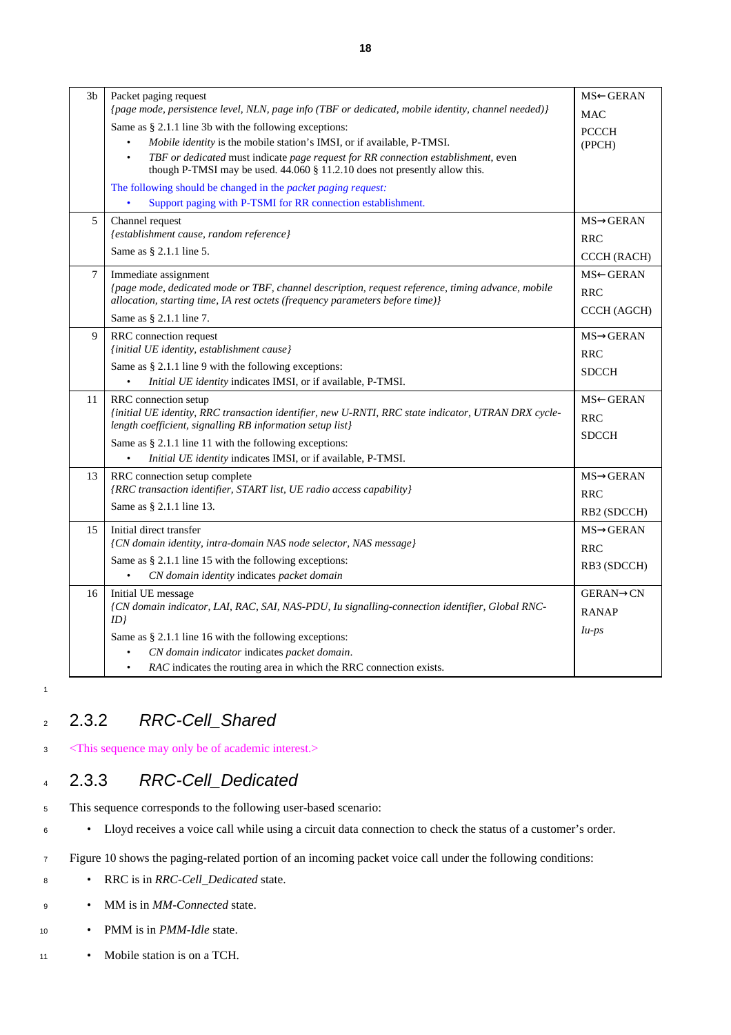| 3 <sub>b</sub> | Packet paging request                                                                                                                                                        | MS←GERAN               |
|----------------|------------------------------------------------------------------------------------------------------------------------------------------------------------------------------|------------------------|
|                | {page mode, persistence level, NLN, page info (TBF or dedicated, mobile identity, channel needed)}                                                                           | <b>MAC</b>             |
|                | Same as $\S 2.1.1$ line 3b with the following exceptions:                                                                                                                    | <b>PCCCH</b>           |
|                | Mobile identity is the mobile station's IMSI, or if available, P-TMSI.                                                                                                       | (PPCH)                 |
|                | TBF or dedicated must indicate page request for RR connection establishment, even<br>$\bullet$<br>though P-TMSI may be used. 44.060 § 11.2.10 does not presently allow this. |                        |
|                | The following should be changed in the packet paging request:                                                                                                                |                        |
|                | Support paging with P-TSMI for RR connection establishment.                                                                                                                  |                        |
| 5              | Channel request                                                                                                                                                              | $MS \rightarrow GERAN$ |
|                | {establishment cause, random reference}                                                                                                                                      | <b>RRC</b>             |
|                | Same as $\S$ 2.1.1 line 5.                                                                                                                                                   | CCCH (RACH)            |
| 7              | Immediate assignment                                                                                                                                                         | $MS \leftarrow GERAN$  |
|                | {page mode, dedicated mode or TBF, channel description, request reference, timing advance, mobile                                                                            | <b>RRC</b>             |
|                | allocation, starting time, IA rest octets (frequency parameters before time)}                                                                                                | CCCH (AGCH)            |
|                | Same as § 2.1.1 line 7.                                                                                                                                                      |                        |
| 9              | RRC connection request                                                                                                                                                       | $MS \rightarrow GERAN$ |
|                | {initial UE identity, establishment cause}                                                                                                                                   | <b>RRC</b>             |
|                | Same as $\S 2.1.1$ line 9 with the following exceptions:                                                                                                                     | <b>SDCCH</b>           |
|                | Initial UE identity indicates IMSI, or if available, P-TMSI.                                                                                                                 |                        |
| 11             | RRC connection setup<br>finitial UE identity, RRC transaction identifier, new U-RNTI, RRC state indicator, UTRAN DRX cycle-                                                  | MS←GERAN               |
|                | length coefficient, signalling RB information setup list}                                                                                                                    | <b>RRC</b>             |
|                | Same as $\S 2.1.1$ line 11 with the following exceptions:                                                                                                                    | <b>SDCCH</b>           |
|                | Initial UE identity indicates IMSI, or if available, P-TMSI.                                                                                                                 |                        |
| 13             | RRC connection setup complete                                                                                                                                                | $MS \rightarrow GERAN$ |
|                | {RRC transaction identifier, START list, UE radio access capability}                                                                                                         | <b>RRC</b>             |
|                | Same as § 2.1.1 line 13.                                                                                                                                                     | RB2 (SDCCH)            |
| 15             | Initial direct transfer                                                                                                                                                      | $MS \rightarrow GERAN$ |
|                | {CN domain identity, intra-domain NAS node selector, NAS message}                                                                                                            | <b>RRC</b>             |
|                | Same as § 2.1.1 line 15 with the following exceptions:                                                                                                                       |                        |
|                | CN domain identity indicates packet domain                                                                                                                                   | RB3 (SDCCH)            |
| 16             | Initial UE message                                                                                                                                                           | <b>GERAN→CN</b>        |
|                | {CN domain indicator, LAI, RAC, SAI, NAS-PDU, Iu signalling-connection identifier, Global RNC-                                                                               | <b>RANAP</b>           |
|                | ID                                                                                                                                                                           | $Iu-ps$                |
|                | Same as $\S 2.1.1$ line 16 with the following exceptions:                                                                                                                    |                        |
|                | CN domain indicator indicates packet domain.                                                                                                                                 |                        |
|                | RAC indicates the routing area in which the RRC connection exists.                                                                                                           |                        |

### <sup>2</sup> 2.3.2 *RRC-Cell\_Shared*

<sup>3</sup> <This sequence may only be of academic interest.>

### <sup>4</sup> 2.3.3 *RRC-Cell\_Dedicated*

- <sup>5</sup> This sequence corresponds to the following user-based scenario:
- <sup>6</sup> Lloyd receives a voice call while using a circuit data connection to check the status of a customer's order.
- <sup>7</sup> Figure 10 shows the paging-related portion of an incoming packet voice call under the following conditions:
- <sup>8</sup> RRC is in *RRC-Cell\_Dedicated* state.
- <sup>9</sup> MM is in *MM-Connected* state.
- <sup>10</sup> PMM is in *PMM-Idle* state.
- <sup>11</sup> Mobile station is on a TCH.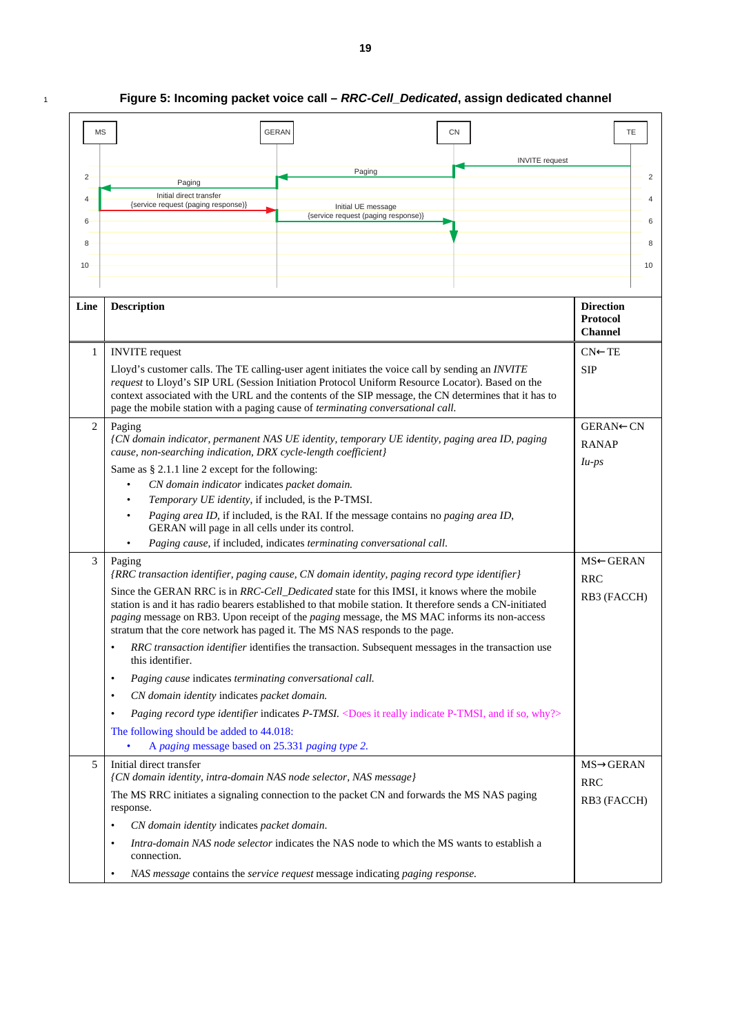#### <sup>1</sup> **Figure 5: Incoming packet voice call –** *RRC-Cell\_Dedicated***, assign dedicated channel**

| MS             |                                                                                                                                                                                                                                                                                           | <b>GERAN</b>                                                                                                                            | CN                    | TE                                                    |
|----------------|-------------------------------------------------------------------------------------------------------------------------------------------------------------------------------------------------------------------------------------------------------------------------------------------|-----------------------------------------------------------------------------------------------------------------------------------------|-----------------------|-------------------------------------------------------|
| $\overline{2}$ |                                                                                                                                                                                                                                                                                           | Paging                                                                                                                                  | <b>INVITE</b> request | $\overline{2}$                                        |
|                | Paging                                                                                                                                                                                                                                                                                    |                                                                                                                                         |                       |                                                       |
| 4              | Initial direct transfer<br>{service request (paging response)}                                                                                                                                                                                                                            | Initial UE message                                                                                                                      |                       | $\overline{4}$                                        |
| 6              |                                                                                                                                                                                                                                                                                           | {service request (paging response)}                                                                                                     |                       | 6                                                     |
|                |                                                                                                                                                                                                                                                                                           |                                                                                                                                         |                       |                                                       |
| 8              |                                                                                                                                                                                                                                                                                           |                                                                                                                                         |                       | 8                                                     |
|                |                                                                                                                                                                                                                                                                                           |                                                                                                                                         |                       |                                                       |
| 10             |                                                                                                                                                                                                                                                                                           |                                                                                                                                         |                       | 10                                                    |
|                |                                                                                                                                                                                                                                                                                           |                                                                                                                                         |                       |                                                       |
| Line           | <b>Description</b>                                                                                                                                                                                                                                                                        |                                                                                                                                         |                       | <b>Direction</b><br><b>Protocol</b><br><b>Channel</b> |
| 1              | <b>INVITE</b> request                                                                                                                                                                                                                                                                     |                                                                                                                                         |                       | $CN \leftarrow TE$                                    |
|                | Lloyd's customer calls. The TE calling-user agent initiates the voice call by sending an <i>INVITE</i>                                                                                                                                                                                    |                                                                                                                                         |                       | <b>SIP</b>                                            |
|                | request to Lloyd's SIP URL (Session Initiation Protocol Uniform Resource Locator). Based on the<br>context associated with the URL and the contents of the SIP message, the CN determines that it has to                                                                                  |                                                                                                                                         |                       |                                                       |
|                | page the mobile station with a paging cause of terminating conversational call.                                                                                                                                                                                                           |                                                                                                                                         |                       |                                                       |
| 2              | Paging                                                                                                                                                                                                                                                                                    |                                                                                                                                         |                       | GERAN←CN                                              |
|                | (CN domain indicator, permanent NAS UE identity, temporary UE identity, paging area ID, paging                                                                                                                                                                                            |                                                                                                                                         |                       |                                                       |
|                | cause, non-searching indication, DRX cycle-length coefficient}                                                                                                                                                                                                                            |                                                                                                                                         |                       | <b>RANAP</b>                                          |
|                | Same as $\S 2.1.1$ line 2 except for the following:                                                                                                                                                                                                                                       |                                                                                                                                         |                       | $Iu-ps$                                               |
|                | ٠                                                                                                                                                                                                                                                                                         |                                                                                                                                         |                       |                                                       |
|                | CN domain indicator indicates packet domain.<br>Temporary UE identity, if included, is the P-TMSI.                                                                                                                                                                                        |                                                                                                                                         |                       |                                                       |
|                | Paging area ID, if included, is the RAI. If the message contains no paging area ID,                                                                                                                                                                                                       |                                                                                                                                         |                       |                                                       |
|                | GERAN will page in all cells under its control.<br>Paging cause, if included, indicates terminating conversational call.                                                                                                                                                                  |                                                                                                                                         |                       |                                                       |
|                |                                                                                                                                                                                                                                                                                           |                                                                                                                                         |                       |                                                       |
| 3              | Paging<br>{RRC transaction identifier, paging cause, CN domain identity, paging record type identifier}                                                                                                                                                                                   |                                                                                                                                         |                       | MS←GERAN                                              |
|                | Since the GERAN RRC is in RRC-Cell_Dedicated state for this IMSI, it knows where the mobile                                                                                                                                                                                               |                                                                                                                                         |                       | <b>RRC</b>                                            |
|                | station is and it has radio bearers established to that mobile station. It therefore sends a CN-initiated<br>paging message on RB3. Upon receipt of the paging message, the MS MAC informs its non-access<br>stratum that the core network has paged it. The MS NAS responds to the page. |                                                                                                                                         |                       | RB3 (FACCH)                                           |
|                | this identifier.                                                                                                                                                                                                                                                                          | RRC transaction identifier identifies the transaction. Subsequent messages in the transaction use                                       |                       |                                                       |
|                | Paging cause indicates terminating conversational call.<br>$\bullet$                                                                                                                                                                                                                      |                                                                                                                                         |                       |                                                       |
|                | CN domain identity indicates packet domain.<br>٠                                                                                                                                                                                                                                          |                                                                                                                                         |                       |                                                       |
|                | $\bullet$                                                                                                                                                                                                                                                                                 | <i>Paging record type identifier indicates P-TMSI.</i> <does and="" if="" indicate="" it="" p-tmsi,="" really="" so,="" why?=""></does> |                       |                                                       |
|                | The following should be added to 44.018:                                                                                                                                                                                                                                                  |                                                                                                                                         |                       |                                                       |
|                | A paging message based on 25.331 paging type 2.                                                                                                                                                                                                                                           |                                                                                                                                         |                       |                                                       |
| 5              | Initial direct transfer                                                                                                                                                                                                                                                                   |                                                                                                                                         |                       | $MS \rightarrow GERAN$                                |
|                | {CN domain identity, intra-domain NAS node selector, NAS message}                                                                                                                                                                                                                         |                                                                                                                                         |                       | <b>RRC</b>                                            |
|                | The MS RRC initiates a signaling connection to the packet CN and forwards the MS NAS paging<br>response.                                                                                                                                                                                  |                                                                                                                                         |                       | RB3 (FACCH)                                           |
|                | CN domain identity indicates packet domain.<br>٠                                                                                                                                                                                                                                          |                                                                                                                                         |                       |                                                       |
|                | $\bullet$<br>connection.                                                                                                                                                                                                                                                                  | <i>Intra-domain NAS node selector</i> indicates the NAS node to which the MS wants to establish a                                       |                       |                                                       |
|                | $\bullet$                                                                                                                                                                                                                                                                                 | NAS message contains the service request message indicating paging response.                                                            |                       |                                                       |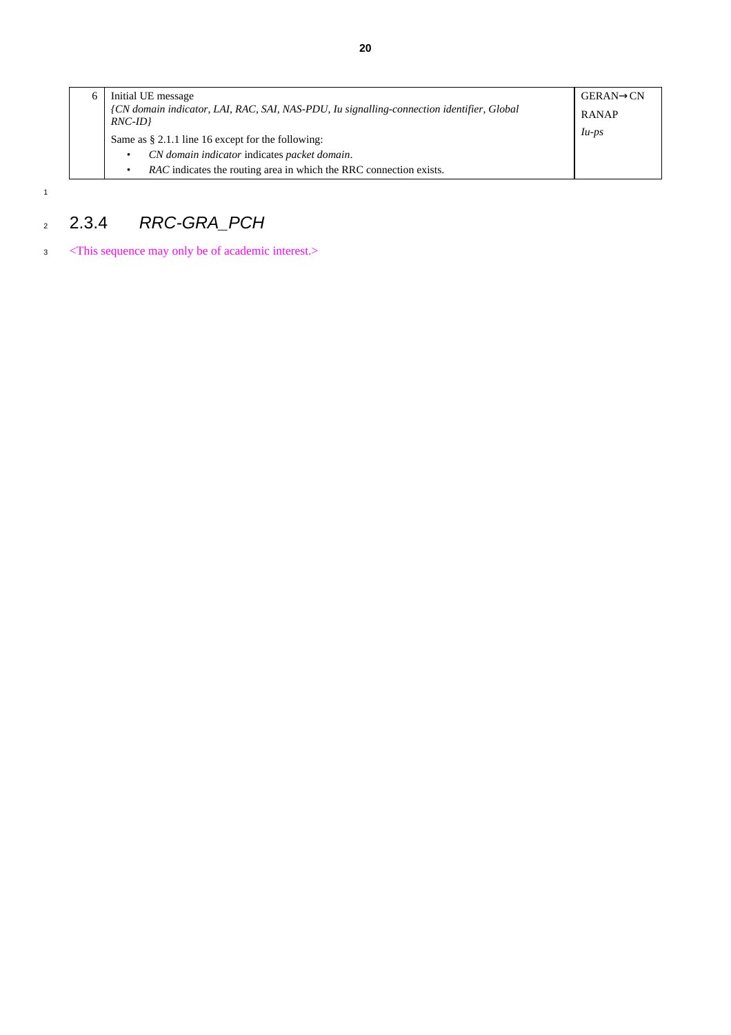| 6                                                         | Initial UE message<br>(CN domain indicator, LAI, RAC, SAI, NAS-PDU, Iu signalling-connection identifier, Global<br>$RNC$ -ID} | $GERAN \rightarrow CN$<br><b>RANAP</b> |
|-----------------------------------------------------------|-------------------------------------------------------------------------------------------------------------------------------|----------------------------------------|
| Same as $\S 2.1.1$ line 16 except for the following:      |                                                                                                                               | $1u$ - $ps$                            |
| CN domain indicator indicates packet domain.<br>$\bullet$ |                                                                                                                               |                                        |
|                                                           | <i>RAC</i> indicates the routing area in which the RRC connection exists.<br>٠                                                |                                        |

## <sup>2</sup> 2.3.4 *RRC-GRA\_PCH*

<sup>3</sup> <This sequence may only be of academic interest.>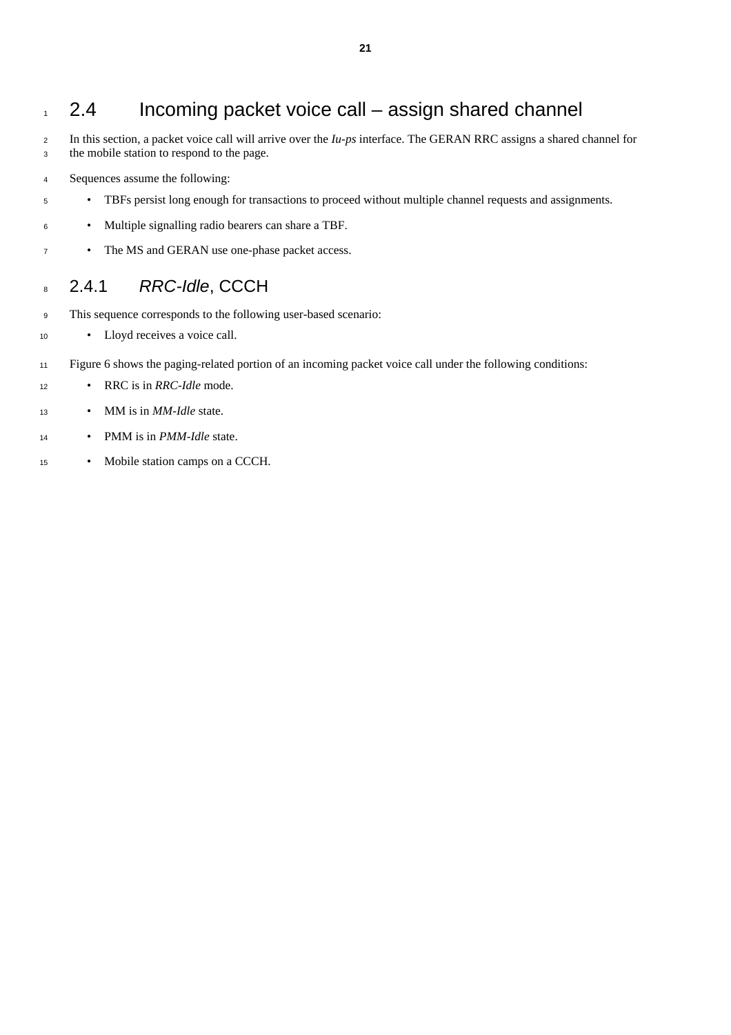## 1 2.4 Incoming packet voice call – assign shared channel

- In this section, a packet voice call will arrive over the *Iu-ps* interface. The GERAN RRC assigns a shared channel for the mobile station to respond to the page.
- Sequences assume the following:
- TBFs persist long enough for transactions to proceed without multiple channel requests and assignments.
- Multiple signalling radio bearers can share a TBF.
- The MS and GERAN use one-phase packet access.

### 2.4.1 *RRC-Idle*, CCCH

- This sequence corresponds to the following user-based scenario:
- Lloyd receives a voice call.
- Figure 6 shows the paging-related portion of an incoming packet voice call under the following conditions:
- RRC is in *RRC-Idle* mode.
- MM is in *MM-Idle* state.
- PMM is in *PMM-Idle* state.
- Mobile station camps on a CCCH.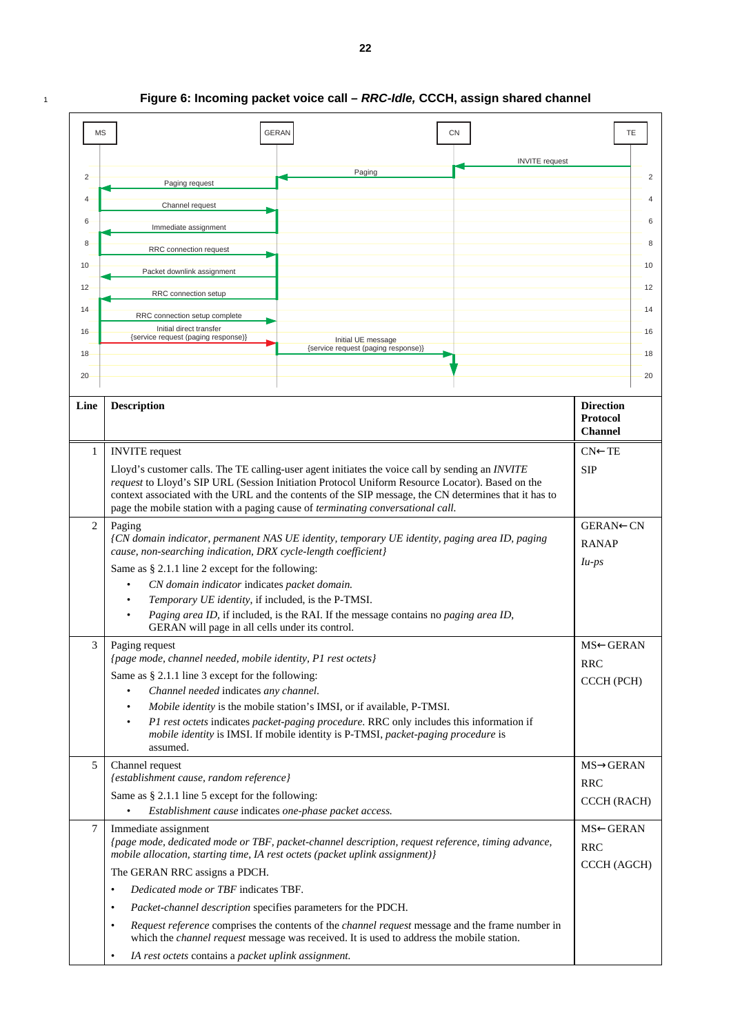#### <sup>1</sup> **Figure 6: Incoming packet voice call –** *RRC-Idle,* **CCCH, assign shared channel**

| <b>MS</b>       | <b>GERAN</b>                                                                                                                                                                                                            |                                                           | <b>CN</b>             | TE                                                    |                |
|-----------------|-------------------------------------------------------------------------------------------------------------------------------------------------------------------------------------------------------------------------|-----------------------------------------------------------|-----------------------|-------------------------------------------------------|----------------|
|                 |                                                                                                                                                                                                                         |                                                           | <b>INVITE</b> request |                                                       |                |
| $\overline{2}$  | Paging request                                                                                                                                                                                                          | Paging                                                    |                       |                                                       | $\overline{2}$ |
| 4               | Channel request                                                                                                                                                                                                         |                                                           |                       |                                                       | 4              |
| 6               | Immediate assignment                                                                                                                                                                                                    |                                                           |                       |                                                       | 6              |
| 8               | RRC connection request                                                                                                                                                                                                  |                                                           |                       |                                                       | 8              |
| 10 <sup>°</sup> | Packet downlink assignment                                                                                                                                                                                              |                                                           |                       |                                                       | 10             |
| 12 <sup>°</sup> | RRC connection setup                                                                                                                                                                                                    |                                                           |                       |                                                       | 12             |
| 14              | RRC connection setup complete                                                                                                                                                                                           |                                                           |                       |                                                       | 14             |
| 16              | Initial direct transfer<br>{service request (paging response)}                                                                                                                                                          |                                                           |                       |                                                       | 16             |
| 18              |                                                                                                                                                                                                                         | Initial UE message<br>{service request (paging response)} |                       |                                                       | 18             |
|                 |                                                                                                                                                                                                                         |                                                           |                       |                                                       |                |
| 20 <sup>°</sup> |                                                                                                                                                                                                                         |                                                           |                       |                                                       | 20             |
| Line            | <b>Description</b>                                                                                                                                                                                                      |                                                           |                       | <b>Direction</b><br><b>Protocol</b><br><b>Channel</b> |                |
| 1               | <b>INVITE</b> request                                                                                                                                                                                                   |                                                           |                       | $CN \leftarrow TE$                                    |                |
|                 | Lloyd's customer calls. The TE calling-user agent initiates the voice call by sending an <i>INVITE</i>                                                                                                                  |                                                           |                       | <b>SIP</b>                                            |                |
|                 | request to Lloyd's SIP URL (Session Initiation Protocol Uniform Resource Locator). Based on the<br>context associated with the URL and the contents of the SIP message, the CN determines that it has to                |                                                           |                       |                                                       |                |
|                 | page the mobile station with a paging cause of terminating conversational call.                                                                                                                                         |                                                           |                       |                                                       |                |
| 2               | Paging                                                                                                                                                                                                                  |                                                           |                       | GERAN←CN                                              |                |
|                 | (CN domain indicator, permanent NAS UE identity, temporary UE identity, paging area ID, paging                                                                                                                          |                                                           |                       | <b>RANAP</b>                                          |                |
|                 | cause, non-searching indication, DRX cycle-length coefficient}                                                                                                                                                          |                                                           |                       | $\mu$ -ps                                             |                |
|                 | Same as $\S 2.1.1$ line 2 except for the following:                                                                                                                                                                     |                                                           |                       |                                                       |                |
|                 | CN domain indicator indicates packet domain.<br>$\bullet$<br>Temporary UE identity, if included, is the P-TMSI.                                                                                                         |                                                           |                       |                                                       |                |
|                 | <i>Paging area ID,</i> if included, is the RAI. If the message contains no <i>paging area ID</i> ,                                                                                                                      |                                                           |                       |                                                       |                |
|                 | GERAN will page in all cells under its control.                                                                                                                                                                         |                                                           |                       |                                                       |                |
| 3               | Paging request                                                                                                                                                                                                          |                                                           |                       | MS←GERAN                                              |                |
|                 | {page mode, channel needed, mobile identity, P1 rest octets}                                                                                                                                                            |                                                           |                       | <b>RRC</b>                                            |                |
|                 | Same as § 2.1.1 line 3 except for the following:                                                                                                                                                                        |                                                           |                       | CCCH (PCH)                                            |                |
|                 | Channel needed indicates any channel.                                                                                                                                                                                   |                                                           |                       |                                                       |                |
|                 | Mobile identity is the mobile station's IMSI, or if available, P-TMSI.<br>P1 rest octets indicates packet-paging procedure. RRC only includes this information if<br>$\bullet$                                          |                                                           |                       |                                                       |                |
|                 | mobile identity is IMSI. If mobile identity is P-TMSI, packet-paging procedure is<br>assumed.                                                                                                                           |                                                           |                       |                                                       |                |
| 5               | Channel request                                                                                                                                                                                                         |                                                           |                       | $MS \rightarrow GERAN$                                |                |
|                 | {establishment cause, random reference}                                                                                                                                                                                 |                                                           |                       | <b>RRC</b>                                            |                |
|                 | Same as $\S 2.1.1$ line 5 except for the following:<br>Establishment cause indicates one-phase packet access.                                                                                                           |                                                           |                       | CCCH (RACH)                                           |                |
| 7               | Immediate assignment                                                                                                                                                                                                    |                                                           |                       | MS←GERAN                                              |                |
|                 | (page mode, dedicated mode or TBF, packet-channel description, request reference, timing advance,<br>mobile allocation, starting time, IA rest octets (packet uplink assignment)}                                       |                                                           |                       | <b>RRC</b>                                            |                |
|                 | The GERAN RRC assigns a PDCH.                                                                                                                                                                                           |                                                           |                       | CCCH (AGCH)                                           |                |
|                 | Dedicated mode or TBF indicates TBF.<br>$\bullet$                                                                                                                                                                       |                                                           |                       |                                                       |                |
|                 | Packet-channel description specifies parameters for the PDCH.<br>$\bullet$                                                                                                                                              |                                                           |                       |                                                       |                |
|                 | Request reference comprises the contents of the <i>channel request</i> message and the frame number in<br>$\bullet$<br>which the <i>channel request</i> message was received. It is used to address the mobile station. |                                                           |                       |                                                       |                |
|                 | IA rest octets contains a packet uplink assignment.                                                                                                                                                                     |                                                           |                       |                                                       |                |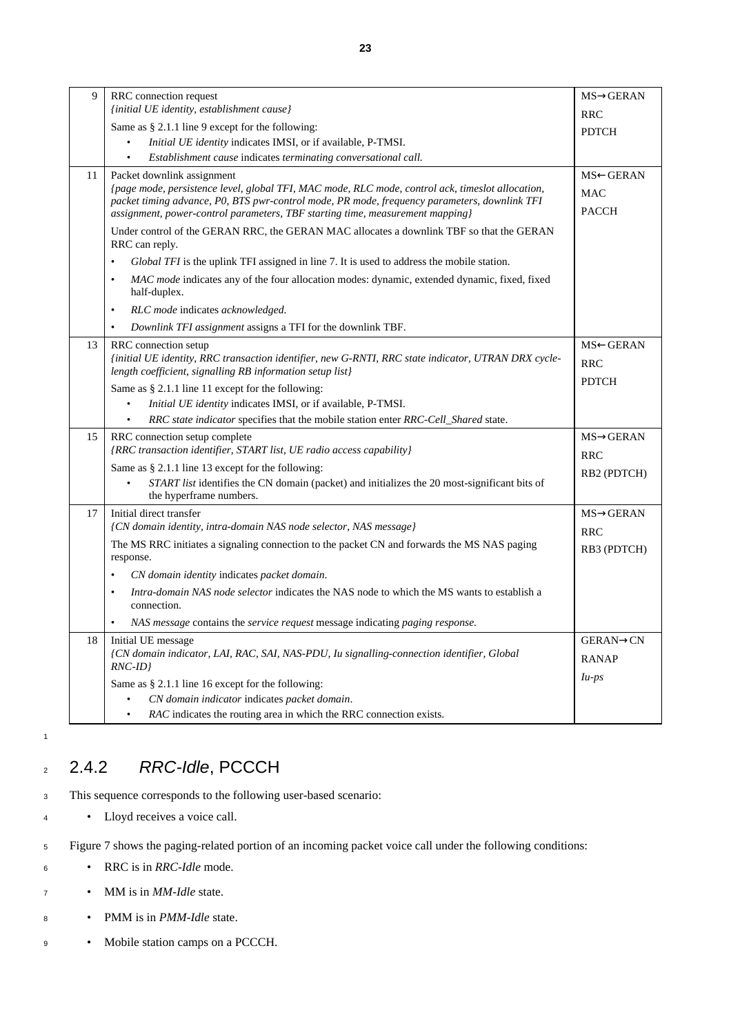| 9  | RRC connection request<br>{initial UE identity, establishment cause}                                                                                                                                                                                                                                            | $MS \rightarrow GERAN$                 |
|----|-----------------------------------------------------------------------------------------------------------------------------------------------------------------------------------------------------------------------------------------------------------------------------------------------------------------|----------------------------------------|
|    | Same as § 2.1.1 line 9 except for the following:                                                                                                                                                                                                                                                                | <b>RRC</b>                             |
|    | $\bullet$<br>Initial UE identity indicates IMSI, or if available, P-TMSI.                                                                                                                                                                                                                                       | <b>PDTCH</b>                           |
|    | $\bullet$<br>Establishment cause indicates terminating conversational call.                                                                                                                                                                                                                                     |                                        |
| 11 | Packet downlink assignment<br>(page mode, persistence level, global TFI, MAC mode, RLC mode, control ack, timeslot allocation,<br>packet timing advance, P0, BTS pwr-control mode, PR mode, frequency parameters, downlink TFI<br>assignment, power-control parameters, TBF starting time, measurement mapping} | MS←GERAN<br><b>MAC</b><br><b>PACCH</b> |
|    | Under control of the GERAN RRC, the GERAN MAC allocates a downlink TBF so that the GERAN<br>RRC can reply.                                                                                                                                                                                                      |                                        |
|    | <i>Global TFI</i> is the uplink TFI assigned in line 7. It is used to address the mobile station.<br>$\bullet$                                                                                                                                                                                                  |                                        |
|    | <i>MAC mode</i> indicates any of the four allocation modes: dynamic, extended dynamic, fixed, fixed<br>$\bullet$<br>half-duplex.                                                                                                                                                                                |                                        |
|    | RLC mode indicates acknowledged.<br>$\bullet$                                                                                                                                                                                                                                                                   |                                        |
|    | Downlink TFI assignment assigns a TFI for the downlink TBF.                                                                                                                                                                                                                                                     |                                        |
| 13 | RRC connection setup<br>(initial UE identity, RRC transaction identifier, new G-RNTI, RRC state indicator, UTRAN DRX cycle-<br>length coefficient, signalling RB information setup list}                                                                                                                        | MS←GERAN<br><b>RRC</b><br><b>PDTCH</b> |
|    | Same as $\S 2.1.1$ line 11 except for the following:<br>Initial UE identity indicates IMSI, or if available, P-TMSI.<br>RRC state indicator specifies that the mobile station enter RRC-Cell Shared state.<br>$\bullet$                                                                                         |                                        |
| 15 | RRC connection setup complete<br>{RRC transaction identifier, START list, UE radio access capability}                                                                                                                                                                                                           | $MS \rightarrow GERAN$<br><b>RRC</b>   |
|    | Same as $\S 2.1.1$ line 13 except for the following:<br><i>START list</i> identifies the CN domain (packet) and initializes the 20 most-significant bits of<br>the hyperframe numbers.                                                                                                                          | RB2 (PDTCH)                            |
| 17 | Initial direct transfer<br>{CN domain identity, intra-domain NAS node selector, NAS message}                                                                                                                                                                                                                    | $MS \rightarrow GERAN$<br><b>RRC</b>   |
|    | The MS RRC initiates a signaling connection to the packet CN and forwards the MS NAS paging<br>response.                                                                                                                                                                                                        | RB3 (PDTCH)                            |
|    | CN domain identity indicates packet domain.<br>$\bullet$                                                                                                                                                                                                                                                        |                                        |
|    | <i>Intra-domain NAS node selector</i> indicates the NAS node to which the MS wants to establish a<br>$\bullet$<br>connection.                                                                                                                                                                                   |                                        |
|    | NAS message contains the service request message indicating paging response.                                                                                                                                                                                                                                    |                                        |
| 18 | Initial UE message<br>(CN domain indicator, LAI, RAC, SAI, NAS-PDU, Iu signalling-connection identifier, Global<br>$RNC$ -ID}                                                                                                                                                                                   | $GERAN \rightarrow CN$<br><b>RANAP</b> |
|    | Same as § 2.1.1 line 16 except for the following:                                                                                                                                                                                                                                                               | $Iu-ps$                                |
|    | CN domain indicator indicates packet domain.                                                                                                                                                                                                                                                                    |                                        |
|    | <i>RAC</i> indicates the routing area in which the RRC connection exists.<br>$\bullet$                                                                                                                                                                                                                          |                                        |

## <sup>2</sup> 2.4.2 *RRC-Idle*, PCCCH

<sup>3</sup> This sequence corresponds to the following user-based scenario:

<sup>4</sup> • Lloyd receives a voice call.

<sup>5</sup> Figure 7 shows the paging-related portion of an incoming packet voice call under the following conditions:

- <sup>6</sup> RRC is in *RRC-Idle* mode.
- <sup>7</sup> MM is in *MM-Idle* state.
- <sup>8</sup> PMM is in *PMM-Idle* state.
- <sup>9</sup> Mobile station camps on a PCCCH.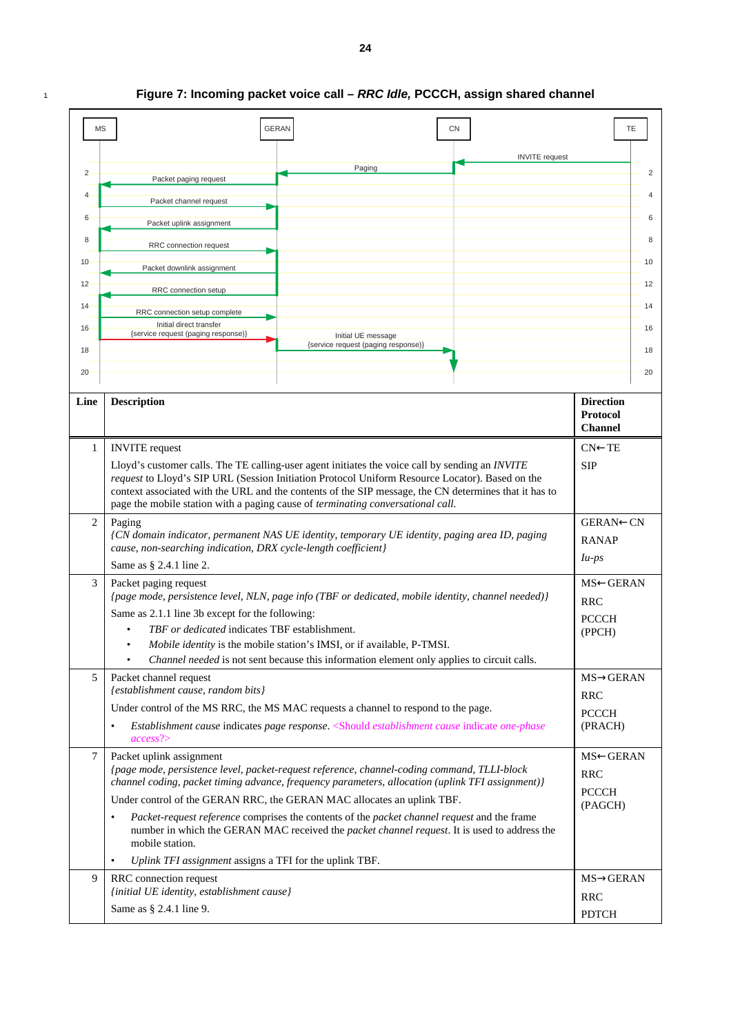| MS             | <b>GERAN</b>                                                                                                                                                                                             |                                                                                                                                                                                             | CN                    | TE                                                    |
|----------------|----------------------------------------------------------------------------------------------------------------------------------------------------------------------------------------------------------|---------------------------------------------------------------------------------------------------------------------------------------------------------------------------------------------|-----------------------|-------------------------------------------------------|
|                |                                                                                                                                                                                                          |                                                                                                                                                                                             | <b>INVITE</b> request |                                                       |
| $\overline{2}$ | Packet paging request                                                                                                                                                                                    | Paging                                                                                                                                                                                      |                       | $\overline{2}$                                        |
| 4              | Packet channel request                                                                                                                                                                                   |                                                                                                                                                                                             |                       | 4                                                     |
| 6              | Packet uplink assignment                                                                                                                                                                                 |                                                                                                                                                                                             |                       | 6                                                     |
| 8              | RRC connection request                                                                                                                                                                                   |                                                                                                                                                                                             |                       | 8                                                     |
| 10             | Packet downlink assignment                                                                                                                                                                               |                                                                                                                                                                                             |                       | 10                                                    |
| 12             | RRC connection setup                                                                                                                                                                                     |                                                                                                                                                                                             |                       | 12                                                    |
| 14             | RRC connection setup complete                                                                                                                                                                            |                                                                                                                                                                                             |                       | 14                                                    |
| 16             | Initial direct transfer<br>{service request (paging response)}                                                                                                                                           | Initial UE message                                                                                                                                                                          |                       | 16                                                    |
| 18             |                                                                                                                                                                                                          | {service request (paging response)}                                                                                                                                                         |                       | 18                                                    |
| 20             |                                                                                                                                                                                                          |                                                                                                                                                                                             |                       | 20                                                    |
| Line           | <b>Description</b>                                                                                                                                                                                       |                                                                                                                                                                                             |                       | <b>Direction</b><br><b>Protocol</b><br><b>Channel</b> |
| 1              | <b>INVITE</b> request                                                                                                                                                                                    |                                                                                                                                                                                             |                       | $CN \leftarrow TE$                                    |
|                | Lloyd's customer calls. The TE calling-user agent initiates the voice call by sending an <i>INVITE</i>                                                                                                   |                                                                                                                                                                                             |                       | <b>SIP</b>                                            |
|                | request to Lloyd's SIP URL (Session Initiation Protocol Uniform Resource Locator). Based on the<br>context associated with the URL and the contents of the SIP message, the CN determines that it has to |                                                                                                                                                                                             |                       |                                                       |
|                | page the mobile station with a paging cause of terminating conversational call.                                                                                                                          |                                                                                                                                                                                             |                       |                                                       |
| $\overline{2}$ | Paging<br>(CN domain indicator, permanent NAS UE identity, temporary UE identity, paging area ID, paging                                                                                                 |                                                                                                                                                                                             |                       | <b>GERAN←CN</b><br><b>RANAP</b>                       |
|                | cause, non-searching indication, DRX cycle-length coefficient}                                                                                                                                           |                                                                                                                                                                                             |                       | $\mu$ -ps                                             |
| 3              | Same as § 2.4.1 line 2.<br>Packet paging request                                                                                                                                                         |                                                                                                                                                                                             |                       | MS←GERAN                                              |
|                | (page mode, persistence level, NLN, page info (TBF or dedicated, mobile identity, channel needed))                                                                                                       |                                                                                                                                                                                             |                       | <b>RRC</b>                                            |
|                | Same as 2.1.1 line 3b except for the following:                                                                                                                                                          |                                                                                                                                                                                             |                       | <b>PCCCH</b>                                          |
|                | TBF or dedicated indicates TBF establishment.                                                                                                                                                            | Mobile identity is the mobile station's IMSI, or if available, P-TMSI.                                                                                                                      |                       | (PPCH)                                                |
|                |                                                                                                                                                                                                          | Channel needed is not sent because this information element only applies to circuit calls.                                                                                                  |                       |                                                       |
| 5              | Packet channel request<br>{establishment cause, random bits}                                                                                                                                             |                                                                                                                                                                                             |                       | $MS \rightarrow GERAN$                                |
|                | Under control of the MS RRC, the MS MAC requests a channel to respond to the page.                                                                                                                       |                                                                                                                                                                                             |                       | <b>RRC</b><br><b>PCCCH</b>                            |
|                | $\bullet$<br>$access$ ?>                                                                                                                                                                                 | Establishment cause indicates page response. <should cause="" establishment="" indicate="" one-phase<="" th=""><th></th><th>(PRACH)</th></should>                                           |                       | (PRACH)                                               |
| $\overline{7}$ | Packet uplink assignment                                                                                                                                                                                 |                                                                                                                                                                                             |                       | MS←GERAN                                              |
|                | {page mode, persistence level, packet-request reference, channel-coding command, TLLI-block<br>channel coding, packet timing advance, frequency parameters, allocation (uplink TFI assignment)}          |                                                                                                                                                                                             |                       | <b>RRC</b>                                            |
|                | Under control of the GERAN RRC, the GERAN MAC allocates an uplink TBF.                                                                                                                                   |                                                                                                                                                                                             |                       | <b>PCCCH</b><br>(PAGCH)                               |
|                | $\bullet$<br>mobile station.                                                                                                                                                                             | Packet-request reference comprises the contents of the packet channel request and the frame<br>number in which the GERAN MAC received the packet channel request. It is used to address the |                       |                                                       |
|                | Uplink TFI assignment assigns a TFI for the uplink TBF.<br>$\bullet$                                                                                                                                     |                                                                                                                                                                                             |                       |                                                       |
| 9              | RRC connection request<br>{initial UE identity, establishment cause}                                                                                                                                     |                                                                                                                                                                                             |                       | $MS \rightarrow GERAN$                                |
|                | Same as § 2.4.1 line 9.                                                                                                                                                                                  |                                                                                                                                                                                             |                       | <b>RRC</b><br><b>PDTCH</b>                            |
|                |                                                                                                                                                                                                          |                                                                                                                                                                                             |                       |                                                       |

### <sup>1</sup> **Figure 7: Incoming packet voice call –** *RRC Idle,* **PCCCH, assign shared channel**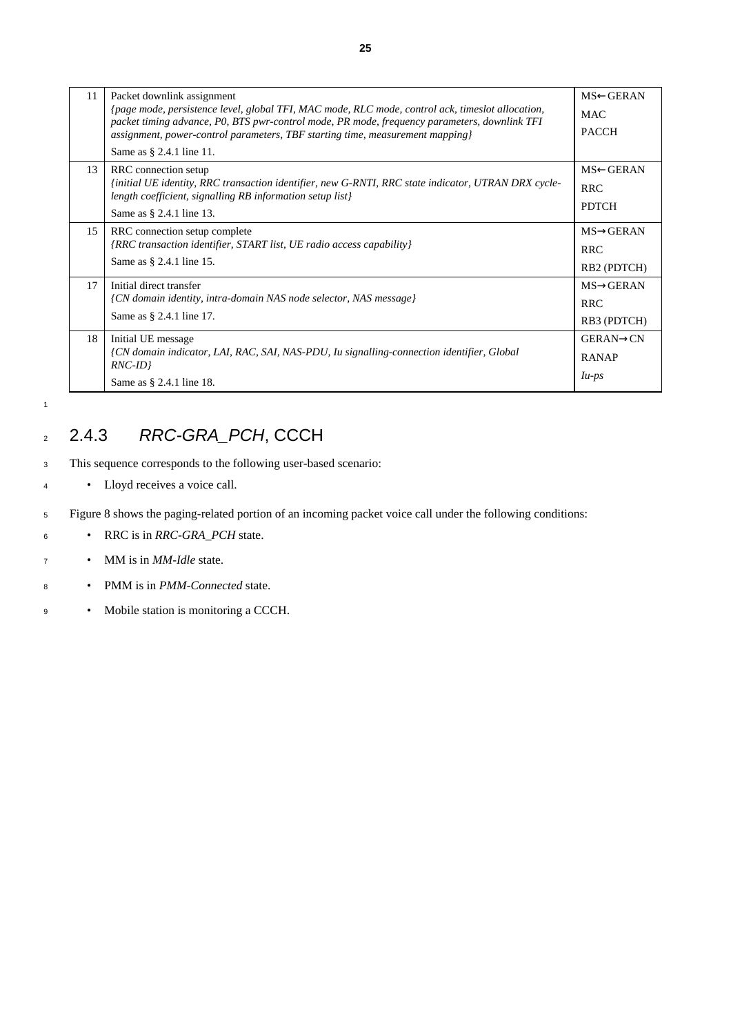| 11 | Packet downlink assignment<br>(page mode, persistence level, global TFI, MAC mode, RLC mode, control ack, timeslot allocation,<br>packet timing advance, P0, BTS pwr-control mode, PR mode, frequency parameters, downlink TFI<br>assignment, power-control parameters, TBF starting time, measurement mapping $\{$<br>Same as § 2.4.1 line 11. | MS←GERAN<br><b>MAC</b><br><b>PACCH</b>              |
|----|-------------------------------------------------------------------------------------------------------------------------------------------------------------------------------------------------------------------------------------------------------------------------------------------------------------------------------------------------|-----------------------------------------------------|
| 13 | RRC connection setup<br>finitial UE identity, RRC transaction identifier, new G-RNTI, RRC state indicator, UTRAN DRX cycle-<br>length coefficient, signalling RB information setup list}<br>Same as § 2.4.1 line 13.                                                                                                                            | $MS \leftarrow GERAN$<br><b>RRC</b><br><b>PDTCH</b> |
| 15 | RRC connection setup complete<br><i>{RRC transaction identifier, START list, UE radio access capability}</i><br>Same as § 2.4.1 line 15.                                                                                                                                                                                                        | $MS \rightarrow GERAN$<br><b>RRC</b><br>RB2 (PDTCH) |
| 17 | Initial direct transfer<br>{CN domain identity, intra-domain NAS node selector, NAS message}<br>Same as § 2.4.1 line 17.                                                                                                                                                                                                                        | $MS \rightarrow GERAN$<br><b>RRC</b><br>RB3 (PDTCH) |
| 18 | Initial UE message<br>(CN domain indicator, LAI, RAC, SAI, NAS-PDU, Iu signalling-connection identifier, Global<br>$RNC$ -ID}<br>Same as § 2.4.1 line 18.                                                                                                                                                                                       | $GERAN \rightarrow CN$<br><b>RANAP</b><br>$Iu$ -ps  |

### <sup>2</sup> 2.4.3 *RRC-GRA\_PCH*, CCCH

- <sup>3</sup> This sequence corresponds to the following user-based scenario:
- <sup>4</sup> Lloyd receives a voice call.
- <sup>5</sup> Figure 8 shows the paging-related portion of an incoming packet voice call under the following conditions:
- <sup>6</sup> RRC is in *RRC-GRA\_PCH* state.
- <sup>7</sup> MM is in *MM-Idle* state.
- <sup>8</sup> PMM is in *PMM-Connected* state.
- <sup>9</sup> Mobile station is monitoring a CCCH.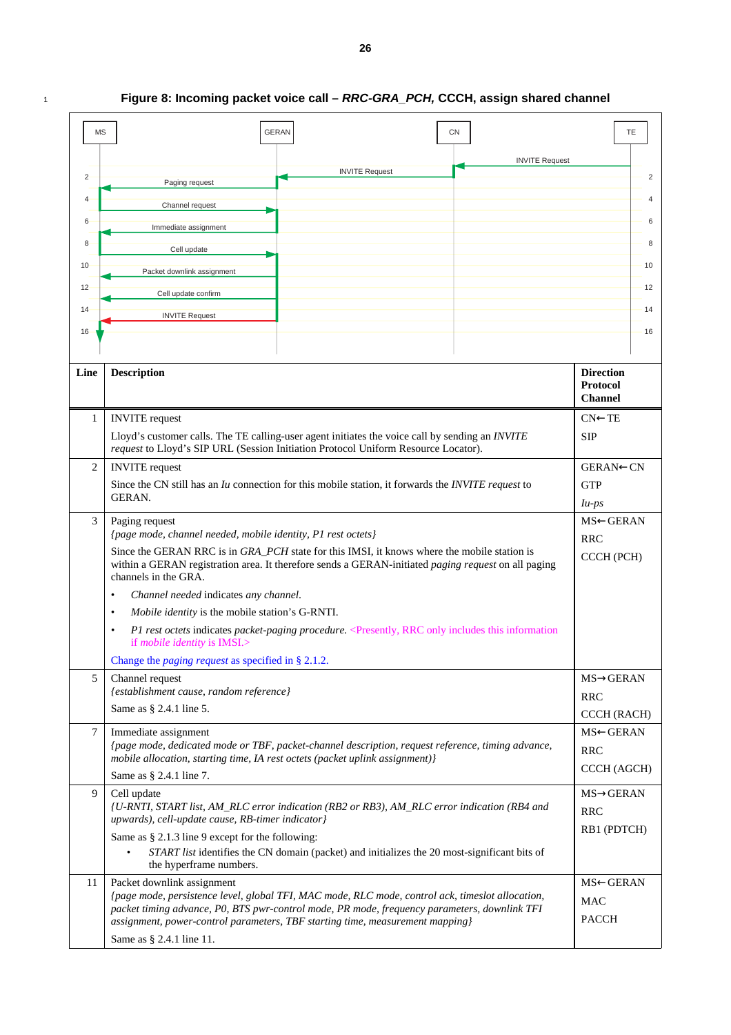### <sup>1</sup> **Figure 8: Incoming packet voice call –** *RRC-GRA\_PCH,* **CCCH, assign shared channel**

| <b>MS</b>       | <b>GERAN</b><br>CN                                                                                                                                                                                                         | TE                                                    |  |  |
|-----------------|----------------------------------------------------------------------------------------------------------------------------------------------------------------------------------------------------------------------------|-------------------------------------------------------|--|--|
|                 | <b>INVITE Request</b>                                                                                                                                                                                                      |                                                       |  |  |
| 2 <sup>1</sup>  | <b>INVITE Request</b><br>Paging request                                                                                                                                                                                    | $\overline{2}$                                        |  |  |
| 4               | Channel request                                                                                                                                                                                                            | $\overline{4}$                                        |  |  |
| 6               |                                                                                                                                                                                                                            | 6                                                     |  |  |
| 8               | Immediate assignment                                                                                                                                                                                                       | 8                                                     |  |  |
| 10 <sup>°</sup> | Cell update                                                                                                                                                                                                                | 10                                                    |  |  |
| 12 <sup>°</sup> | Packet downlink assignment                                                                                                                                                                                                 | 12                                                    |  |  |
|                 | Cell update confirm                                                                                                                                                                                                        |                                                       |  |  |
| 14              | <b>INVITE Request</b>                                                                                                                                                                                                      | 14                                                    |  |  |
| 16              |                                                                                                                                                                                                                            | 16                                                    |  |  |
|                 |                                                                                                                                                                                                                            |                                                       |  |  |
| Line            | <b>Description</b>                                                                                                                                                                                                         | <b>Direction</b><br><b>Protocol</b><br><b>Channel</b> |  |  |
| 1               | <b>INVITE</b> request                                                                                                                                                                                                      | $CN \leftarrow TE$                                    |  |  |
|                 | Lloyd's customer calls. The TE calling-user agent initiates the voice call by sending an INVITE                                                                                                                            | <b>SIP</b>                                            |  |  |
|                 | request to Lloyd's SIP URL (Session Initiation Protocol Uniform Resource Locator).                                                                                                                                         |                                                       |  |  |
| 2               | <b>INVITE</b> request                                                                                                                                                                                                      | GERAN←CN                                              |  |  |
|                 | Since the CN still has an <i>Iu</i> connection for this mobile station, it forwards the <i>INVITE request</i> to<br><b>GERAN.</b>                                                                                          | <b>GTP</b><br>$Iu-ps$                                 |  |  |
| 3               | Paging request                                                                                                                                                                                                             | MS←GERAN                                              |  |  |
|                 | {page mode, channel needed, mobile identity, P1 rest octets}                                                                                                                                                               |                                                       |  |  |
|                 | Since the GERAN RRC is in GRA_PCH state for this IMSI, it knows where the mobile station is<br>within a GERAN registration area. It therefore sends a GERAN-initiated paging request on all paging<br>channels in the GRA. |                                                       |  |  |
|                 | Channel needed indicates any channel.<br>$\bullet$                                                                                                                                                                         |                                                       |  |  |
|                 | Mobile identity is the mobile station's G-RNTI.<br>$\bullet$                                                                                                                                                               |                                                       |  |  |
|                 | P1 rest octets indicates packet-paging procedure. <presently, includes="" information<br="" only="" rrc="" this="">if mobile identity is IMSI.&gt;</presently,>                                                            |                                                       |  |  |
|                 | Change the <i>paging request</i> as specified in § 2.1.2.                                                                                                                                                                  |                                                       |  |  |
| 5               | Channel request<br>{establishment cause, random reference}                                                                                                                                                                 | $MS \rightarrow GERAN$                                |  |  |
|                 | Same as $\S$ 2.4.1 line 5.                                                                                                                                                                                                 | <b>RRC</b><br>CCCH (RACH)                             |  |  |
| 7               | Immediate assignment                                                                                                                                                                                                       | MS←GERAN                                              |  |  |
|                 | (page mode, dedicated mode or TBF, packet-channel description, request reference, timing advance,                                                                                                                          | <b>RRC</b>                                            |  |  |
|                 | mobile allocation, starting time, IA rest octets (packet uplink assignment)}<br>Same as § 2.4.1 line 7.                                                                                                                    | CCCH (AGCH)                                           |  |  |
| 9               | Cell update                                                                                                                                                                                                                | $MS \rightarrow GERAN$                                |  |  |
|                 | [U-RNTI, START list, AM_RLC error indication (RB2 or RB3), AM_RLC error indication (RB4 and                                                                                                                                | <b>RRC</b>                                            |  |  |
|                 | upwards), cell-update cause, RB-timer indicator}<br>Same as § 2.1.3 line 9 except for the following:                                                                                                                       | RB1 (PDTCH)                                           |  |  |
|                 | START list identifies the CN domain (packet) and initializes the 20 most-significant bits of<br>the hyperframe numbers.                                                                                                    |                                                       |  |  |
| 11              | Packet downlink assignment                                                                                                                                                                                                 | MS←GERAN                                              |  |  |
|                 | (page mode, persistence level, global TFI, MAC mode, RLC mode, control ack, timeslot allocation,<br>packet timing advance, P0, BTS pwr-control mode, PR mode, frequency parameters, downlink TFI                           | MAC                                                   |  |  |
|                 | assignment, power-control parameters, TBF starting time, measurement mapping}                                                                                                                                              | <b>PACCH</b>                                          |  |  |
|                 | Same as § 2.4.1 line 11.                                                                                                                                                                                                   |                                                       |  |  |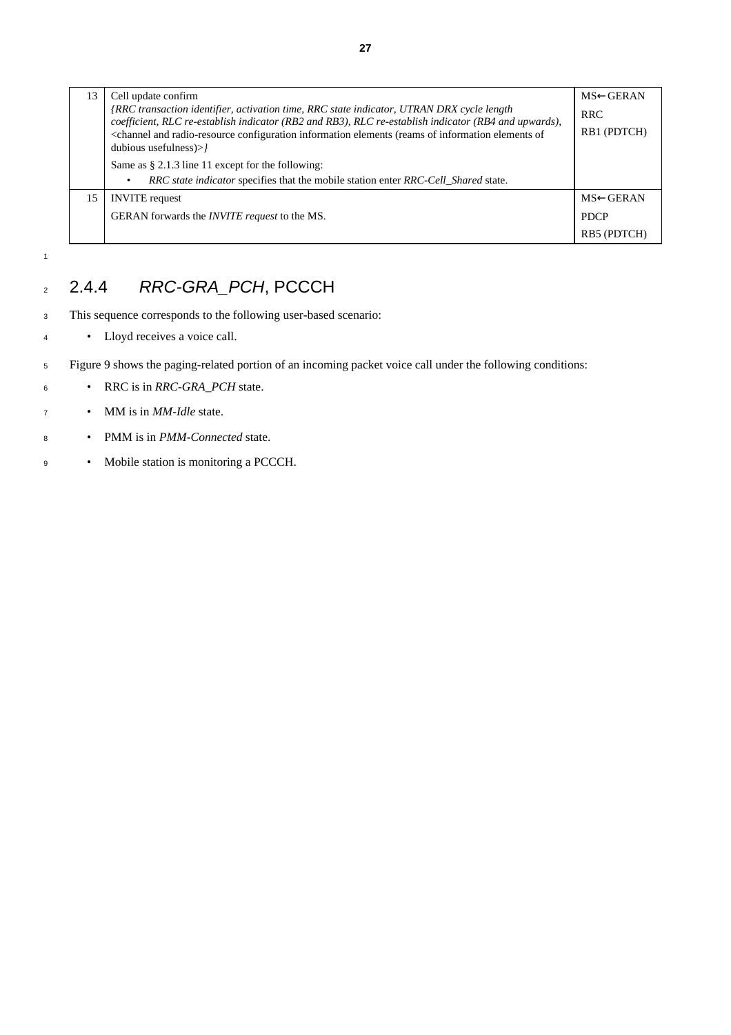| 13 | Cell update confirm<br>{RRC transaction identifier, activation time, RRC state indicator, UTRAN DRX cycle length<br>coefficient, RLC re-establish indicator (RB2 and RB3), RLC re-establish indicator (RB4 and upwards),<br><channel (reams="" and="" configuration="" elements="" information="" of="" of<br="" radio-resource="">dubious usefulness<math>&gt;&gt;l</math><br/>Same as <math>\S 2.1.3</math> line 11 except for the following:</channel> |                       |
|----|-----------------------------------------------------------------------------------------------------------------------------------------------------------------------------------------------------------------------------------------------------------------------------------------------------------------------------------------------------------------------------------------------------------------------------------------------------------|-----------------------|
| 15 | RRC state indicator specifies that the mobile station enter RRC-Cell Shared state.<br><b>INVITE</b> request                                                                                                                                                                                                                                                                                                                                               | $MS \leftarrow GERAN$ |
|    | GERAN forwards the <i>INVITE request</i> to the MS.                                                                                                                                                                                                                                                                                                                                                                                                       | <b>PDCP</b>           |
|    |                                                                                                                                                                                                                                                                                                                                                                                                                                                           | <b>RB5 (PDTCH)</b>    |

### <sup>2</sup> 2.4.4 *RRC-GRA\_PCH*, PCCCH

- <sup>3</sup> This sequence corresponds to the following user-based scenario:
- <sup>4</sup> Lloyd receives a voice call.
- <sup>5</sup> Figure 9 shows the paging-related portion of an incoming packet voice call under the following conditions:
- <sup>6</sup> RRC is in *RRC-GRA\_PCH* state.
- <sup>7</sup> MM is in *MM-Idle* state.
- <sup>8</sup> PMM is in *PMM-Connected* state.
- <sup>9</sup> Mobile station is monitoring a PCCCH.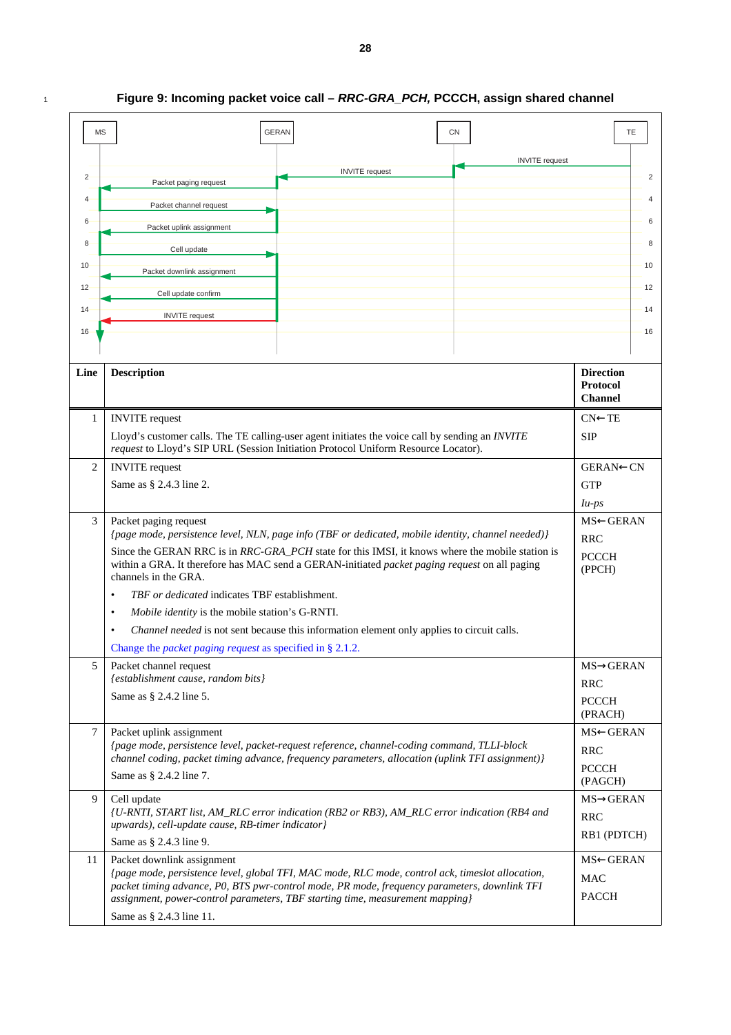#### <sup>1</sup> **Figure 9: Incoming packet voice call –** *RRC-GRA\_PCH,* **PCCCH, assign shared channel**

| <b>MS</b>       | <b>GERAN</b><br><b>CN</b>                                                                                                                                                                             | TE                      |
|-----------------|-------------------------------------------------------------------------------------------------------------------------------------------------------------------------------------------------------|-------------------------|
|                 | <b>INVITE</b> request                                                                                                                                                                                 |                         |
| $\overline{2}$  | <b>INVITE</b> request<br>Packet paging request                                                                                                                                                        | 2                       |
| 4               |                                                                                                                                                                                                       | 4                       |
| 6               | Packet channel request                                                                                                                                                                                | 6                       |
|                 | Packet uplink assignment                                                                                                                                                                              |                         |
| 8               | Cell update                                                                                                                                                                                           | 8                       |
| 10 <sup>°</sup> | Packet downlink assignment                                                                                                                                                                            | 10                      |
| 12              | Cell update confirm                                                                                                                                                                                   | 12                      |
| 14              | <b>INVITE</b> request                                                                                                                                                                                 | 14                      |
| 16              |                                                                                                                                                                                                       | 16                      |
|                 |                                                                                                                                                                                                       |                         |
| Line            | <b>Description</b>                                                                                                                                                                                    | <b>Direction</b>        |
|                 |                                                                                                                                                                                                       | <b>Protocol</b>         |
|                 |                                                                                                                                                                                                       | <b>Channel</b>          |
| 1               | <b>INVITE</b> request                                                                                                                                                                                 | $CN \leftarrow TE$      |
|                 | Lloyd's customer calls. The TE calling-user agent initiates the voice call by sending an INVITE<br>request to Lloyd's SIP URL (Session Initiation Protocol Uniform Resource Locator).                 | <b>SIP</b>              |
| $\overline{2}$  | <b>INVITE</b> request                                                                                                                                                                                 | GERAN←CN                |
|                 | Same as § 2.4.3 line 2.                                                                                                                                                                               | <b>GTP</b>              |
|                 |                                                                                                                                                                                                       | $\mu$ -ps               |
| 3               | Packet paging request                                                                                                                                                                                 | MS←GERAN                |
|                 | (page mode, persistence level, NLN, page info (TBF or dedicated, mobile identity, channel needed))<br>Since the GERAN RRC is in RRC-GRA_PCH state for this IMSI, it knows where the mobile station is | <b>RRC</b>              |
|                 | within a GRA. It therefore has MAC send a GERAN-initiated packet paging request on all paging<br>channels in the GRA.                                                                                 | <b>PCCCH</b><br>(PPCH)  |
|                 | <b>TBF</b> or dedicated indicates TBF establishment.<br>$\bullet$                                                                                                                                     |                         |
|                 | Mobile identity is the mobile station's G-RNTI.<br>٠                                                                                                                                                  |                         |
|                 | <i>Channel needed</i> is not sent because this information element only applies to circuit calls.<br>$\bullet$                                                                                        |                         |
|                 | Change the <i>packet paging request</i> as specified in $\S$ 2.1.2.                                                                                                                                   |                         |
| 5               | Packet channel request<br>{establishment cause, random bits}                                                                                                                                          | MS→GERAN                |
|                 | Same as § 2.4.2 line 5.                                                                                                                                                                               | <b>RRC</b>              |
|                 |                                                                                                                                                                                                       | <b>PCCCH</b><br>(PRACH) |
| $\tau$          | Packet uplink assignment                                                                                                                                                                              | MS←GERAN                |
|                 | {page mode, persistence level, packet-request reference, channel-coding command, TLLI-block<br>channel coding, packet timing advance, frequency parameters, allocation (uplink TFI assignment)}       | <b>RRC</b>              |
|                 | Same as § 2.4.2 line 7.                                                                                                                                                                               | <b>PCCCH</b><br>(PAGCH) |
| 9               | Cell update                                                                                                                                                                                           | $MS \rightarrow GERAN$  |
|                 | [U-RNTI, START list, AM_RLC error indication (RB2 or RB3), AM_RLC error indication (RB4 and<br>upwards), cell-update cause, RB-timer indicator}                                                       | <b>RRC</b>              |
|                 | Same as § 2.4.3 line 9.                                                                                                                                                                               | RB1 (PDTCH)             |
| 11              | Packet downlink assignment                                                                                                                                                                            | MS←GERAN                |
|                 | (page mode, persistence level, global TFI, MAC mode, RLC mode, control ack, timeslot allocation,<br>packet timing advance, P0, BTS pwr-control mode, PR mode, frequency parameters, downlink TFI      | <b>MAC</b>              |
|                 | assignment, power-control parameters, TBF starting time, measurement mapping}                                                                                                                         | <b>PACCH</b>            |
|                 | Same as § 2.4.3 line 11.                                                                                                                                                                              |                         |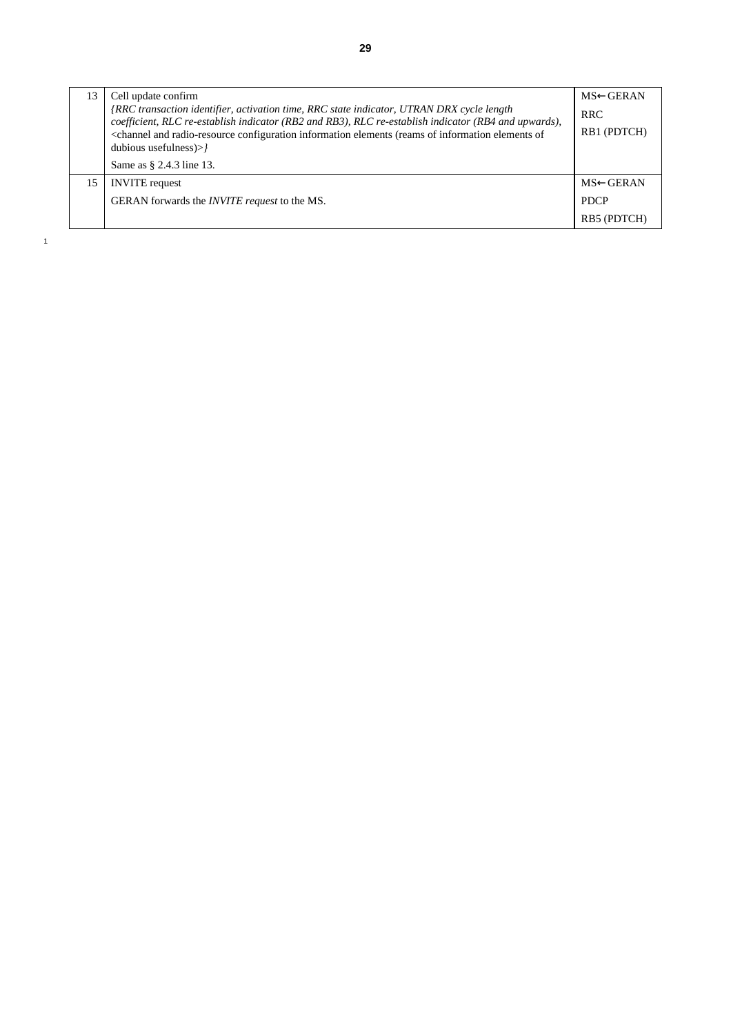| 13 | Cell update confirm<br><i>(RRC transaction identifier, activation time, RRC state indicator, UTRAN DRX cycle length</i><br>coefficient, RLC re-establish indicator (RB2 and RB3), RLC re-establish indicator (RB4 and upwards),<br><channel (reams="" and="" configuration="" elements="" information="" of="" of<br="" radio-resource="">dubious usefulness<math>&gt;&gt;l</math><br/>Same as § 2.4.3 line 13.</channel> | $MS \leftarrow GERAN$<br><b>RRC</b><br>RB1 (PDTCH) |
|----|---------------------------------------------------------------------------------------------------------------------------------------------------------------------------------------------------------------------------------------------------------------------------------------------------------------------------------------------------------------------------------------------------------------------------|----------------------------------------------------|
| 15 | <b>INVITE</b> request<br>GERAN forwards the <i>INVITE request</i> to the MS.                                                                                                                                                                                                                                                                                                                                              | $MS \leftarrow GERAN$<br><b>PDCP</b>               |
|    |                                                                                                                                                                                                                                                                                                                                                                                                                           | RB5 (PDTCH)                                        |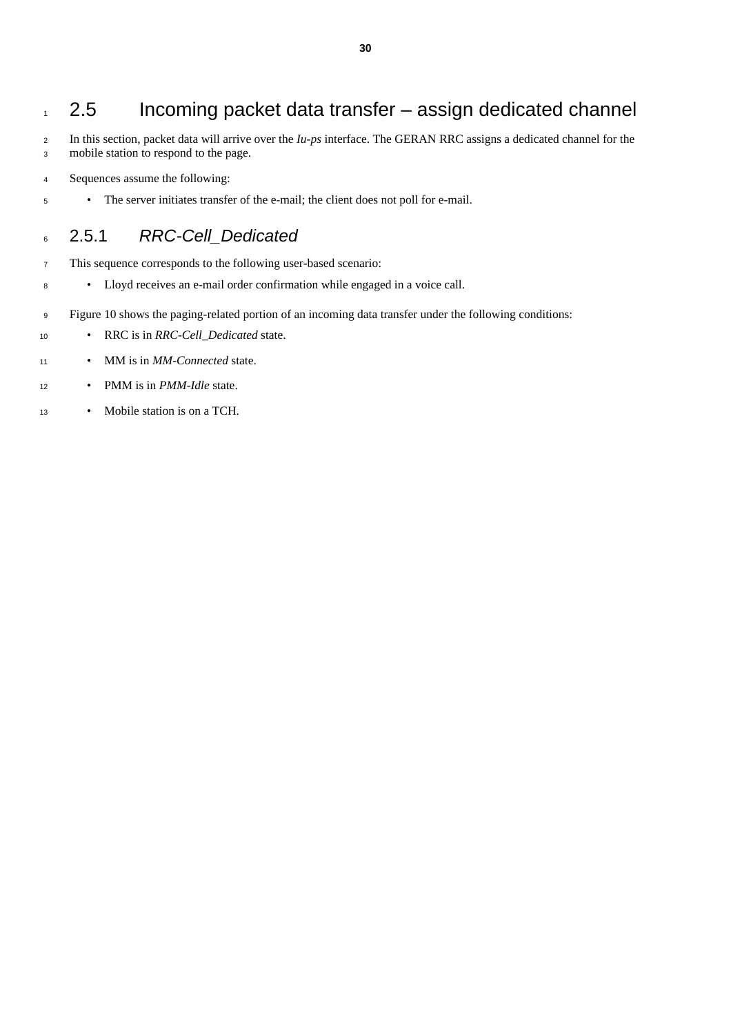## 1 2.5 Incoming packet data transfer – assign dedicated channel

- In this section, packet data will arrive over the *Iu-ps* interface. The GERAN RRC assigns a dedicated channel for the mobile station to respond to the page.
- Sequences assume the following:
- The server initiates transfer of the e-mail; the client does not poll for e-mail.

#### 2.5.1 *RRC-Cell\_Dedicated*

- This sequence corresponds to the following user-based scenario:
- Lloyd receives an e-mail order confirmation while engaged in a voice call.
- Figure 10 shows the paging-related portion of an incoming data transfer under the following conditions:
- RRC is in *RRC-Cell\_Dedicated* state.
- MM is in *MM-Connected* state.
- PMM is in *PMM-Idle* state.
- Mobile station is on a TCH.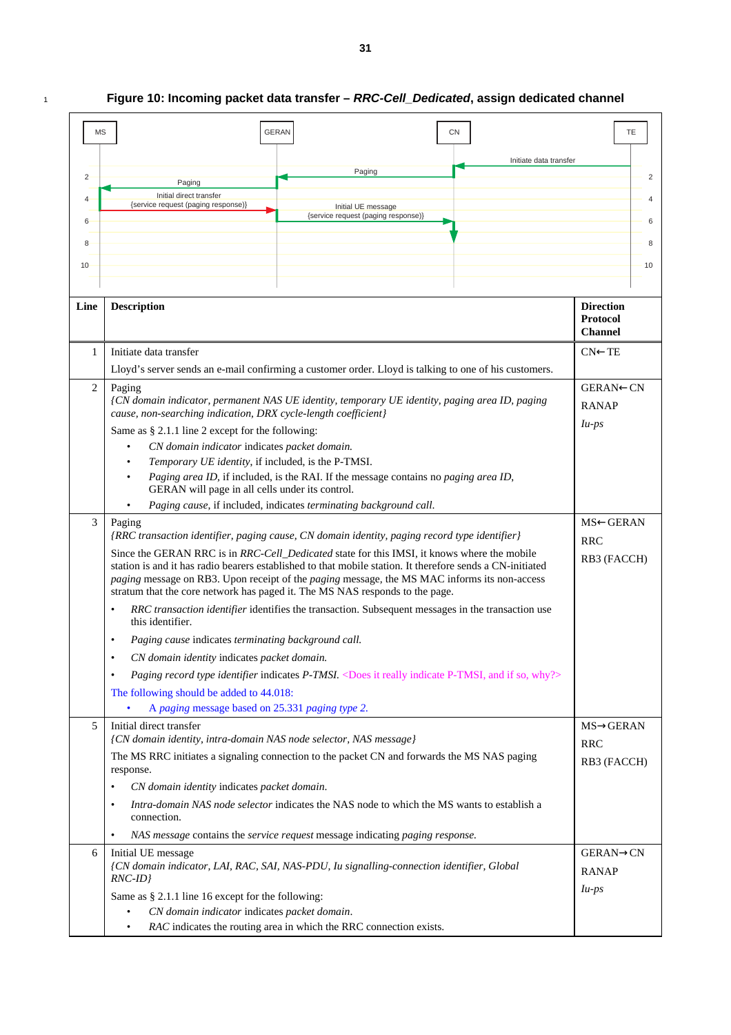### <sup>1</sup> **Figure 10: Incoming packet data transfer –** *RRC-Cell\_Dedicated***, assign dedicated channel**

| <b>MS</b>      |                                                                                                                                                                                                                                                                                                                                                                                          | <b>GERAN</b>                                                                                                                     | CN                     | TE                                                    |
|----------------|------------------------------------------------------------------------------------------------------------------------------------------------------------------------------------------------------------------------------------------------------------------------------------------------------------------------------------------------------------------------------------------|----------------------------------------------------------------------------------------------------------------------------------|------------------------|-------------------------------------------------------|
|                |                                                                                                                                                                                                                                                                                                                                                                                          |                                                                                                                                  | Initiate data transfer |                                                       |
| 2 <sup>1</sup> | Paging                                                                                                                                                                                                                                                                                                                                                                                   | Paging                                                                                                                           |                        | 2                                                     |
| $\overline{4}$ | Initial direct transfer                                                                                                                                                                                                                                                                                                                                                                  |                                                                                                                                  |                        | $\overline{4}$                                        |
| 6              | {service request (paging response)}                                                                                                                                                                                                                                                                                                                                                      | Initial UE message<br>{service request (paging response)}                                                                        |                        | 6                                                     |
|                |                                                                                                                                                                                                                                                                                                                                                                                          |                                                                                                                                  |                        |                                                       |
| 8              |                                                                                                                                                                                                                                                                                                                                                                                          |                                                                                                                                  |                        | 8                                                     |
| 10             |                                                                                                                                                                                                                                                                                                                                                                                          |                                                                                                                                  |                        | 10                                                    |
|                |                                                                                                                                                                                                                                                                                                                                                                                          |                                                                                                                                  |                        |                                                       |
| Line           | <b>Description</b>                                                                                                                                                                                                                                                                                                                                                                       |                                                                                                                                  |                        | <b>Direction</b><br><b>Protocol</b><br><b>Channel</b> |
| 1              | Initiate data transfer                                                                                                                                                                                                                                                                                                                                                                   |                                                                                                                                  |                        | $CN \leftarrow TE$                                    |
|                | Lloyd's server sends an e-mail confirming a customer order. Lloyd is talking to one of his customers.                                                                                                                                                                                                                                                                                    |                                                                                                                                  |                        |                                                       |
| 2              | Paging                                                                                                                                                                                                                                                                                                                                                                                   |                                                                                                                                  |                        | GERAN←CN                                              |
|                | (CN domain indicator, permanent NAS UE identity, temporary UE identity, paging area ID, paging<br>cause, non-searching indication, DRX cycle-length coefficient}                                                                                                                                                                                                                         |                                                                                                                                  |                        | <b>RANAP</b>                                          |
|                | Same as $\S 2.1.1$ line 2 except for the following:                                                                                                                                                                                                                                                                                                                                      |                                                                                                                                  |                        | $Iu-ps$                                               |
|                | CN domain indicator indicates packet domain.<br>$\bullet$                                                                                                                                                                                                                                                                                                                                |                                                                                                                                  |                        |                                                       |
|                | Temporary UE identity, if included, is the P-TMSI.<br>$\bullet$                                                                                                                                                                                                                                                                                                                          |                                                                                                                                  |                        |                                                       |
|                |                                                                                                                                                                                                                                                                                                                                                                                          | Paging area ID, if included, is the RAI. If the message contains no paging area ID,                                              |                        |                                                       |
|                | GERAN will page in all cells under its control.                                                                                                                                                                                                                                                                                                                                          |                                                                                                                                  |                        |                                                       |
| 3              |                                                                                                                                                                                                                                                                                                                                                                                          | Paging cause, if included, indicates terminating background call.                                                                |                        | MS←GERAN                                              |
|                | Paging<br>{RRC transaction identifier, paging cause, CN domain identity, paging record type identifier}                                                                                                                                                                                                                                                                                  |                                                                                                                                  |                        | <b>RRC</b>                                            |
|                | Since the GERAN RRC is in RRC-Cell_Dedicated state for this IMSI, it knows where the mobile<br>station is and it has radio bearers established to that mobile station. It therefore sends a CN-initiated<br>paging message on RB3. Upon receipt of the paging message, the MS MAC informs its non-access<br>stratum that the core network has paged it. The MS NAS responds to the page. |                                                                                                                                  |                        | RB3 (FACCH)                                           |
|                | RRC transaction identifier identifies the transaction. Subsequent messages in the transaction use<br>this identifier.                                                                                                                                                                                                                                                                    |                                                                                                                                  |                        |                                                       |
|                | Paging cause indicates terminating background call.                                                                                                                                                                                                                                                                                                                                      |                                                                                                                                  |                        |                                                       |
|                | CN domain identity indicates packet domain.                                                                                                                                                                                                                                                                                                                                              |                                                                                                                                  |                        |                                                       |
|                | $\bullet$                                                                                                                                                                                                                                                                                                                                                                                | Paging record type identifier indicates P-TMSI. <does and="" if="" indicate="" it="" p-tmsi,="" really="" so,="" why?=""></does> |                        |                                                       |
|                | The following should be added to 44.018:                                                                                                                                                                                                                                                                                                                                                 |                                                                                                                                  |                        |                                                       |
|                | A paging message based on 25.331 paging type 2.                                                                                                                                                                                                                                                                                                                                          |                                                                                                                                  |                        |                                                       |
| 5              | Initial direct transfer<br>{CN domain identity, intra-domain NAS node selector, NAS message}                                                                                                                                                                                                                                                                                             |                                                                                                                                  |                        | $MS \rightarrow GERAN$                                |
|                | The MS RRC initiates a signaling connection to the packet CN and forwards the MS NAS paging                                                                                                                                                                                                                                                                                              |                                                                                                                                  |                        | <b>RRC</b>                                            |
|                | response.                                                                                                                                                                                                                                                                                                                                                                                |                                                                                                                                  |                        | RB3 (FACCH)                                           |
|                | CN domain identity indicates packet domain.<br>$\bullet$                                                                                                                                                                                                                                                                                                                                 |                                                                                                                                  |                        |                                                       |
|                | connection.                                                                                                                                                                                                                                                                                                                                                                              | Intra-domain NAS node selector indicates the NAS node to which the MS wants to establish a                                       |                        |                                                       |
|                | $\bullet$                                                                                                                                                                                                                                                                                                                                                                                | NAS message contains the service request message indicating paging response.                                                     |                        |                                                       |
| 6              | Initial UE message<br>{CN domain indicator, LAI, RAC, SAI, NAS-PDU, Iu signalling-connection identifier, Global<br>$RNC$ -ID}                                                                                                                                                                                                                                                            |                                                                                                                                  |                        | <b>GERAN→CN</b><br><b>RANAP</b>                       |
|                | Same as $\S 2.1.1$ line 16 except for the following:                                                                                                                                                                                                                                                                                                                                     |                                                                                                                                  |                        | $Iu-ps$                                               |
|                | CN domain indicator indicates packet domain.                                                                                                                                                                                                                                                                                                                                             |                                                                                                                                  |                        |                                                       |
|                | ٠                                                                                                                                                                                                                                                                                                                                                                                        | RAC indicates the routing area in which the RRC connection exists.                                                               |                        |                                                       |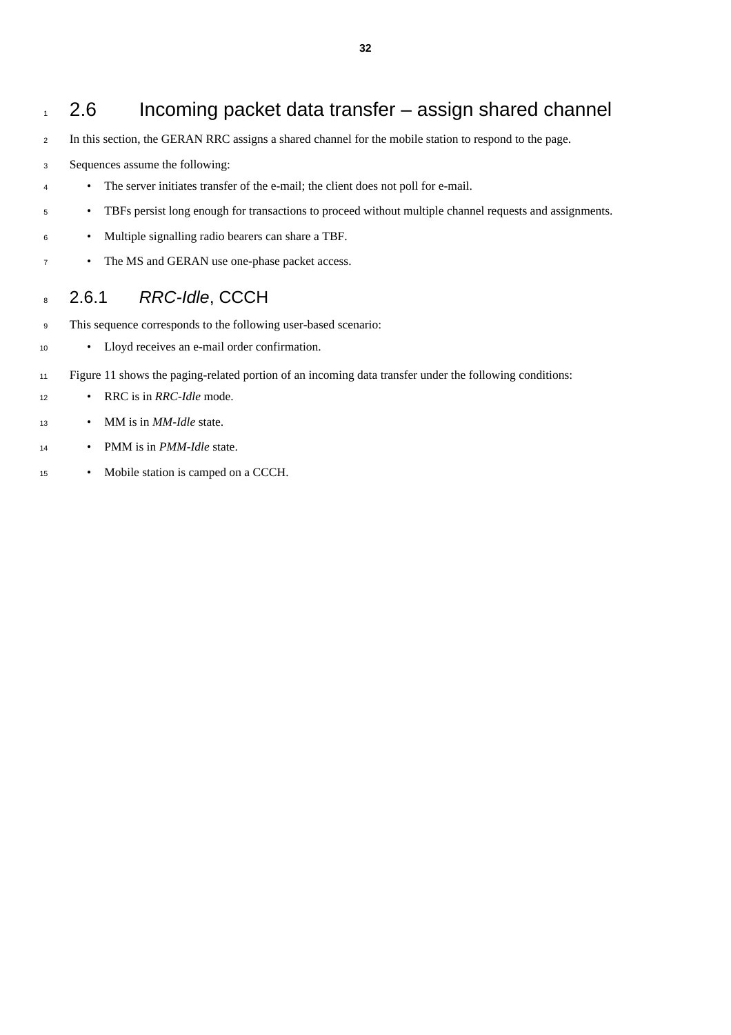## 1 2.6 Incoming packet data transfer – assign shared channel

- In this section, the GERAN RRC assigns a shared channel for the mobile station to respond to the page.
- Sequences assume the following:
- The server initiates transfer of the e-mail; the client does not poll for e-mail.
- <sup>5</sup> **•** TBFs persist long enough for transactions to proceed without multiple channel requests and assignments.
- Multiple signalling radio bearers can share a TBF.
- <sup>7</sup> **•** The MS and GERAN use one-phase packet access.

### 2.6.1 *RRC-Idle*, CCCH

- This sequence corresponds to the following user-based scenario:
- Lloyd receives an e-mail order confirmation.
- Figure 11 shows the paging-related portion of an incoming data transfer under the following conditions:
- RRC is in *RRC-Idle* mode.
- MM is in *MM-Idle* state.
- PMM is in *PMM-Idle* state.
- Mobile station is camped on a CCCH.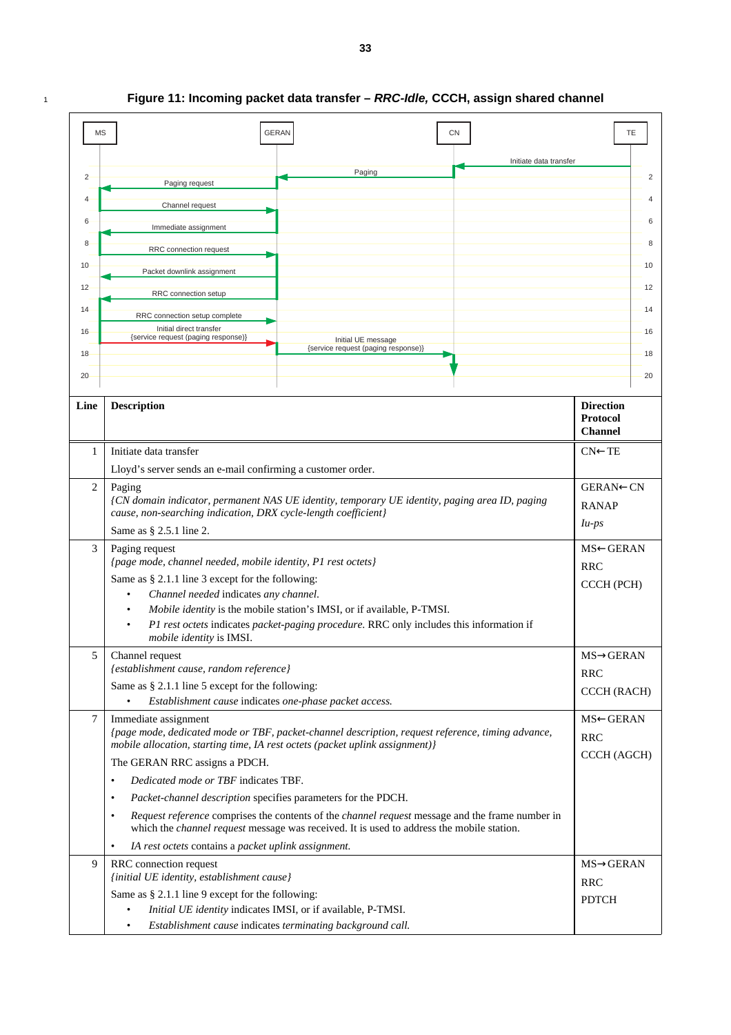#### <sup>1</sup> **Figure 11: Incoming packet data transfer –** *RRC-Idle,* **CCCH, assign shared channel**

| <b>MS</b>       | <b>GERAN</b>                                                                                                                                                      |                                                                                                                                                                                                            | <b>CN</b>              | TE                                                    |
|-----------------|-------------------------------------------------------------------------------------------------------------------------------------------------------------------|------------------------------------------------------------------------------------------------------------------------------------------------------------------------------------------------------------|------------------------|-------------------------------------------------------|
|                 |                                                                                                                                                                   |                                                                                                                                                                                                            | Initiate data transfer |                                                       |
| 2 <sup>1</sup>  |                                                                                                                                                                   | Paging                                                                                                                                                                                                     |                        | 2                                                     |
| 4               | Paging request                                                                                                                                                    |                                                                                                                                                                                                            |                        | 4                                                     |
| 6               | Channel request                                                                                                                                                   |                                                                                                                                                                                                            |                        | 6                                                     |
|                 | Immediate assignment                                                                                                                                              |                                                                                                                                                                                                            |                        |                                                       |
| 8               | RRC connection request                                                                                                                                            |                                                                                                                                                                                                            |                        | 8                                                     |
| 10              | Packet downlink assignment                                                                                                                                        |                                                                                                                                                                                                            |                        | 10                                                    |
| 12              | RRC connection setup                                                                                                                                              |                                                                                                                                                                                                            |                        | 12                                                    |
| 14              | RRC connection setup complete                                                                                                                                     |                                                                                                                                                                                                            |                        | 14                                                    |
| 16              | Initial direct transfer<br>{service request (paging response)}                                                                                                    |                                                                                                                                                                                                            |                        | 16                                                    |
| 18              |                                                                                                                                                                   | Initial UE message<br>{service request (paging response)}                                                                                                                                                  |                        | 18                                                    |
| 20 <sup>°</sup> |                                                                                                                                                                   |                                                                                                                                                                                                            |                        | 20                                                    |
|                 |                                                                                                                                                                   |                                                                                                                                                                                                            |                        |                                                       |
| Line            | <b>Description</b>                                                                                                                                                |                                                                                                                                                                                                            |                        | <b>Direction</b><br><b>Protocol</b><br><b>Channel</b> |
| 1               | Initiate data transfer                                                                                                                                            |                                                                                                                                                                                                            |                        | $CN \leftarrow TE$                                    |
|                 | Lloyd's server sends an e-mail confirming a customer order.                                                                                                       |                                                                                                                                                                                                            |                        |                                                       |
| 2               | Paging                                                                                                                                                            |                                                                                                                                                                                                            |                        | <b>GERAN←CN</b>                                       |
|                 |                                                                                                                                                                   | (CN domain indicator, permanent NAS UE identity, temporary UE identity, paging area ID, paging                                                                                                             |                        | <b>RANAP</b>                                          |
|                 | cause, non-searching indication, DRX cycle-length coefficient}<br>Same as § 2.5.1 line 2.                                                                         |                                                                                                                                                                                                            |                        | $Iu-ps$                                               |
| 3               | Paging request                                                                                                                                                    |                                                                                                                                                                                                            |                        | MS←GERAN                                              |
|                 | {page mode, channel needed, mobile identity, P1 rest octets}                                                                                                      |                                                                                                                                                                                                            |                        | <b>RRC</b>                                            |
|                 | Same as § 2.1.1 line 3 except for the following:                                                                                                                  |                                                                                                                                                                                                            |                        | CCCH (PCH)                                            |
|                 | Channel needed indicates any channel.                                                                                                                             |                                                                                                                                                                                                            |                        |                                                       |
|                 | Mobile identity is the mobile station's IMSI, or if available, P-TMSI.<br>P1 rest octets indicates packet-paging procedure. RRC only includes this information if |                                                                                                                                                                                                            |                        |                                                       |
|                 | mobile identity is IMSI.                                                                                                                                          |                                                                                                                                                                                                            |                        |                                                       |
| 5               | Channel request<br>{establishment cause, random reference}                                                                                                        |                                                                                                                                                                                                            |                        | $MS \rightarrow GERAN$                                |
|                 | Same as § 2.1.1 line 5 except for the following:                                                                                                                  |                                                                                                                                                                                                            |                        | <b>RRC</b>                                            |
|                 | Establishment cause indicates one-phase packet access.                                                                                                            |                                                                                                                                                                                                            |                        | CCCH (RACH)                                           |
| 7               | Immediate assignment                                                                                                                                              |                                                                                                                                                                                                            |                        | MS←GERAN                                              |
|                 | mobile allocation, starting time, IA rest octets (packet uplink assignment)}                                                                                      | (page mode, dedicated mode or TBF, packet-channel description, request reference, timing advance,                                                                                                          |                        | <b>RRC</b>                                            |
|                 | The GERAN RRC assigns a PDCH.                                                                                                                                     |                                                                                                                                                                                                            |                        | CCCH (AGCH)                                           |
|                 | Dedicated mode or TBF indicates TBF.<br>$\bullet$                                                                                                                 |                                                                                                                                                                                                            |                        |                                                       |
|                 | Packet-channel description specifies parameters for the PDCH.<br>$\bullet$                                                                                        |                                                                                                                                                                                                            |                        |                                                       |
|                 | $\bullet$                                                                                                                                                         | Request reference comprises the contents of the <i>channel request</i> message and the frame number in<br>which the <i>channel request</i> message was received. It is used to address the mobile station. |                        |                                                       |
|                 | IA rest octets contains a packet uplink assignment.<br>$\bullet$                                                                                                  |                                                                                                                                                                                                            |                        |                                                       |
| 9               | RRC connection request                                                                                                                                            |                                                                                                                                                                                                            |                        | $MS \rightarrow GERAN$                                |
|                 | {initial UE identity, establishment cause}                                                                                                                        |                                                                                                                                                                                                            |                        | <b>RRC</b>                                            |
|                 | Same as $\S 2.1.1$ line 9 except for the following:<br>Initial UE identity indicates IMSI, or if available, P-TMSI.                                               |                                                                                                                                                                                                            |                        | <b>PDTCH</b>                                          |
|                 |                                                                                                                                                                   | Establishment cause indicates terminating background call.                                                                                                                                                 |                        |                                                       |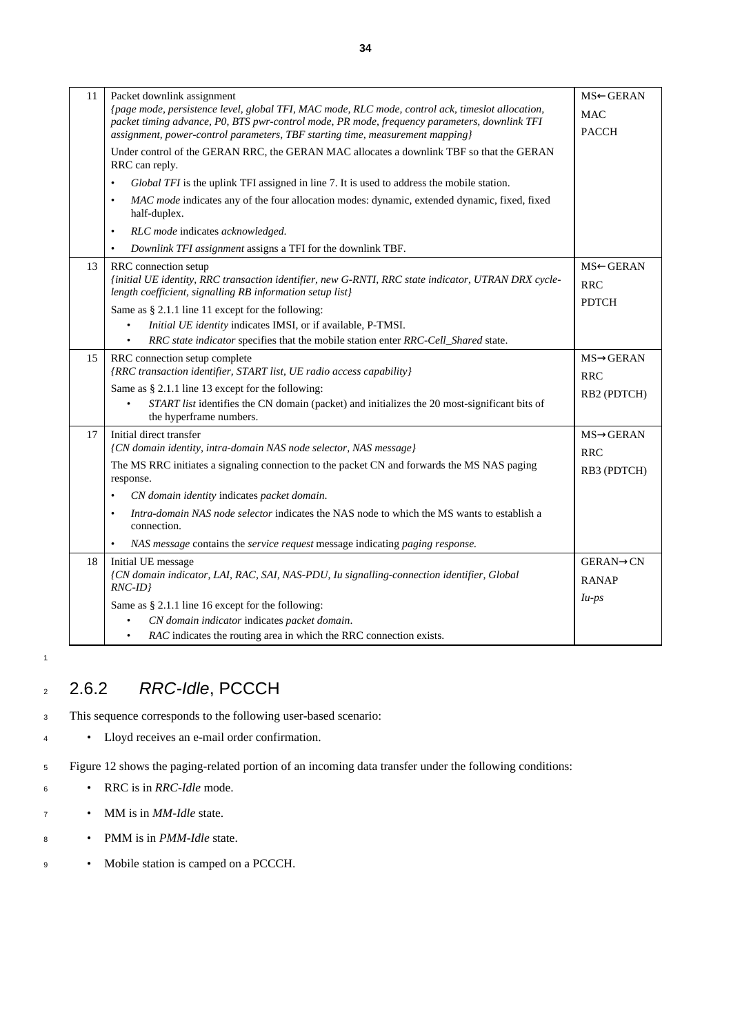| 11 | Packet downlink assignment<br>(page mode, persistence level, global TFI, MAC mode, RLC mode, control ack, timeslot allocation,<br>packet timing advance, P0, BTS pwr-control mode, PR mode, frequency parameters, downlink TFI | MS←GERAN<br><b>MAC</b><br><b>PACCH</b> |
|----|--------------------------------------------------------------------------------------------------------------------------------------------------------------------------------------------------------------------------------|----------------------------------------|
|    | assignment, power-control parameters, TBF starting time, measurement mapping}<br>Under control of the GERAN RRC, the GERAN MAC allocates a downlink TBF so that the GERAN<br>RRC can reply.                                    |                                        |
|    | Global TFI is the uplink TFI assigned in line 7. It is used to address the mobile station.<br>$\bullet$                                                                                                                        |                                        |
|    | MAC mode indicates any of the four allocation modes: dynamic, extended dynamic, fixed, fixed<br>$\bullet$<br>half-duplex.                                                                                                      |                                        |
|    | RLC mode indicates acknowledged.<br>$\bullet$                                                                                                                                                                                  |                                        |
|    | Downlink TFI assignment assigns a TFI for the downlink TBF.<br>$\bullet$                                                                                                                                                       |                                        |
| 13 | RRC connection setup                                                                                                                                                                                                           | MS←GERAN                               |
|    | <i>(initial UE identity, RRC transaction identifier, new G-RNTI, RRC state indicator, UTRAN DRX cycle-</i><br>length coefficient, signalling RB information setup list}                                                        | <b>RRC</b>                             |
|    | Same as $\S 2.1.1$ line 11 except for the following:                                                                                                                                                                           | <b>PDTCH</b>                           |
|    | Initial UE identity indicates IMSI, or if available, P-TMSI.<br>$\bullet$                                                                                                                                                      |                                        |
|    | RRC state indicator specifies that the mobile station enter RRC-Cell_Shared state.                                                                                                                                             |                                        |
| 15 | RRC connection setup complete<br>{RRC transaction identifier, START list, UE radio access capability}                                                                                                                          | $MS \rightarrow GERAN$                 |
|    |                                                                                                                                                                                                                                | <b>RRC</b>                             |
|    | Same as $\S 2.1.1$ line 13 except for the following:<br>START list identifies the CN domain (packet) and initializes the 20 most-significant bits of<br>the hyperframe numbers.                                                | RB2 (PDTCH)                            |
| 17 | Initial direct transfer                                                                                                                                                                                                        | $MS \rightarrow GERAN$                 |
|    | {CN domain identity, intra-domain NAS node selector, NAS message}                                                                                                                                                              | <b>RRC</b>                             |
|    | The MS RRC initiates a signaling connection to the packet CN and forwards the MS NAS paging<br>response.                                                                                                                       | RB3 (PDTCH)                            |
|    | CN domain identity indicates packet domain.<br>$\bullet$                                                                                                                                                                       |                                        |
|    | Intra-domain NAS node selector indicates the NAS node to which the MS wants to establish a<br>$\bullet$<br>connection.                                                                                                         |                                        |
|    | NAS message contains the service request message indicating paging response.<br>$\bullet$                                                                                                                                      |                                        |
| 18 | Initial UE message                                                                                                                                                                                                             | <b>GERAN→CN</b>                        |
|    | {CN domain indicator, LAI, RAC, SAI, NAS-PDU, Iu signalling-connection identifier, Global<br>$RNC$ -ID}                                                                                                                        | <b>RANAP</b>                           |
|    | Same as $\S 2.1.1$ line 16 except for the following:                                                                                                                                                                           | $Iu-ps$                                |
|    | CN domain indicator indicates packet domain.                                                                                                                                                                                   |                                        |
|    | RAC indicates the routing area in which the RRC connection exists.<br>$\bullet$                                                                                                                                                |                                        |

### <sup>2</sup> 2.6.2 *RRC-Idle*, PCCCH

- <sup>3</sup> This sequence corresponds to the following user-based scenario:
- <sup>4</sup> Lloyd receives an e-mail order confirmation.
- <sup>5</sup> Figure 12 shows the paging-related portion of an incoming data transfer under the following conditions:
- <sup>6</sup> RRC is in *RRC-Idle* mode.
- <sup>7</sup> MM is in *MM-Idle* state.
- <sup>8</sup> PMM is in *PMM-Idle* state.
- <sup>9</sup> Mobile station is camped on a PCCCH.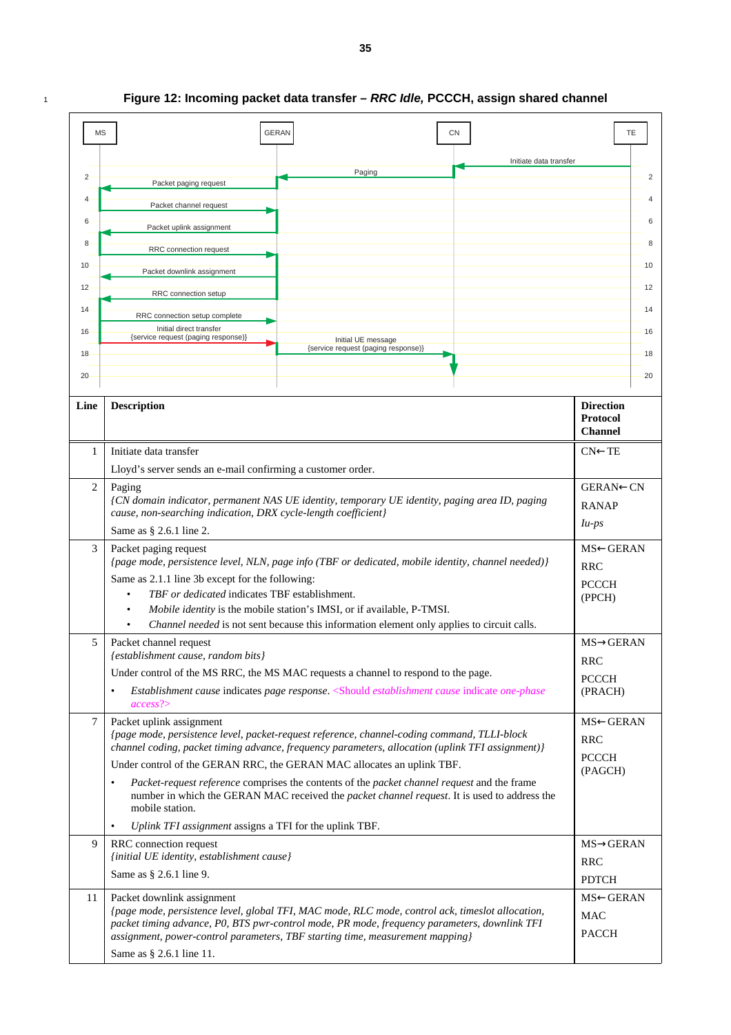#### <sup>1</sup> **Figure 12: Incoming packet data transfer –** *RRC Idle,* **PCCCH, assign shared channel**

| MS              | <b>GERAN</b>                                                                                                                                                                                                   | CN                     | TE                                                    |
|-----------------|----------------------------------------------------------------------------------------------------------------------------------------------------------------------------------------------------------------|------------------------|-------------------------------------------------------|
|                 |                                                                                                                                                                                                                | Initiate data transfer |                                                       |
| $\overline{2}$  | Paging<br>Packet paging request                                                                                                                                                                                |                        | 2                                                     |
| $\overline{4}$  | Packet channel request                                                                                                                                                                                         |                        | 4                                                     |
| 6               | Packet uplink assignment                                                                                                                                                                                       |                        | 6                                                     |
| 8               | RRC connection request                                                                                                                                                                                         |                        | 8                                                     |
| 10 <sup>1</sup> | Packet downlink assignment                                                                                                                                                                                     |                        | 10                                                    |
| 12              | RRC connection setup                                                                                                                                                                                           |                        | 12                                                    |
| 14              | RRC connection setup complete                                                                                                                                                                                  |                        | 14                                                    |
| 16              | Initial direct transfer<br>{service request (paging response)}<br>Initial UE message                                                                                                                           |                        | 16                                                    |
| 18              | {service request (paging response)}                                                                                                                                                                            |                        | 18                                                    |
| 20              |                                                                                                                                                                                                                |                        | 20                                                    |
| Line            | <b>Description</b>                                                                                                                                                                                             |                        | <b>Direction</b><br><b>Protocol</b><br><b>Channel</b> |
| 1               | Initiate data transfer                                                                                                                                                                                         |                        | $CN \leftarrow TE$                                    |
|                 | Lloyd's server sends an e-mail confirming a customer order.                                                                                                                                                    |                        |                                                       |
| 2               | Paging                                                                                                                                                                                                         |                        | <b>GERAN←CN</b>                                       |
|                 | {CN domain indicator, permanent NAS UE identity, temporary UE identity, paging area ID, paging<br>cause, non-searching indication, DRX cycle-length coefficient}                                               |                        | <b>RANAP</b>                                          |
|                 | $Iu-ps$<br>Same as § 2.6.1 line 2.                                                                                                                                                                             |                        |                                                       |
| 3               | Packet paging request<br>(page mode, persistence level, NLN, page info (TBF or dedicated, mobile identity, channel needed))                                                                                    |                        | MS←GERAN<br><b>RRC</b>                                |
|                 | Same as 2.1.1 line 3b except for the following:                                                                                                                                                                |                        | <b>PCCCH</b>                                          |
|                 | TBF or dedicated indicates TBF establishment.<br>(PPCH)<br>Mobile identity is the mobile station's IMSI, or if available, P-TMSI.                                                                              |                        |                                                       |
|                 | Channel needed is not sent because this information element only applies to circuit calls.                                                                                                                     |                        |                                                       |
| 5               | Packet channel request<br>{establishment cause, random bits}                                                                                                                                                   |                        | $MS \rightarrow GERAN$                                |
|                 | Under control of the MS RRC, the MS MAC requests a channel to respond to the page.                                                                                                                             |                        | <b>RRC</b><br><b>PCCCH</b>                            |
|                 | Establishment cause indicates page response. <should cause="" establishment="" indicate="" one-phase<br=""><math display="inline">\bullet</math><br/><math>access</math>?&gt;</should>                         |                        | (PRACH)                                               |
| 7               | Packet uplink assignment<br>{page mode, persistence level, packet-request reference, channel-coding command, TLLI-block                                                                                        |                        | MS←GERAN                                              |
|                 | channel coding, packet timing advance, frequency parameters, allocation (uplink TFI assignment)}                                                                                                               |                        | <b>RRC</b><br><b>PCCCH</b>                            |
|                 | Under control of the GERAN RRC, the GERAN MAC allocates an uplink TBF.                                                                                                                                         |                        | (PAGCH)                                               |
|                 | Packet-request reference comprises the contents of the packet channel request and the frame<br>number in which the GERAN MAC received the packet channel request. It is used to address the<br>mobile station. |                        |                                                       |
|                 | Uplink TFI assignment assigns a TFI for the uplink TBF.                                                                                                                                                        |                        |                                                       |
| 9               | RRC connection request<br>{initial UE identity, establishment cause}                                                                                                                                           |                        | $MS \rightarrow GERAN$                                |
|                 | Same as § 2.6.1 line 9.                                                                                                                                                                                        |                        | <b>RRC</b><br><b>PDTCH</b>                            |
| 11              | Packet downlink assignment                                                                                                                                                                                     |                        | MS←GERAN                                              |
|                 | (page mode, persistence level, global TFI, MAC mode, RLC mode, control ack, timeslot allocation,<br>packet timing advance, P0, BTS pwr-control mode, PR mode, frequency parameters, downlink TFI               |                        | <b>MAC</b>                                            |
|                 | assignment, power-control parameters, TBF starting time, measurement mapping}                                                                                                                                  |                        | <b>PACCH</b>                                          |
|                 | Same as § 2.6.1 line 11.                                                                                                                                                                                       |                        |                                                       |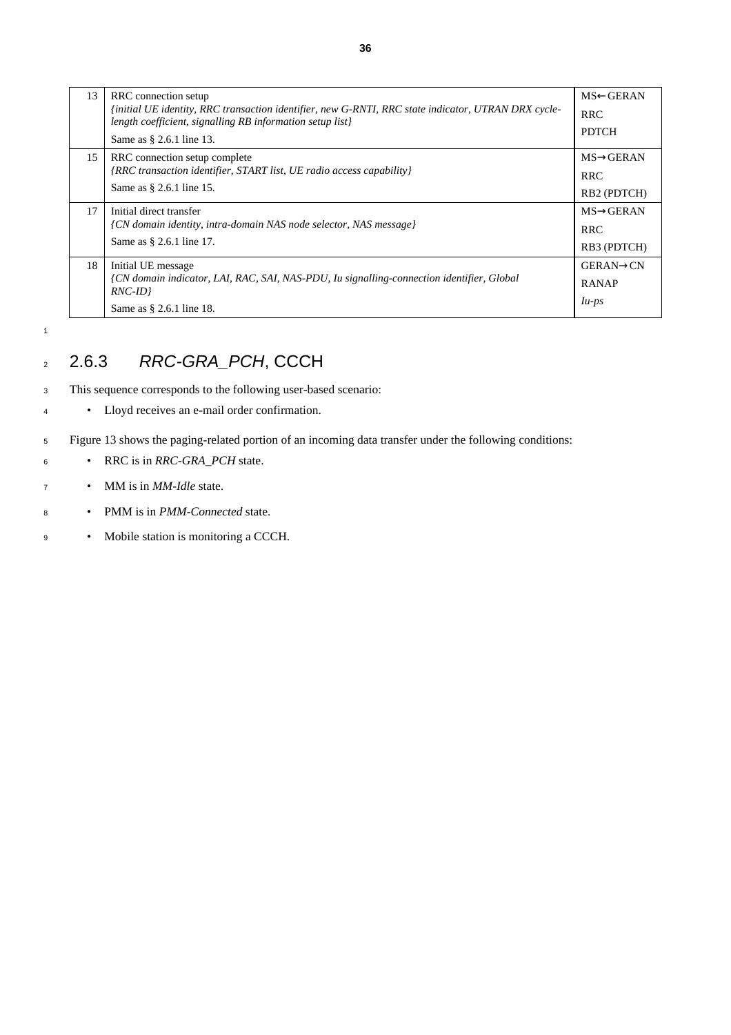| 13 | RRC connection setup<br>finitial UE identity, RRC transaction identifier, new G-RNTI, RRC state indicator, UTRAN DRX cycle-<br>length coefficient, signalling RB information setup list}<br>Same as § 2.6.1 line 13. | $MS \leftarrow GERAN$<br><b>RRC</b><br><b>PDTCH</b>             |
|----|----------------------------------------------------------------------------------------------------------------------------------------------------------------------------------------------------------------------|-----------------------------------------------------------------|
| 15 | RRC connection setup complete<br>{RRC transaction identifier, START list, UE radio access capability}<br>Same as § 2.6.1 line 15.                                                                                    | $MS \rightarrow GERAN$<br><b>RRC</b><br>RB <sub>2</sub> (PDTCH) |
| 17 | Initial direct transfer<br>{CN domain identity, intra-domain NAS node selector, NAS message}<br>Same as § 2.6.1 line 17.                                                                                             | $MS \rightarrow GERAN$<br><b>RRC</b><br>RB3 (PDTCH)             |
| 18 | Initial UE message<br>(CN domain indicator, LAI, RAC, SAI, NAS-PDU, Iu signalling-connection identifier, Global<br>$RNC$ -ID}<br>Same as § 2.6.1 line 18.                                                            | $GERAN \rightarrow CN$<br><b>RANAP</b><br>$Iu$ -ps              |

## <sup>2</sup> 2.6.3 *RRC-GRA\_PCH*, CCCH

- <sup>3</sup> This sequence corresponds to the following user-based scenario:
- <sup>4</sup> Lloyd receives an e-mail order confirmation.
- <sup>5</sup> Figure 13 shows the paging-related portion of an incoming data transfer under the following conditions:
- <sup>6</sup> RRC is in *RRC-GRA\_PCH* state.
- <sup>7</sup> MM is in *MM-Idle* state.
- <sup>8</sup> PMM is in *PMM-Connected* state.
- <sup>9</sup> Mobile station is monitoring a CCCH.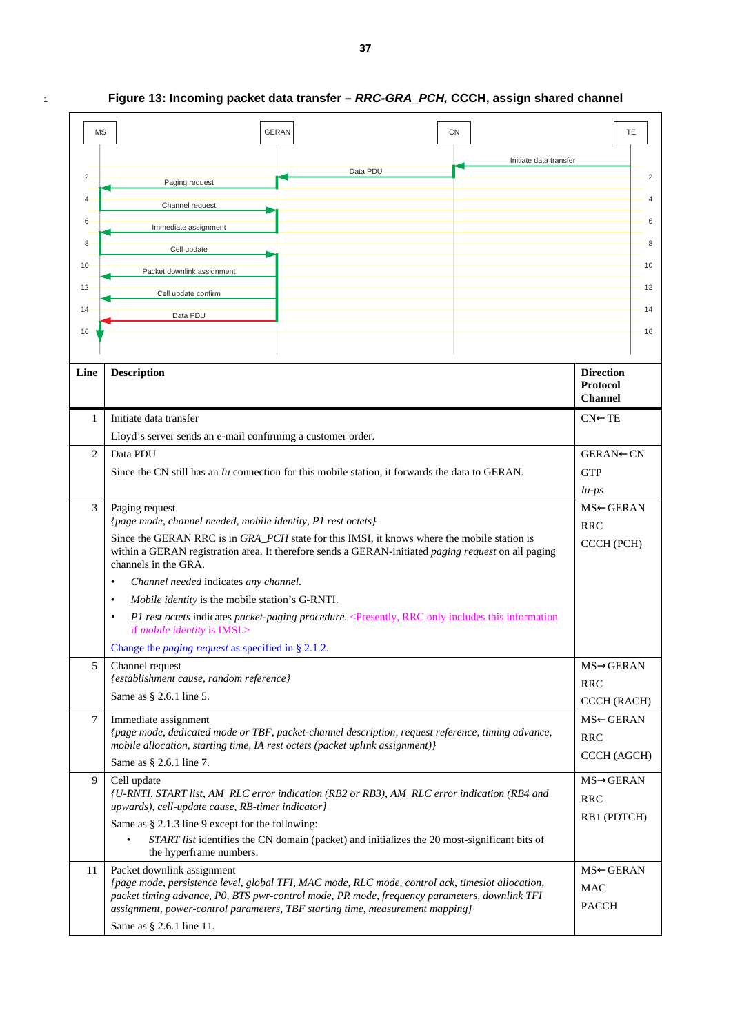### <sup>1</sup> **Figure 13: Incoming packet data transfer –** *RRC-GRA\_PCH,* **CCCH, assign shared channel**

| <b>MS</b>       |                                                                              | <b>GERAN</b>                                                                                                                                                                                       | CN                     |                                                       | TE |
|-----------------|------------------------------------------------------------------------------|----------------------------------------------------------------------------------------------------------------------------------------------------------------------------------------------------|------------------------|-------------------------------------------------------|----|
|                 |                                                                              |                                                                                                                                                                                                    | Initiate data transfer |                                                       |    |
| $\overline{2}$  | Paging request                                                               | Data PDU                                                                                                                                                                                           |                        |                                                       | 2  |
| 4               |                                                                              |                                                                                                                                                                                                    |                        |                                                       | 4  |
| 6               | Channel request                                                              |                                                                                                                                                                                                    |                        |                                                       | 6  |
|                 | Immediate assignment                                                         |                                                                                                                                                                                                    |                        |                                                       |    |
| 8               | Cell update                                                                  |                                                                                                                                                                                                    |                        |                                                       | 8  |
| 10 <sup>°</sup> | Packet downlink assignment                                                   |                                                                                                                                                                                                    |                        |                                                       | 10 |
| 12              | Cell update confirm                                                          |                                                                                                                                                                                                    |                        |                                                       | 12 |
| 14              | Data PDU                                                                     |                                                                                                                                                                                                    |                        |                                                       | 14 |
| 16              |                                                                              |                                                                                                                                                                                                    |                        |                                                       | 16 |
|                 |                                                                              |                                                                                                                                                                                                    |                        |                                                       |    |
| Line            | <b>Description</b>                                                           |                                                                                                                                                                                                    |                        | <b>Direction</b><br><b>Protocol</b><br><b>Channel</b> |    |
| 1               | Initiate data transfer                                                       |                                                                                                                                                                                                    |                        | $CN \leftarrow TE$                                    |    |
|                 | Lloyd's server sends an e-mail confirming a customer order.                  |                                                                                                                                                                                                    |                        |                                                       |    |
| 2               | Data PDU                                                                     |                                                                                                                                                                                                    |                        | GERAN←CN                                              |    |
|                 |                                                                              | Since the CN still has an <i>Iu</i> connection for this mobile station, it forwards the data to GERAN.                                                                                             |                        | <b>GTP</b>                                            |    |
|                 |                                                                              |                                                                                                                                                                                                    |                        | $\mu$ -ps                                             |    |
| 3               | Paging request                                                               |                                                                                                                                                                                                    |                        | MS←GERAN                                              |    |
|                 | {page mode, channel needed, mobile identity, P1 rest octets}                 |                                                                                                                                                                                                    |                        | RRC                                                   |    |
|                 | channels in the GRA.                                                         | Since the GERAN RRC is in GRA_PCH state for this IMSI, it knows where the mobile station is<br>within a GERAN registration area. It therefore sends a GERAN-initiated paging request on all paging |                        | CCCH (PCH)                                            |    |
|                 | Channel needed indicates any channel.<br>$\bullet$                           |                                                                                                                                                                                                    |                        |                                                       |    |
|                 | <i>Mobile identity</i> is the mobile station's G-RNTI.<br>$\bullet$          |                                                                                                                                                                                                    |                        |                                                       |    |
|                 | $\bullet$<br>if mobile identity is IMSI.>                                    | P1 rest octets indicates packet-paging procedure. <presently, includes="" information<="" only="" rrc="" th="" this=""><th></th><th></th><th></th></presently,>                                    |                        |                                                       |    |
|                 | Change the <i>paging request</i> as specified in $\S 2.1.2$ .                |                                                                                                                                                                                                    |                        |                                                       |    |
| 5               | Channel request<br>{establishment cause, random reference}                   |                                                                                                                                                                                                    |                        | MS→GERAN                                              |    |
|                 | Same as § 2.6.1 line 5.                                                      |                                                                                                                                                                                                    |                        | <b>RRC</b>                                            |    |
|                 |                                                                              |                                                                                                                                                                                                    |                        | CCCH (RACH)                                           |    |
| $\tau$          | Immediate assignment                                                         | (page mode, dedicated mode or TBF, packet-channel description, request reference, timing advance,                                                                                                  |                        | MS←GERAN                                              |    |
|                 | mobile allocation, starting time, IA rest octets (packet uplink assignment)} |                                                                                                                                                                                                    |                        | <b>RRC</b><br>CCCH (AGCH)                             |    |
|                 | Same as § 2.6.1 line 7.                                                      |                                                                                                                                                                                                    |                        |                                                       |    |
| 9               | Cell update                                                                  | {U-RNTI, START list, AM_RLC error indication (RB2 or RB3), AM_RLC error indication (RB4 and                                                                                                        |                        | $MS \rightarrow GERAN$                                |    |
|                 | upwards), cell-update cause, RB-timer indicator}                             |                                                                                                                                                                                                    |                        | <b>RRC</b>                                            |    |
|                 | Same as § 2.1.3 line 9 except for the following:                             |                                                                                                                                                                                                    |                        | RB1 (PDTCH)                                           |    |
|                 | the hyperframe numbers.                                                      | START list identifies the CN domain (packet) and initializes the 20 most-significant bits of                                                                                                       |                        |                                                       |    |
| 11              | Packet downlink assignment                                                   |                                                                                                                                                                                                    |                        | MS←GERAN                                              |    |
|                 |                                                                              | (page mode, persistence level, global TFI, MAC mode, RLC mode, control ack, timeslot allocation,<br>packet timing advance, P0, BTS pwr-control mode, PR mode, frequency parameters, downlink TFI   |                        | <b>MAC</b>                                            |    |
|                 |                                                                              | assignment, power-control parameters, TBF starting time, measurement mapping}                                                                                                                      |                        | <b>PACCH</b>                                          |    |
|                 | Same as § 2.6.1 line 11.                                                     |                                                                                                                                                                                                    |                        |                                                       |    |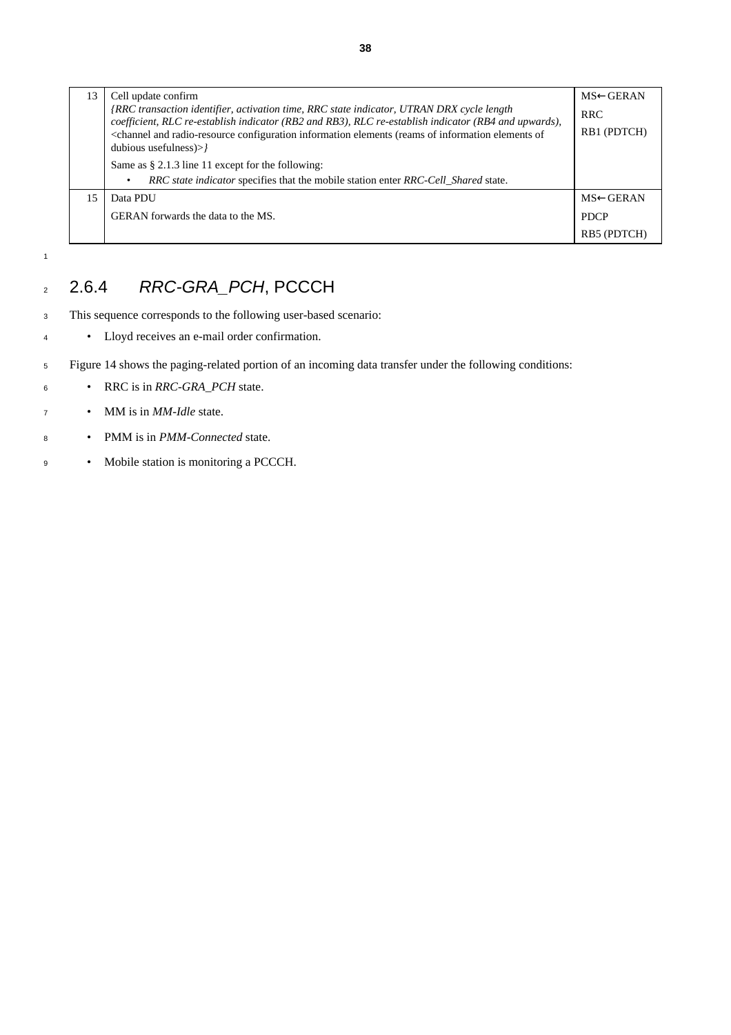| 13 | Cell update confirm<br>{RRC transaction identifier, activation time, RRC state indicator, UTRAN DRX cycle length<br>coefficient, RLC re-establish indicator (RB2 and RB3), RLC re-establish indicator (RB4 and upwards),<br><channel (reams="" and="" configuration="" elements="" information="" of="" of<br="" radio-resource="">dubious usefulness<math>&gt;&gt;l</math><br/>Same as <math>\S 2.1.3</math> line 11 except for the following:<br/>RRC state indicator specifies that the mobile station enter RRC-Cell Shared state.</channel> | $MS \leftarrow GERAN$<br><b>RRC</b><br>RB1 (PDTCH) |
|----|--------------------------------------------------------------------------------------------------------------------------------------------------------------------------------------------------------------------------------------------------------------------------------------------------------------------------------------------------------------------------------------------------------------------------------------------------------------------------------------------------------------------------------------------------|----------------------------------------------------|
| 15 | Data PDU                                                                                                                                                                                                                                                                                                                                                                                                                                                                                                                                         | $MS \leftarrow GERAN$                              |
|    | GERAN forwards the data to the MS.                                                                                                                                                                                                                                                                                                                                                                                                                                                                                                               | <b>PDCP</b>                                        |
|    |                                                                                                                                                                                                                                                                                                                                                                                                                                                                                                                                                  | <b>RB5 (PDTCH)</b>                                 |

### <sup>2</sup> 2.6.4 *RRC-GRA\_PCH*, PCCCH

- <sup>3</sup> This sequence corresponds to the following user-based scenario:
- <sup>4</sup> Lloyd receives an e-mail order confirmation.
- <sup>5</sup> Figure 14 shows the paging-related portion of an incoming data transfer under the following conditions:
- <sup>6</sup> RRC is in *RRC-GRA\_PCH* state.
- <sup>7</sup> MM is in *MM-Idle* state.
- <sup>8</sup> PMM is in *PMM-Connected* state.
- <sup>9</sup> Mobile station is monitoring a PCCCH.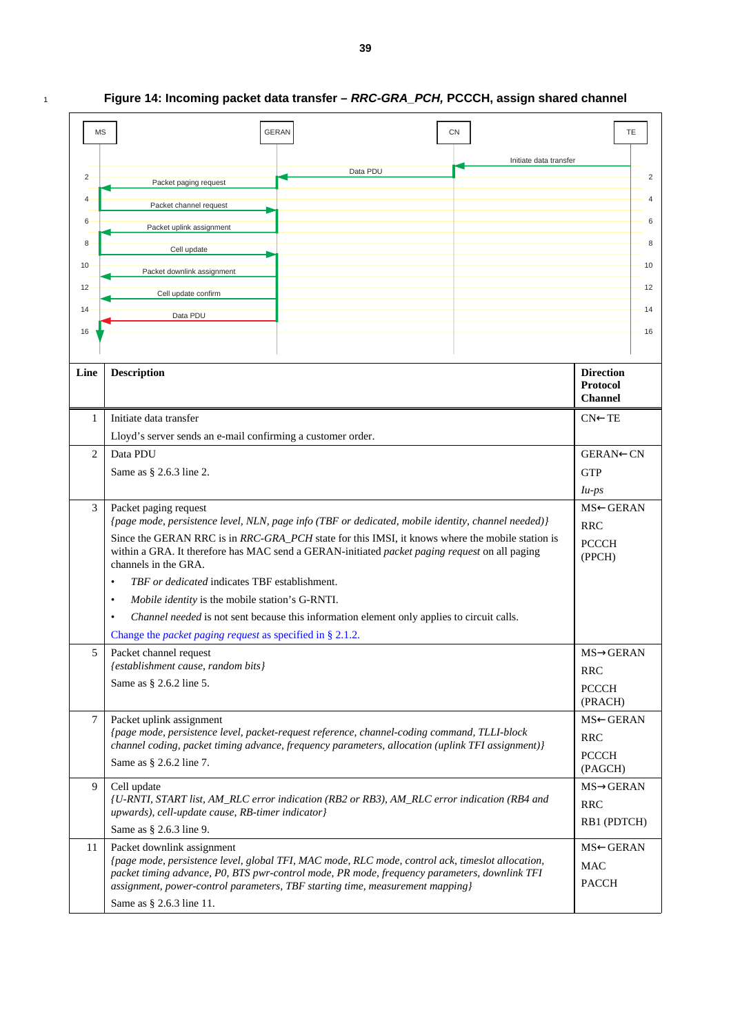| <b>MS</b>      | <b>GERAN</b>                                                                                                                                                                                                             | <b>CN</b>              | TE                                |
|----------------|--------------------------------------------------------------------------------------------------------------------------------------------------------------------------------------------------------------------------|------------------------|-----------------------------------|
|                |                                                                                                                                                                                                                          | Initiate data transfer |                                   |
| $\overline{2}$ | Data PDU<br>Packet paging request                                                                                                                                                                                        |                        | 2                                 |
| $\overline{4}$ | Packet channel request                                                                                                                                                                                                   |                        | 4                                 |
| 6              |                                                                                                                                                                                                                          |                        | 6                                 |
| 8              | Packet uplink assignment                                                                                                                                                                                                 |                        | 8                                 |
| 10             | Cell update                                                                                                                                                                                                              |                        | 10                                |
|                | Packet downlink assignment                                                                                                                                                                                               |                        |                                   |
| 12             | Cell update confirm                                                                                                                                                                                                      |                        | 12                                |
| 14             | Data PDU                                                                                                                                                                                                                 |                        | 14                                |
| 16             |                                                                                                                                                                                                                          |                        | 16                                |
|                |                                                                                                                                                                                                                          |                        |                                   |
| Line           | <b>Description</b>                                                                                                                                                                                                       |                        | <b>Direction</b>                  |
|                |                                                                                                                                                                                                                          |                        | <b>Protocol</b><br><b>Channel</b> |
| 1              | Initiate data transfer                                                                                                                                                                                                   |                        | $CN \leftarrow TE$                |
|                | Lloyd's server sends an e-mail confirming a customer order.                                                                                                                                                              |                        |                                   |
| $\overline{c}$ | Data PDU                                                                                                                                                                                                                 |                        | GERAN←CN                          |
|                | Same as $\S$ 2.6.3 line 2.                                                                                                                                                                                               |                        | <b>GTP</b>                        |
|                |                                                                                                                                                                                                                          |                        | $\mu$ -ps                         |
| 3              | Packet paging request                                                                                                                                                                                                    |                        | MS←GERAN                          |
|                | (page mode, persistence level, NLN, page info (TBF or dedicated, mobile identity, channel needed))                                                                                                                       |                        | <b>RRC</b>                        |
|                | Since the GERAN RRC is in RRC-GRA_PCH state for this IMSI, it knows where the mobile station is<br>within a GRA. It therefore has MAC send a GERAN-initiated packet paging request on all paging<br>channels in the GRA. |                        | <b>PCCCH</b><br>(PPCH)            |
|                | TBF or dedicated indicates TBF establishment.<br>٠                                                                                                                                                                       |                        |                                   |
|                | Mobile identity is the mobile station's G-RNTI.<br>٠                                                                                                                                                                     |                        |                                   |
|                | Channel needed is not sent because this information element only applies to circuit calls.                                                                                                                               |                        |                                   |
|                | Change the <i>packet paging request</i> as specified in $\S$ 2.1.2.                                                                                                                                                      |                        |                                   |
| 5              | Packet channel request<br>{establishment cause, random bits}                                                                                                                                                             |                        | $MS \rightarrow GERAN$            |
|                | Same as § 2.6.2 line 5.                                                                                                                                                                                                  |                        | <b>RRC</b>                        |
|                |                                                                                                                                                                                                                          |                        | <b>PCCCH</b><br>(PRACH)           |
| 7              | Packet uplink assignment                                                                                                                                                                                                 |                        | MS←GERAN                          |
|                | {page mode, persistence level, packet-request reference, channel-coding command, TLLI-block<br>channel coding, packet timing advance, frequency parameters, allocation (uplink TFI assignment)}                          |                        | <b>RRC</b>                        |
|                | Same as § 2.6.2 line 7.                                                                                                                                                                                                  |                        | <b>PCCCH</b><br>(PAGCH)           |
| 9              | Cell update                                                                                                                                                                                                              |                        | $MS \rightarrow GERAN$            |
|                | {U-RNTI, START list, AM_RLC error indication (RB2 or RB3), AM_RLC error indication (RB4 and<br>upwards), cell-update cause, RB-timer indicator}                                                                          |                        | <b>RRC</b>                        |
|                | Same as § 2.6.3 line 9.                                                                                                                                                                                                  |                        | RB1 (PDTCH)                       |
| 11             | Packet downlink assignment                                                                                                                                                                                               |                        | <b>MS←GERAN</b>                   |
|                | (page mode, persistence level, global TFI, MAC mode, RLC mode, control ack, timeslot allocation,                                                                                                                         |                        | $\rm MAC$                         |

*packet timing advance, P0, BTS pwr-control mode, PR mode, frequency parameters, downlink TFI*

PACCH

*assignment, power-control parameters, TBF starting time, measurement mapping}*

Same as § 2.6.3 line 11.

#### <sup>1</sup> **Figure 14: Incoming packet data transfer –** *RRC-GRA\_PCH,* **PCCCH, assign shared channel**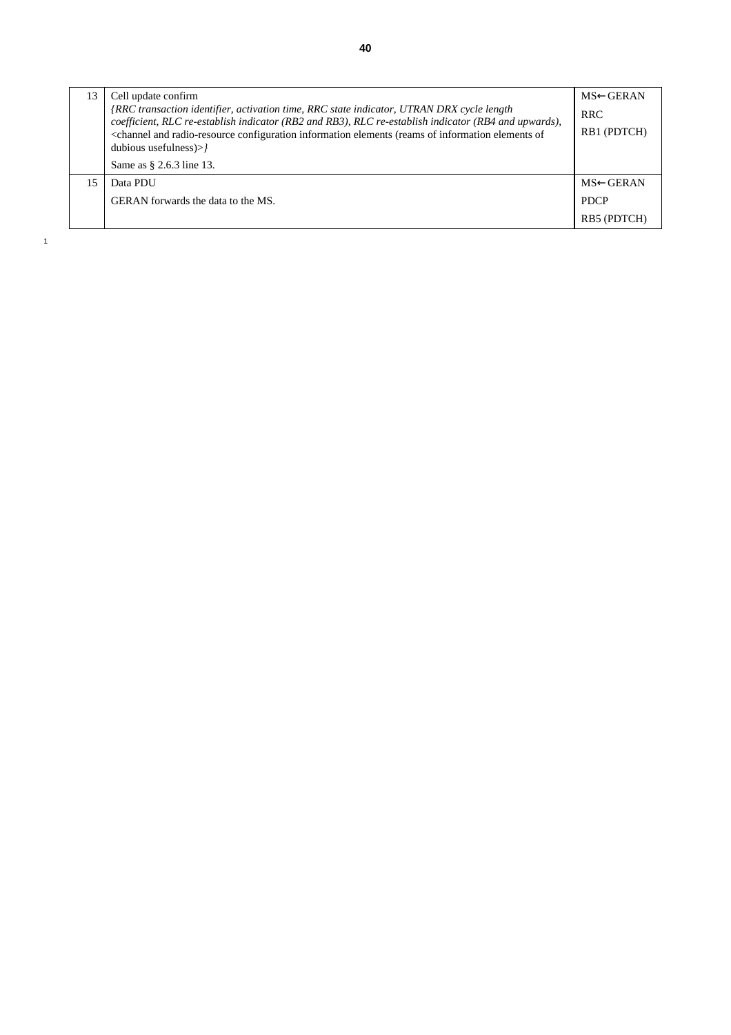| 13 | Cell update confirm                                                                                                                                                                                      | $MS \leftarrow GERAN$ |
|----|----------------------------------------------------------------------------------------------------------------------------------------------------------------------------------------------------------|-----------------------|
|    | <i>{RRC transaction identifier, activation time, RRC state indicator, UTRAN DRX cycle length</i><br>coefficient, RLC re-establish indicator (RB2 and RB3), RLC re-establish indicator (RB4 and upwards), | <b>RRC</b>            |
|    | <channel (reams="" and="" configuration="" elements="" information="" of="" of<br="" radio-resource="">dubious usefulness<math>&gt;&gt;l</math></channel>                                                | RB1 (PDTCH)           |
|    | Same as § 2.6.3 line 13.                                                                                                                                                                                 |                       |
| 15 | Data PDU                                                                                                                                                                                                 | $MS \leftarrow GERAN$ |
|    | GERAN forwards the data to the MS.                                                                                                                                                                       | <b>PDCP</b>           |
|    |                                                                                                                                                                                                          | RB5 (PDTCH)           |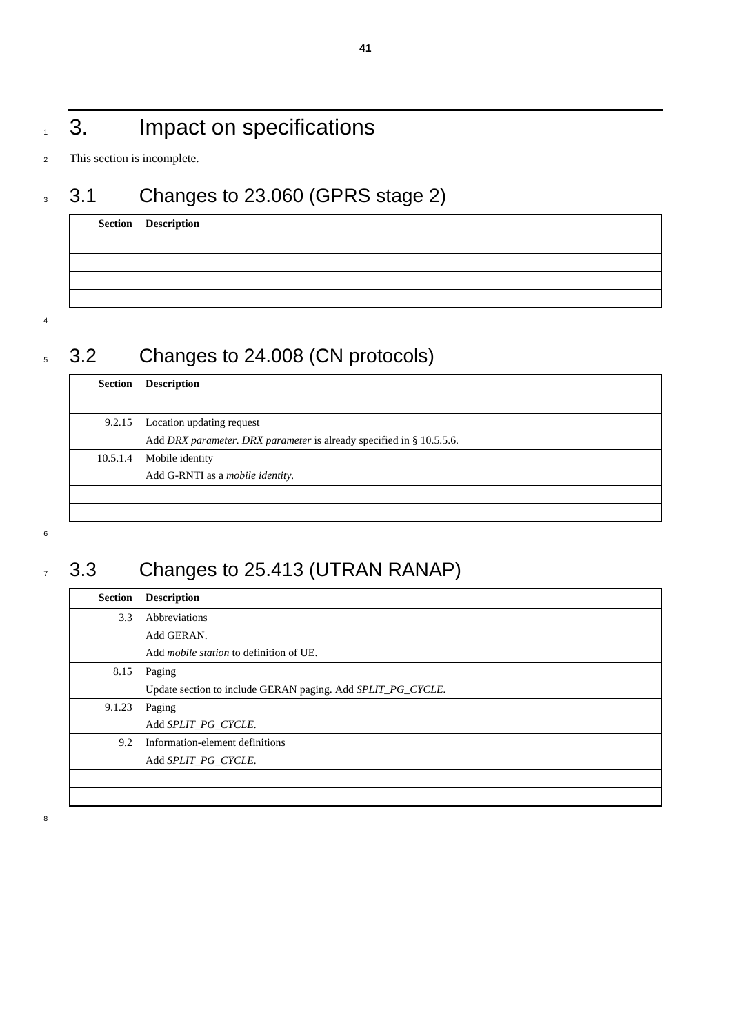# 1 3. Impact on specifications

<sup>2</sup> This section is incomplete.

## 3 3.1 Changes to 23.060 (GPRS stage 2)

| Section   Description |
|-----------------------|
|                       |
|                       |
|                       |
|                       |

4

## 5 3.2 Changes to 24.008 (CN protocols)

| <b>Section</b> | <b>Description</b>                                                   |
|----------------|----------------------------------------------------------------------|
|                |                                                                      |
| 9.2.15         | Location updating request                                            |
|                | Add DRX parameter. DRX parameter is already specified in § 10.5.5.6. |
| 10.5.1.4       | Mobile identity                                                      |
|                | Add G-RNTI as a mobile identity.                                     |
|                |                                                                      |
|                |                                                                      |

6

# $7 \quad 3.3 \quad$  Changes to 25.413 (UTRAN RANAP)

| <b>Section</b> | <b>Description</b>                                          |
|----------------|-------------------------------------------------------------|
| 3.3            | Abbreviations                                               |
|                | Add GERAN.                                                  |
|                | Add <i>mobile station</i> to definition of UE.              |
| 8.15           | Paging                                                      |
|                | Update section to include GERAN paging. Add SPLIT_PG_CYCLE. |
| 9.1.23         | Paging                                                      |
|                | Add SPLIT_PG_CYCLE.                                         |
| 9.2            | Information-element definitions                             |
|                | Add SPLIT PG CYCLE.                                         |
|                |                                                             |
|                |                                                             |

8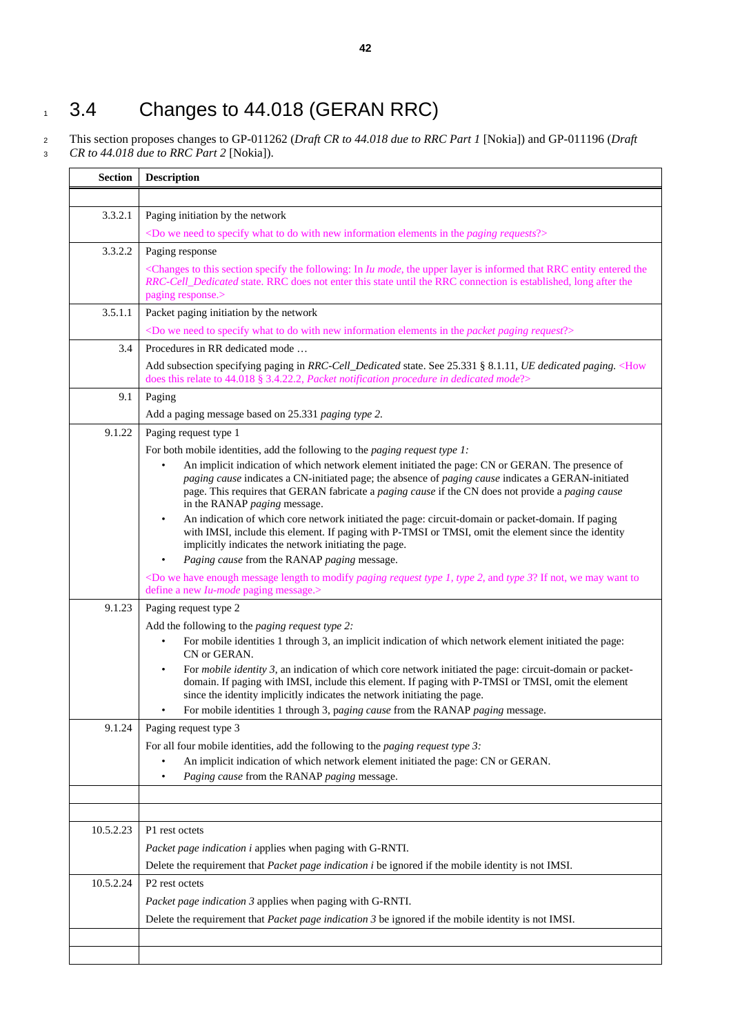## 1 3.4 Changes to 44.018 (GERAN RRC)

<sup>2</sup> This section proposes changes to GP-011262 (*Draft CR to 44.018 due to RRC Part 1* [Nokia]) and GP-011196 (*Draft* <sup>3</sup> *CR to 44.018 due to RRC Part 2* [Nokia]).

| <b>Section</b> | <b>Description</b>                                                                                                                                                                                                                                                                                                                           |
|----------------|----------------------------------------------------------------------------------------------------------------------------------------------------------------------------------------------------------------------------------------------------------------------------------------------------------------------------------------------|
|                |                                                                                                                                                                                                                                                                                                                                              |
| 3.3.2.1        | Paging initiation by the network                                                                                                                                                                                                                                                                                                             |
|                | <do <i="" do="" elements="" in="" information="" need="" new="" specify="" the="" to="" we="" what="" with="">paging requests?&gt;</do>                                                                                                                                                                                                      |
| 3.3.2.2        | Paging response                                                                                                                                                                                                                                                                                                                              |
|                | <changes <i="" following:="" in="" section="" specify="" the="" this="" to="">Iu mode, the upper layer is informed that RRC entity entered the<br/>RRC-Cell_Dedicated state. RRC does not enter this state until the RRC connection is established, long after the<br/>paging response.&gt;</changes>                                        |
| 3.5.1.1        | Packet paging initiation by the network                                                                                                                                                                                                                                                                                                      |
|                | <do <i="" do="" elements="" in="" information="" need="" new="" specify="" the="" to="" we="" what="" with="">packet paging request?&gt;</do>                                                                                                                                                                                                |
| 3.4            | Procedures in RR dedicated mode                                                                                                                                                                                                                                                                                                              |
|                | Add subsection specifying paging in RRC-Cell_Dedicated state. See 25.331 § 8.1.11, UE dedicated paging. <how<br>does this relate to 44.018 § 3.4.22.2, Packet notification procedure in dedicated mode?<math>&gt;</math></how<br>                                                                                                            |
| 9.1            | Paging                                                                                                                                                                                                                                                                                                                                       |
|                | Add a paging message based on 25.331 paging type 2.                                                                                                                                                                                                                                                                                          |
| 9.1.22         | Paging request type 1                                                                                                                                                                                                                                                                                                                        |
|                | For both mobile identities, add the following to the <i>paging request type 1:</i>                                                                                                                                                                                                                                                           |
|                | An implicit indication of which network element initiated the page: CN or GERAN. The presence of<br>paging cause indicates a CN-initiated page; the absence of paging cause indicates a GERAN-initiated<br>page. This requires that GERAN fabricate a paging cause if the CN does not provide a paging cause<br>in the RANAP paging message. |
|                | An indication of which core network initiated the page: circuit-domain or packet-domain. If paging<br>$\bullet$<br>with IMSI, include this element. If paging with P-TMSI or TMSI, omit the element since the identity<br>implicitly indicates the network initiating the page.                                                              |
|                | Paging cause from the RANAP paging message.<br>$\bullet$                                                                                                                                                                                                                                                                                     |
|                | <do <i="" enough="" have="" length="" message="" modify="" to="" we="">paging request type 1, type 2, and <i>type 3?</i> If not, we may want to<br/>define a new Iu-mode paging message.&gt;</do>                                                                                                                                            |
| 9.1.23         | Paging request type 2                                                                                                                                                                                                                                                                                                                        |
|                | Add the following to the <i>paging request type 2:</i>                                                                                                                                                                                                                                                                                       |
|                | For mobile identities 1 through 3, an implicit indication of which network element initiated the page:<br>CN or GERAN.                                                                                                                                                                                                                       |
|                | For <i>mobile identity</i> 3, an indication of which core network initiated the page: circuit-domain or packet-<br>domain. If paging with IMSI, include this element. If paging with P-TMSI or TMSI, omit the element<br>since the identity implicitly indicates the network initiating the page.                                            |
|                | For mobile identities 1 through 3, paging cause from the RANAP paging message.                                                                                                                                                                                                                                                               |
| 9.1.24         | Paging request type 3                                                                                                                                                                                                                                                                                                                        |
|                | For all four mobile identities, add the following to the <i>paging request type</i> $3$ :                                                                                                                                                                                                                                                    |
|                | An implicit indication of which network element initiated the page: CN or GERAN.<br>٠                                                                                                                                                                                                                                                        |
|                | Paging cause from the RANAP paging message.                                                                                                                                                                                                                                                                                                  |
|                |                                                                                                                                                                                                                                                                                                                                              |
|                |                                                                                                                                                                                                                                                                                                                                              |
| 10.5.2.23      | P1 rest octets                                                                                                                                                                                                                                                                                                                               |
|                | Packet page indication i applies when paging with G-RNTI.                                                                                                                                                                                                                                                                                    |
|                | Delete the requirement that <i>Packet page indication i</i> be ignored if the mobile identity is not IMSI.                                                                                                                                                                                                                                   |
| 10.5.2.24      | P2 rest octets                                                                                                                                                                                                                                                                                                                               |
|                | Packet page indication 3 applies when paging with G-RNTI.                                                                                                                                                                                                                                                                                    |
|                | Delete the requirement that <i>Packet page indication</i> $3$ be ignored if the mobile identity is not IMSI.                                                                                                                                                                                                                                 |
|                |                                                                                                                                                                                                                                                                                                                                              |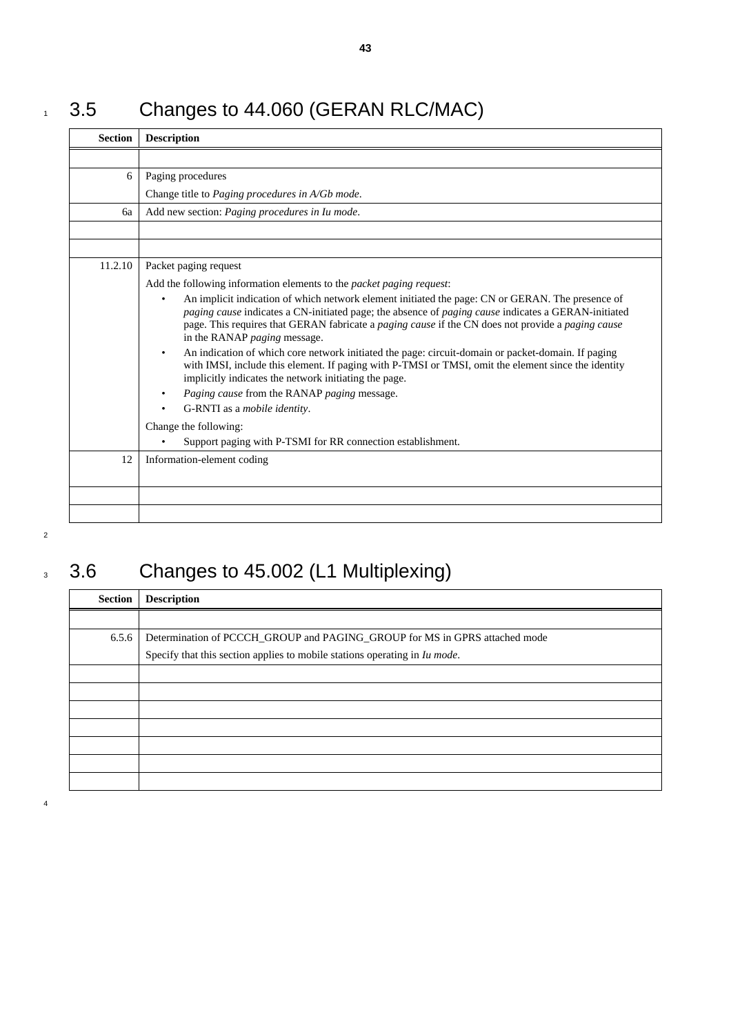# 1 3.5 Changes to 44.060 (GERAN RLC/MAC)

| <b>Section</b> | <b>Description</b>                                                                                                                                                                                                                                                                                                                                         |
|----------------|------------------------------------------------------------------------------------------------------------------------------------------------------------------------------------------------------------------------------------------------------------------------------------------------------------------------------------------------------------|
|                |                                                                                                                                                                                                                                                                                                                                                            |
| 6              | Paging procedures                                                                                                                                                                                                                                                                                                                                          |
|                | Change title to <i>Paging procedures in A/Gb mode</i> .                                                                                                                                                                                                                                                                                                    |
| ба             | Add new section: Paging procedures in Iu mode.                                                                                                                                                                                                                                                                                                             |
|                |                                                                                                                                                                                                                                                                                                                                                            |
| 11.2.10        | Packet paging request                                                                                                                                                                                                                                                                                                                                      |
|                |                                                                                                                                                                                                                                                                                                                                                            |
|                | Add the following information elements to the <i>packet paging request</i> :                                                                                                                                                                                                                                                                               |
|                | An implicit indication of which network element initiated the page: CN or GERAN. The presence of<br>paging cause indicates a CN-initiated page; the absence of paging cause indicates a GERAN-initiated<br>page. This requires that GERAN fabricate a <i>paging cause</i> if the CN does not provide a <i>paging cause</i><br>in the RANAP paging message. |
|                | An indication of which core network initiated the page: circuit-domain or packet-domain. If paging<br>$\bullet$<br>with IMSI, include this element. If paging with P-TMSI or TMSI, omit the element since the identity<br>implicitly indicates the network initiating the page.                                                                            |
|                | Paging cause from the RANAP paging message.                                                                                                                                                                                                                                                                                                                |
|                | G-RNTI as a <i>mobile identity</i> .                                                                                                                                                                                                                                                                                                                       |
|                | Change the following:                                                                                                                                                                                                                                                                                                                                      |
|                | Support paging with P-TSMI for RR connection establishment.                                                                                                                                                                                                                                                                                                |
| 12             | Information-element coding                                                                                                                                                                                                                                                                                                                                 |
|                |                                                                                                                                                                                                                                                                                                                                                            |
|                |                                                                                                                                                                                                                                                                                                                                                            |
|                |                                                                                                                                                                                                                                                                                                                                                            |

2

4

## 3 3.6 Changes to 45.002 (L1 Multiplexing)

| <b>Section</b> | <b>Description</b>                                                         |
|----------------|----------------------------------------------------------------------------|
|                |                                                                            |
| 6.5.6          | Determination of PCCCH_GROUP and PAGING_GROUP for MS in GPRS attached mode |
|                | Specify that this section applies to mobile stations operating in Iu mode. |
|                |                                                                            |
|                |                                                                            |
|                |                                                                            |
|                |                                                                            |
|                |                                                                            |
|                |                                                                            |
|                |                                                                            |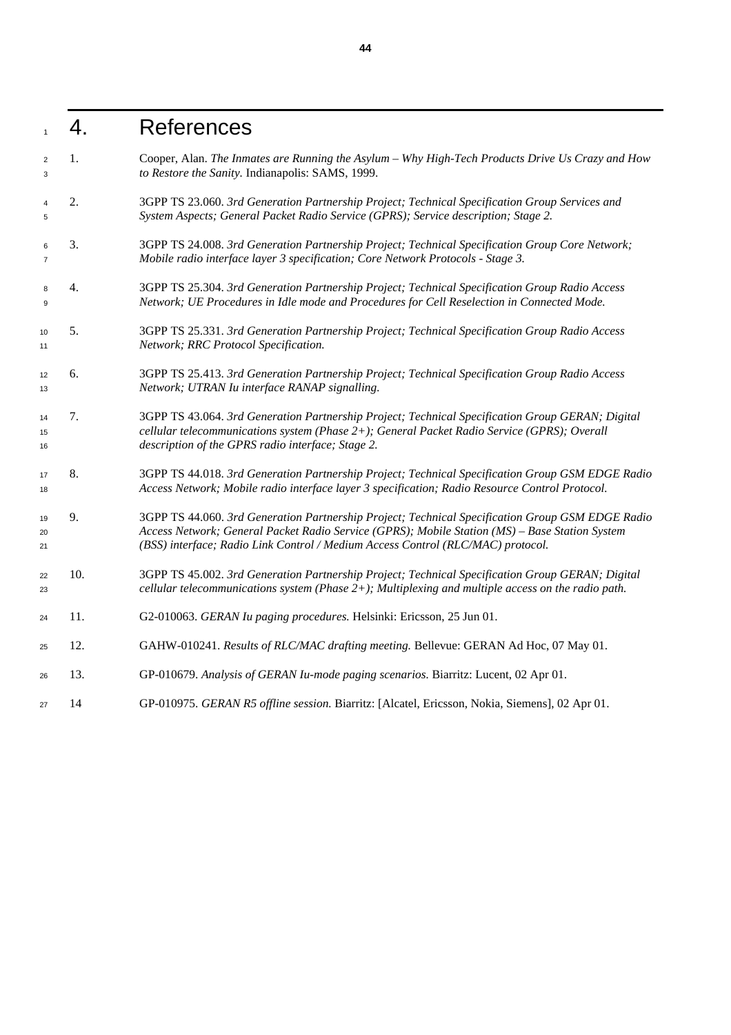### 4. References

 1. Cooper, Alan. *The Inmates are Running the Asylum – Why High-Tech Products Drive Us Crazy and How to Restore the Sanity.* Indianapolis: SAMS, 1999.

- 2. 3GPP TS 23.060. *3rd Generation Partnership Project; Technical Specification Group Services and System Aspects; General Packet Radio Service (GPRS); Service description; Stage 2.*
- 3. 3GPP TS 24.008. *3rd Generation Partnership Project; Technical Specification Group Core Network; Mobile radio interface layer 3 specification; Core Network Protocols - Stage 3.*
- 4. 3GPP TS 25.304. *3rd Generation Partnership Project; Technical Specification Group Radio Access Network; UE Procedures in Idle mode and Procedures for Cell Reselection in Connected Mode.*
- 5. 3GPP TS 25.331. *3rd Generation Partnership Project; Technical Specification Group Radio Access Network; RRC Protocol Specification.*
- 6. 3GPP TS 25.413. *3rd Generation Partnership Project; Technical Specification Group Radio Access Network; UTRAN Iu interface RANAP signalling.*
- 7. 3GPP TS 43.064. *3rd Generation Partnership Project; Technical Specification Group GERAN; Digital cellular telecommunications system (Phase 2+); General Packet Radio Service (GPRS); Overall description of the GPRS radio interface; Stage 2.*
- 8. 3GPP TS 44.018. *3rd Generation Partnership Project; Technical Specification Group GSM EDGE Radio Access Network; Mobile radio interface layer 3 specification; Radio Resource Control Protocol.*
- 9. 3GPP TS 44.060. *3rd Generation Partnership Project; Technical Specification Group GSM EDGE Radio Access Network; General Packet Radio Service (GPRS); Mobile Station (MS) – Base Station System (BSS) interface; Radio Link Control / Medium Access Control (RLC/MAC) protocol.*
- 10. 3GPP TS 45.002. *3rd Generation Partnership Project; Technical Specification Group GERAN; Digital cellular telecommunications system (Phase 2+); Multiplexing and multiple access on the radio path.*
- 11. G2-010063. *GERAN Iu paging procedures.* Helsinki: Ericsson, 25 Jun 01.
- 12. GAHW-010241. *Results of RLC/MAC drafting meeting.* Bellevue: GERAN Ad Hoc, 07 May 01.
- 13. GP-010679. *Analysis of GERAN Iu-mode paging scenarios.* Biarritz: Lucent, 02 Apr 01.
- 14 GP-010975. *GERAN R5 offline session.* Biarritz: [Alcatel, Ericsson, Nokia, Siemens], 02 Apr 01.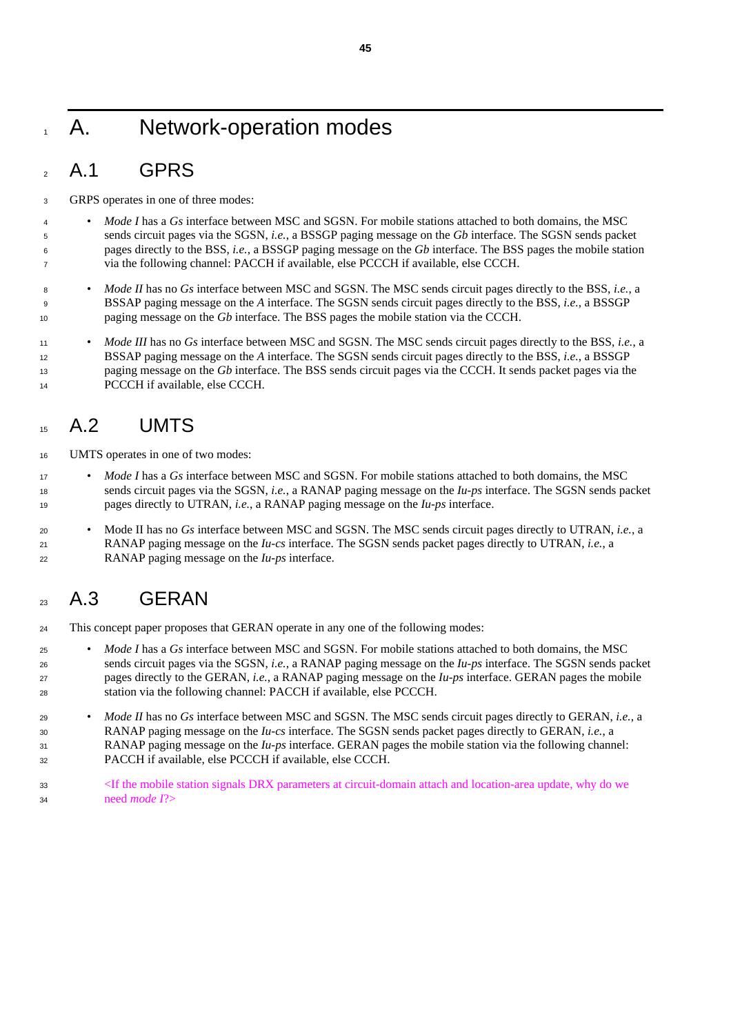## 1 A. Network-operation modes

### A.1 GPRS

GRPS operates in one of three modes:

- *Mode I* has a *Gs* interface between MSC and SGSN. For mobile stations attached to both domains, the MSC sends circuit pages via the SGSN, *i.e.*, a BSSGP paging message on the *Gb* interface. The SGSN sends packet pages directly to the BSS, *i.e.*, a BSSGP paging message on the *Gb* interface. The BSS pages the mobile station via the following channel: PACCH if available, else PCCCH if available, else CCCH.
- *Mode II* has no *Gs* interface between MSC and SGSN. The MSC sends circuit pages directly to the BSS, *i.e.*, a BSSAP paging message on the *A* interface. The SGSN sends circuit pages directly to the BSS, *i.e.*, a BSSGP paging message on the *Gb* interface. The BSS pages the mobile station via the CCCH.
- *Mode III* has no *Gs* interface between MSC and SGSN. The MSC sends circuit pages directly to the BSS, *i.e.*, a BSSAP paging message on the *A* interface. The SGSN sends circuit pages directly to the BSS, *i.e.*, a BSSGP paging message on the *Gb* interface. The BSS sends circuit pages via the CCCH. It sends packet pages via the PCCCH if available, else CCCH.

## 15 A.2 UMTS

- UMTS operates in one of two modes:
- <sup>17</sup> *Mode I* has a *Gs* interface between MSC and SGSN. For mobile stations attached to both domains, the MSC sends circuit pages via the SGSN, *i.e.*, a RANAP paging message on the *Iu-ps* interface. The SGSN sends packet pages directly to UTRAN, *i.e.*, a RANAP paging message on the *Iu-ps* interface.
- Mode II has no *Gs* interface between MSC and SGSN. The MSC sends circuit pages directly to UTRAN, *i.e.*, a RANAP paging message on the *Iu-cs* interface. The SGSN sends packet pages directly to UTRAN, *i.e.*, a RANAP paging message on the *Iu-ps* interface.

## GERAN

- This concept paper proposes that GERAN operate in any one of the following modes:
- <sup>25</sup> *Mode I* has a *Gs* interface between MSC and SGSN. For mobile stations attached to both domains, the MSC sends circuit pages via the SGSN, *i.e.*, a RANAP paging message on the *Iu-ps* interface. The SGSN sends packet pages directly to the GERAN, *i.e.*, a RANAP paging message on the *Iu-ps* interface. GERAN pages the mobile station via the following channel: PACCH if available, else PCCCH.
- *Mode II* has no *Gs* interface between MSC and SGSN. The MSC sends circuit pages directly to GERAN, *i.e.*, a RANAP paging message on the *Iu-cs* interface. The SGSN sends packet pages directly to GERAN, *i.e.*, a RANAP paging message on the *Iu-ps* interface. GERAN pages the mobile station via the following channel: PACCH if available, else PCCCH if available, else CCCH.
- 33 <If the mobile station signals DRX parameters at circuit-domain attach and location-area update, why do we need *mode I*?>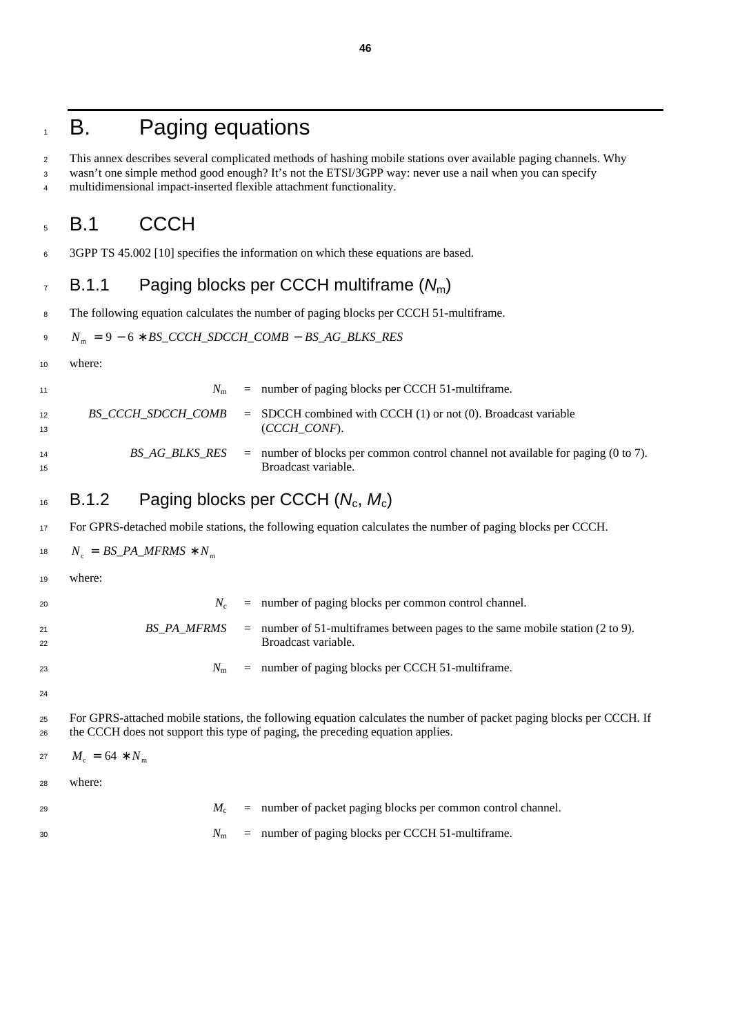## B. Paging equations

This annex describes several complicated methods of hashing mobile stations over available paging channels. Why

wasn't one simple method good enough? It's not the ETSI/3GPP way: never use a nail when you can specify

multidimensional impact-inserted flexible attachment functionality.

## B.1 CCCH

3GPP TS 45.002 [10] specifies the information on which these equations are based.

### B.1.1 Paging blocks per CCCH multiframe  $(N_m)$

The following equation calculates the number of paging blocks per CCCH 51-multiframe.

$$
N_{\rm m} = 9 - 6 * BS\_CCCH\_SDCCH\_COMB - BS\_AG\_BLKS\_RES
$$

where:

| 11       | $N_{\rm m}$        | $=$ number of paging blocks per CCCH 51-multiframe.                                                                         |
|----------|--------------------|-----------------------------------------------------------------------------------------------------------------------------|
| 12<br>13 | BS CCCH SDCCH COMB | $=$ SDCCH combined with CCCH (1) or not (0). Broadcast variable<br>(CCCH CONF).                                             |
| 14<br>15 |                    | $BS\_AG\_BLKS\_RES$ = number of blocks per common control channel not available for paging (0 to 7).<br>Broadcast variable. |

### 16 B.1.2 Paging blocks per CCCH ( $N_c$ ,  $M_c$ )

#### For GPRS-detached mobile stations, the following equation calculates the number of paging blocks per CCCH.

18  $N_c = BS\_PA\_MFRMS * N_m$ 

where:

 $N_c$  = number of paging blocks per common control channel. *BS PA MFRMS* = number of 51-multiframes between pages to the same mobile station (2 to 9). Broadcast variable.  $N_{\text{m}}$  = number of paging blocks per CCCH 51-multiframe.

 For GPRS-attached mobile stations, the following equation calculates the number of packet paging blocks per CCCH. If the CCCH does not support this type of paging, the preceding equation applies.

27  $M_c = 64 * N_m$ 

where:

 $M_c$  = number of packet paging blocks per common control channel.  $N_{\text{m}}$  = number of paging blocks per CCCH 51-multiframe.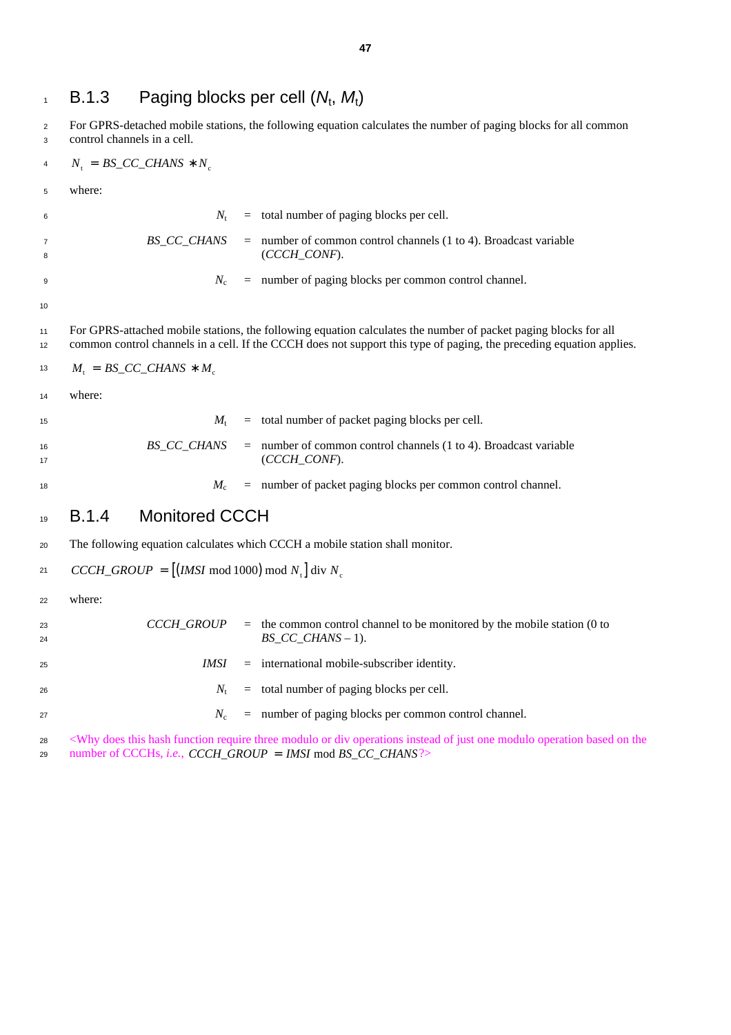## 1 B.1.3 Paging blocks per cell  $(N_t, M_t)$

 For GPRS-detached mobile stations, the following equation calculates the number of paging blocks for all common control channels in a cell.

4  $N_t = BS\_CC\_CHANS * N_c$ 

| 5        | where:                                                            |                                                                                                                                                                                                                                         |
|----------|-------------------------------------------------------------------|-----------------------------------------------------------------------------------------------------------------------------------------------------------------------------------------------------------------------------------------|
| 6        | $N_{\rm t}$                                                       | $=$ total number of paging blocks per cell.                                                                                                                                                                                             |
| 7<br>8   | BS_CC_CHANS                                                       | $=$ number of common control channels (1 to 4). Broadcast variable<br>(CCCH_CONF).                                                                                                                                                      |
| 9        | $N_c$                                                             | $=$ number of paging blocks per common control channel.                                                                                                                                                                                 |
| 10       |                                                                   |                                                                                                                                                                                                                                         |
| 11<br>12 |                                                                   | For GPRS-attached mobile stations, the following equation calculates the number of packet paging blocks for all<br>common control channels in a cell. If the CCCH does not support this type of paging, the preceding equation applies. |
| 13       | $M_t = BS\_CC\_CHANS * M_c$                                       |                                                                                                                                                                                                                                         |
| 14       | where:                                                            |                                                                                                                                                                                                                                         |
| 15       | $M_{\rm t}$                                                       | $=$ total number of packet paging blocks per cell.                                                                                                                                                                                      |
| 16<br>17 | BS_CC_CHANS                                                       | $=$ number of common control channels (1 to 4). Broadcast variable<br>(CCCH_CONF).                                                                                                                                                      |
| 18       | $M_{\rm c}$                                                       | $=$ number of packet paging blocks per common control channel.                                                                                                                                                                          |
| 19       | <b>Monitored CCCH</b><br><b>B.1.4</b>                             |                                                                                                                                                                                                                                         |
| 20       |                                                                   | The following equation calculates which CCCH a mobile station shall monitor.                                                                                                                                                            |
| 21       | $CCCH\_GROUP = [(IMSI \mod 1000) \mod N_{\rm t}]$ div $N_{\rm c}$ |                                                                                                                                                                                                                                         |
| 22       | where:                                                            |                                                                                                                                                                                                                                         |
| 23<br>24 | CCCH_GROUP                                                        | $=$ the common control channel to be monitored by the mobile station (0 to<br>$BS\_CC\_CHANS - 1$ ).                                                                                                                                    |
| 25       | IMSI                                                              | $=$ international mobile-subscriber identity.                                                                                                                                                                                           |
| 26       | $N_{\rm t}$                                                       | $=$ total number of paging blocks per cell.                                                                                                                                                                                             |
| 27       | $N_c$                                                             | $=$ number of paging blocks per common control channel.                                                                                                                                                                                 |
| 28       |                                                                   | <why based="" div="" does="" function="" hash="" instead="" just="" modulo="" of="" on="" one="" operation="" operations="" or="" require="" td="" the<="" this="" three=""></why>                                                      |

29 number of CCCHs, *i.e.*, *CCCH\_GROUP* = *IMSI* mod *BS\_CC\_CHANS* ?>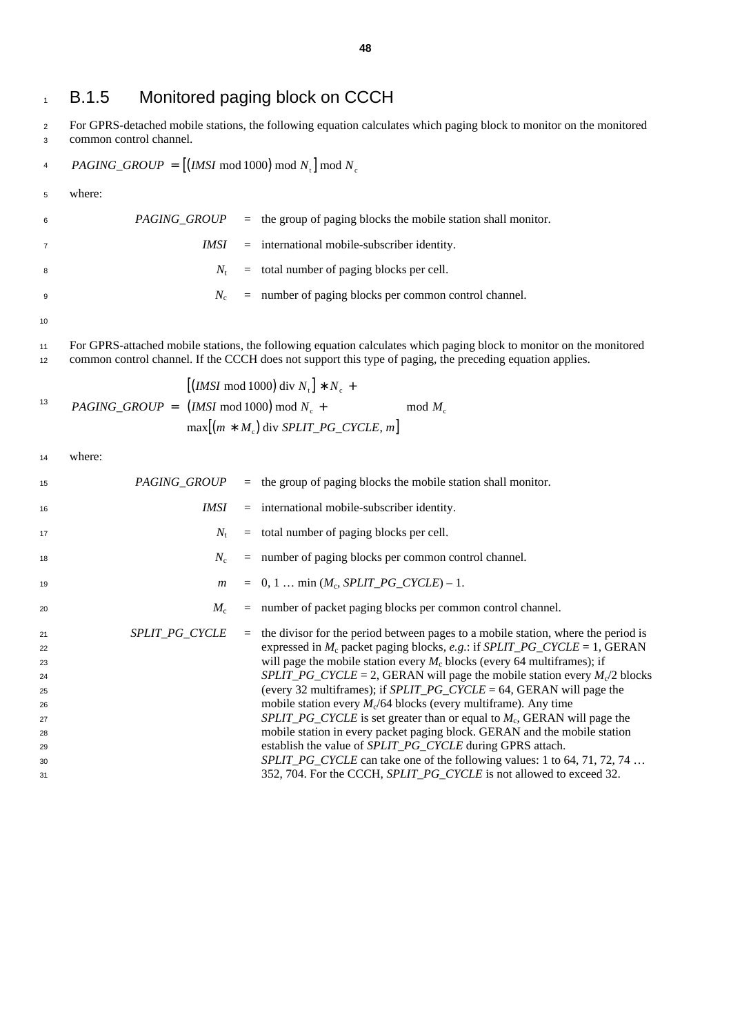### 1 B.1.5 Monitored paging block on CCCH

<sup>2</sup> For GPRS-detached mobile stations, the following equation calculates which paging block to monitor on the monitored <sup>3</sup> common control channel.

*PAGING\_GROUP* =  $[(IMSI \mod 1000) \mod N_{\text{t}}] \mod N_{\text{c}}$ 

<sup>5</sup> where:

| 6  |       | $PAGING_GROUP$ = the group of paging blocks the mobile station shall monitor. |
|----|-------|-------------------------------------------------------------------------------|
|    | IMSI  | $=$ international mobile-subscriber identity.                                 |
| -8 |       | $N_t$ = total number of paging blocks per cell.                               |
| -9 | $N_c$ | $=$ number of paging blocks per common control channel.                       |

10

<sup>11</sup> For GPRS-attached mobile stations, the following equation calculates which paging block to monitor on the monitored 12 common control channel. If the CCCH does not support this type of paging, the preceding equation applies.

$$
PAGING\_GROUP = \begin{pmatrix} [(IMSI \mod 1000) \text{ div } N_{\rm t}] * N_{\rm c} + \\ (IMSI \mod 1000) \mod N_{\rm c} + \\ \max[(m * M_{\rm c}) \text{ div } SPLIT\_PG\_CYCLE, m] \end{pmatrix} \mod M_{\rm c}
$$

<sup>14</sup> where:

| 15       |                | $PAGING\_GROUP$ = the group of paging blocks the mobile station shall monitor.                                                                                       |
|----------|----------------|----------------------------------------------------------------------------------------------------------------------------------------------------------------------|
| 16       | IMSI           | $=$ international mobile-subscriber identity.                                                                                                                        |
| 17       | $N_{\rm t}$    | $=$ total number of paging blocks per cell.                                                                                                                          |
| 18       | $N_c$          | $=$ number of paging blocks per common control channel.                                                                                                              |
| 19       | $\mathfrak{m}$ | $= 0, 1, \ldots \min (M_c, SPLIT_P G_CYCLE) - 1.$                                                                                                                    |
| 20       | $M_c$          | $=$ number of packet paging blocks per common control channel.                                                                                                       |
| 21<br>22 | SPLIT_PG_CYCLE | $=$ the divisor for the period between pages to a mobile station, where the period is<br>expressed in $M_c$ packet paging blocks, e.g.: if SPLIT_PG_CYCLE = 1, GERAN |
| 23       |                | will page the mobile station every $M_c$ blocks (every 64 multiframes); if                                                                                           |
| 24       |                | SPLIT_PG_CYCLE = 2, GERAN will page the mobile station every $M_{\rm c}/2$ blocks                                                                                    |
| 25       |                | (every 32 multiframes); if $SPLIT\_PG\_CYCLE = 64$ , GERAN will page the                                                                                             |
| 26       |                | mobile station every $M_c/64$ blocks (every multiframe). Any time                                                                                                    |
| 27       |                | SPLIT_PG_CYCLE is set greater than or equal to $M_c$ , GERAN will page the                                                                                           |
| 28       |                | mobile station in every packet paging block. GERAN and the mobile station                                                                                            |
| 29       |                | establish the value of <i>SPLIT_PG_CYCLE</i> during GPRS attach.                                                                                                     |
| 30       |                | SPLIT_PG_CYCLE can take one of the following values: 1 to 64, 71, 72, 74                                                                                             |
| 31       |                | 352, 704. For the CCCH, SPLIT_PG_CYCLE is not allowed to exceed 32.                                                                                                  |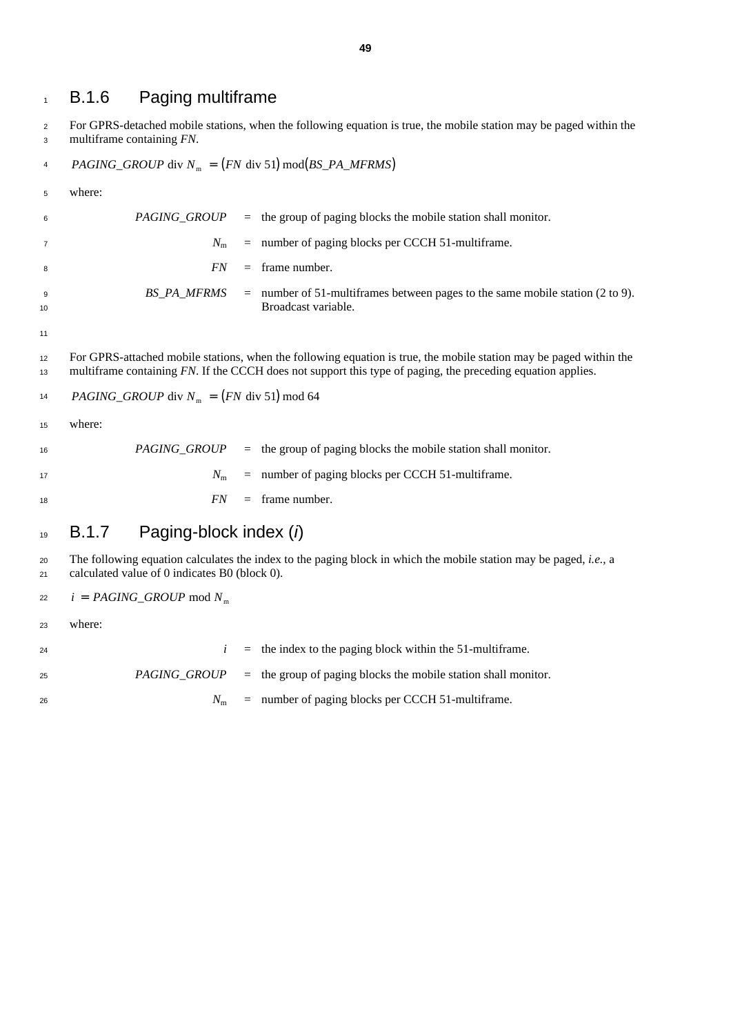## B.1.6 Paging multiframe

 For GPRS-detached mobile stations, when the following equation is true, the mobile station may be paged within the multiframe containing *FN*.

$$
4 \qquad PAGING\_GROUP \text{ div } N_{\text{m}} = (FN \text{ div } 51) \text{ mod}(BS\_PA\_MFRMS)
$$

| 5        | where:                                            |     |                                                                                                                                                                                                                                   |  |  |
|----------|---------------------------------------------------|-----|-----------------------------------------------------------------------------------------------------------------------------------------------------------------------------------------------------------------------------------|--|--|
| 6        | PAGING_GROUP                                      |     | $=$ the group of paging blocks the mobile station shall monitor.                                                                                                                                                                  |  |  |
| 7        | $N_{\rm m}$                                       | $=$ | number of paging blocks per CCCH 51-multiframe.                                                                                                                                                                                   |  |  |
| 8        | <i>FN</i>                                         |     | $=$ frame number.                                                                                                                                                                                                                 |  |  |
| 9<br>10  | BS_PA_MFRMS                                       |     | $=$ number of 51-multiframes between pages to the same mobile station (2 to 9).<br>Broadcast variable.                                                                                                                            |  |  |
| 11       |                                                   |     |                                                                                                                                                                                                                                   |  |  |
| 12<br>13 |                                                   |     | For GPRS-attached mobile stations, when the following equation is true, the mobile station may be paged within the<br>multiframe containing FN. If the CCCH does not support this type of paging, the preceding equation applies. |  |  |
| 14       | <i>PAGING_GROUP</i> div $Nm = (FN$ div 51) mod 64 |     |                                                                                                                                                                                                                                   |  |  |
| 15       | where:                                            |     |                                                                                                                                                                                                                                   |  |  |
| 16       | PAGING_GROUP                                      |     | $=$ the group of paging blocks the mobile station shall monitor.                                                                                                                                                                  |  |  |
| 17       | $N_{\rm m}$                                       |     | $=$ number of paging blocks per CCCH 51-multiframe.                                                                                                                                                                               |  |  |
| 18       | <i>FN</i>                                         |     | $=$ frame number.                                                                                                                                                                                                                 |  |  |
| 19       | <b>B.1.7</b><br>Paging-block index (i)            |     |                                                                                                                                                                                                                                   |  |  |
| 20<br>21 | calculated value of 0 indicates B0 (block 0).     |     | The following equation calculates the index to the paging block in which the mobile station may be paged, <i>i.e.</i> , a                                                                                                         |  |  |
| 22       | $i = PAGING\_GROUP \mod N_{m}$                    |     |                                                                                                                                                                                                                                   |  |  |
| 23       | where:                                            |     |                                                                                                                                                                                                                                   |  |  |
| 24       | i                                                 |     | $=$ the index to the paging block within the 51-multiframe.                                                                                                                                                                       |  |  |

| <i>PAGING GROUP</i><br>25 |  | $=$ the group of paging blocks the mobile station shall monitor. |
|---------------------------|--|------------------------------------------------------------------|
|---------------------------|--|------------------------------------------------------------------|

- 
- $N_{\text{m}}$  = number of paging blocks per CCCH 51-multiframe.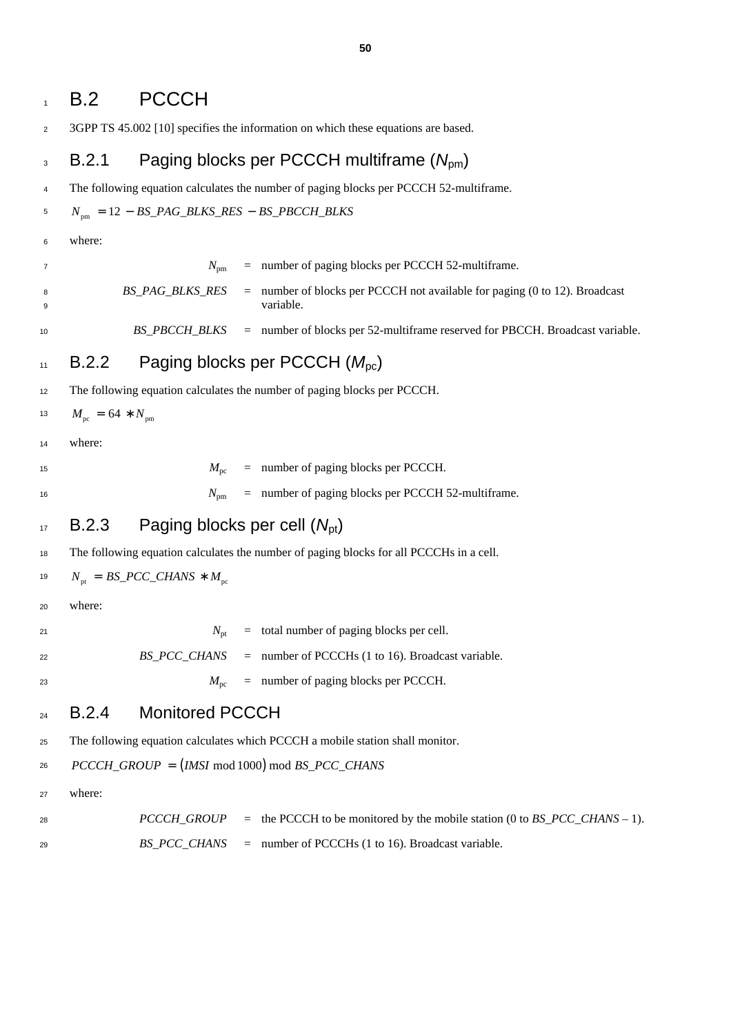| $\mathbf{1}$            | B.2                            | <b>PCCCH</b>                                                                            |                                                                                |
|-------------------------|--------------------------------|-----------------------------------------------------------------------------------------|--------------------------------------------------------------------------------|
| $\overline{\mathbf{c}}$ |                                | 3GPP TS 45.002 [10] specifies the information on which these equations are based.       |                                                                                |
| 3                       | B.2.1                          | Paging blocks per PCCCH multiframe $(N_{pm})$                                           |                                                                                |
| 4                       |                                | The following equation calculates the number of paging blocks per PCCCH 52-multiframe.  |                                                                                |
| 5                       |                                | $N_{\text{pm}} = 12 - BS\_PAG\_BLKS\_RES - BS\_PBCCH\_BLKS$                             |                                                                                |
| 6                       | where:                         |                                                                                         |                                                                                |
| 7                       |                                | $N_{\rm pm}$                                                                            | $=$ number of paging blocks per PCCCH 52-multiframe.                           |
| 8<br>9                  |                                | BS_PAG_BLKS_RES<br>variable.                                                            | $=$ number of blocks per PCCCH not available for paging (0 to 12). Broadcast   |
| 10                      |                                | BS_PBCCH_BLKS                                                                           | $=$ number of blocks per 52-multiframe reserved for PBCCH. Broadcast variable. |
| 11                      | B.2.2                          | Paging blocks per PCCCH $(M_{\text{pc}})$                                               |                                                                                |
| 12                      |                                | The following equation calculates the number of paging blocks per PCCCH.                |                                                                                |
| 13                      | $M_{\rm pc} = 64 * N_{\rm pm}$ |                                                                                         |                                                                                |
| 14                      | where:                         |                                                                                         |                                                                                |
| 15                      |                                | $=$ number of paging blocks per PCCCH.<br>$M_{\rm pc}$                                  |                                                                                |
| 16                      |                                | $N_{\rm pm}$                                                                            | $=$ number of paging blocks per PCCCH 52-multiframe.                           |
| 17                      | <b>B.2.3</b>                   | Paging blocks per cell $(N_{pt})$                                                       |                                                                                |
| 18                      |                                | The following equation calculates the number of paging blocks for all PCCCHs in a cell. |                                                                                |
| 19                      |                                | $N_{\text{pt}} = BS\_PCC\_CHANS * M_{\text{pc}}$                                        |                                                                                |
| 20                      | where:                         |                                                                                         |                                                                                |
| 21                      |                                | = total number of paging blocks per cell.<br>$N_{\rm pt}$                               |                                                                                |
| 22                      |                                | BS_PCC_CHANS                                                                            | $=$ number of PCCCHs (1 to 16). Broadcast variable.                            |
| 23                      |                                | $=$ number of paging blocks per PCCCH.<br>$M_{\rm pc}$                                  |                                                                                |
| 24                      | <b>B.2.4</b>                   | <b>Monitored PCCCH</b>                                                                  |                                                                                |
| 25                      |                                | The following equation calculates which PCCCH a mobile station shall monitor.           |                                                                                |
| 26                      |                                | $PCCCH\_GROUP = (IMSI \text{ mod } 1000) \text{ mod } BS\_PCC\_CHANS$                   |                                                                                |
| 27                      | where:                         |                                                                                         |                                                                                |
| 28                      |                                | PCCCH_GROUP                                                                             | $=$ the PCCCH to be monitored by the mobile station (0 to BS_PCC_CHANS – 1).   |
| 29                      |                                | BS_PCC_CHANS                                                                            | $=$ number of PCCCHs (1 to 16). Broadcast variable.                            |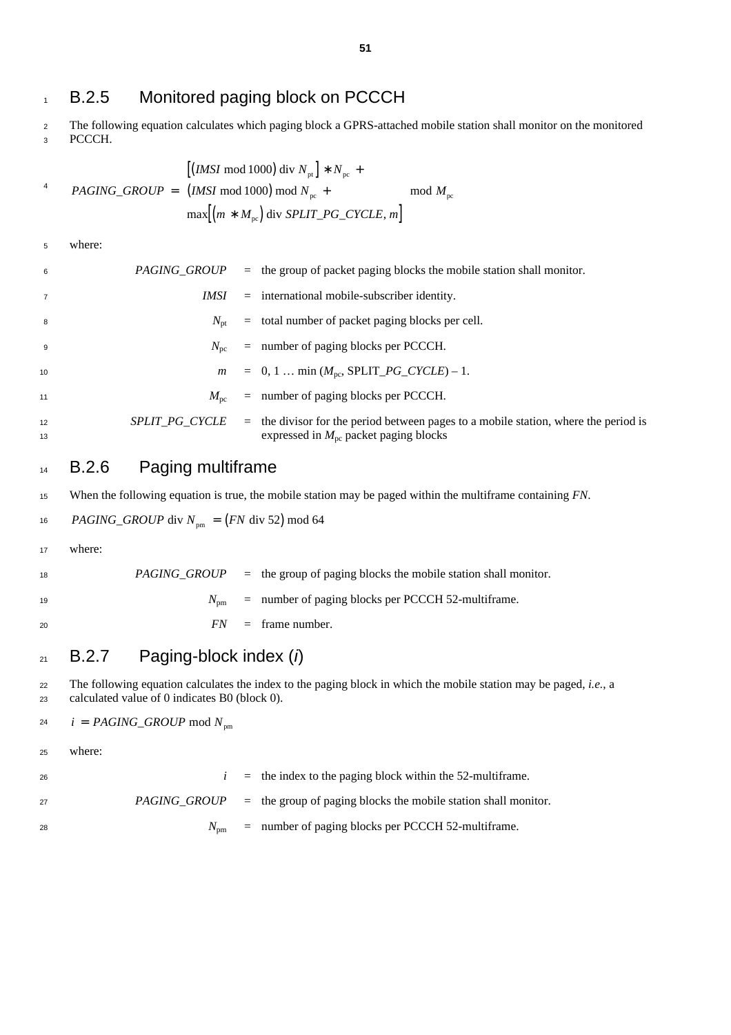### 1 B.2.5 Monitored paging block on PCCCH

<sup>2</sup> The following equation calculates which paging block a GPRS-attached mobile station shall monitor on the monitored <sup>3</sup> PCCCH.

<sup>4</sup> 
$$
PAGING\_GROUP = \begin{pmatrix} [(IMSI \text{ mod } 1000) \text{ div } N_{pt}] * N_{pc} + \\ (IMSI \text{ mod } 1000) \text{ mod } N_{pc} + \\ \max[(m * M_{pc}) \text{ div } SPLIT\_PG\_CYCLE, m] \end{pmatrix} \text{mod } M_{pc}
$$

<sup>5</sup> where:

| 6              |              | $PAGING\_GROUP$ = the group of packet paging blocks the mobile station shall monitor.                                                                       |
|----------------|--------------|-------------------------------------------------------------------------------------------------------------------------------------------------------------|
| $\overline{7}$ | IMSI         | $=$ international mobile-subscriber identity.                                                                                                               |
| 8              | $N_{\rm pt}$ | $=$ total number of packet paging blocks per cell.                                                                                                          |
| 9              | $N_{\rm nc}$ | $=$ number of paging blocks per PCCCH.                                                                                                                      |
| 10             |              | $m = 0, 1  min (M_{\text{pc}}, \text{SPLIT}_{\text{p}} G_{\text{p}} C Y C L E) - 1.$                                                                        |
| 11             | $M_{\rm nc}$ | $=$ number of paging blocks per PCCCH.                                                                                                                      |
| 12<br>13       |              | $SPLIT\_PG\_CYCLE$ = the divisor for the period between pages to a mobile station, where the period is<br>expressed in $M_{\text{pc}}$ packet paging blocks |

#### 14 B.2.6 Paging multiframe

<sup>15</sup> When the following equation is true, the mobile station may be paged within the multiframe containing *FN*.

<sup>16</sup> *PAGING\_GROUP* div  $N_{pm} = (FN \text{ div } 52) \text{ mod } 64$ 

<sup>17</sup> where:

| 18 |  | $PAGING_GROUP$ = the group of paging blocks the mobile station shall monitor. |
|----|--|-------------------------------------------------------------------------------|
| 19 |  | $N_{\text{pm}}$ = number of paging blocks per PCCCH 52-multiframe.            |
| 20 |  | $FN = \text{frame number.}$                                                   |

### <sup>21</sup> B.2.7 Paging-block index (*i*)

<sup>22</sup> The following equation calculates the index to the paging block in which the mobile station may be paged, *i.e.*, a <sup>23</sup> calculated value of 0 indicates B0 (block 0).

$$
i = PAGING\_GROUP \bmod N_{pm}
$$

<sup>25</sup> where:

| 26 |  | $i =$ the index to the paging block within the 52-multiframe.                        |
|----|--|--------------------------------------------------------------------------------------|
| 27 |  | <i>PAGING GROUP</i> $=$ the group of paging blocks the mobile station shall monitor. |
| 28 |  | $N_{\text{pm}}$ = number of paging blocks per PCCCH 52-multiframe.                   |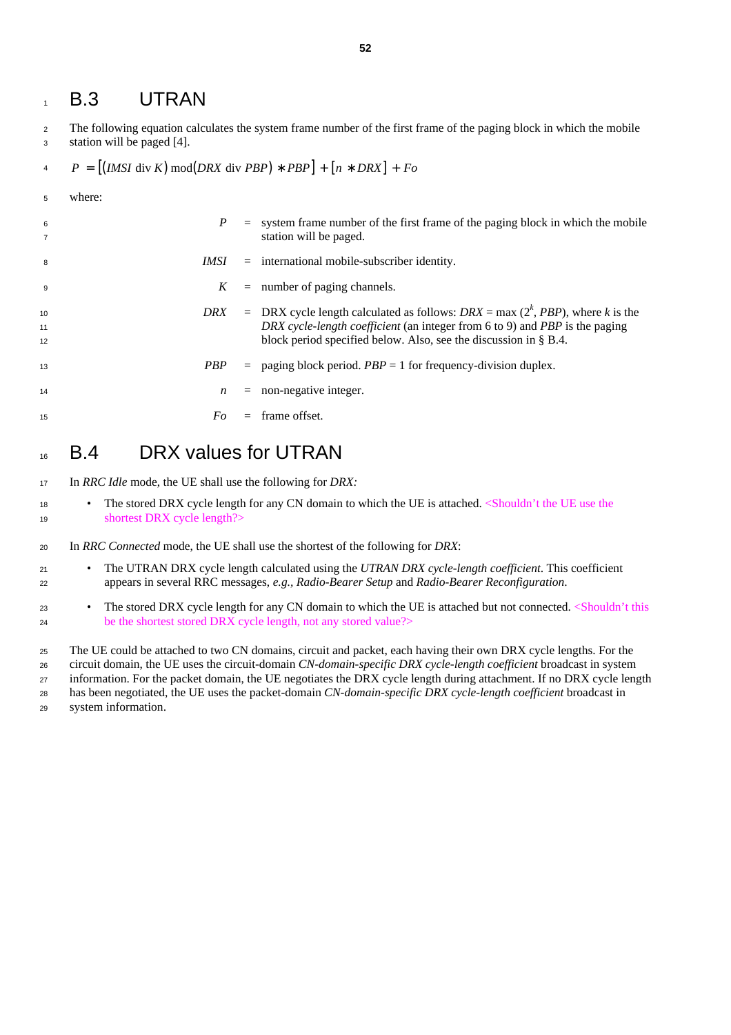### B.3 UTRAN

 The following equation calculates the system frame number of the first frame of the paging block in which the mobile station will be paged [4].

$$
P = [(IMSI \text{ div } K) \text{ mod}(DRX \text{ div } PBP) * PBP] + [n * DRX] + Fo
$$

where:

| 6<br>$\overline{7}$ | P                |          | $=$ system frame number of the first frame of the paging block in which the mobile<br>station will be paged.                                                                                                                            |
|---------------------|------------------|----------|-----------------------------------------------------------------------------------------------------------------------------------------------------------------------------------------------------------------------------------------|
| 8                   | IMSI             |          | $=$ international mobile-subscriber identity.                                                                                                                                                                                           |
| 9                   | K                |          | $=$ number of paging channels.                                                                                                                                                                                                          |
| 10<br>11<br>12      | DRX              |          | = DRX cycle length calculated as follows: DRX = max $(2^k, PBP)$ , where k is the<br>DRX cycle-length coefficient (an integer from 6 to 9) and PBP is the paging<br>block period specified below. Also, see the discussion in $\S$ B.4. |
| 13                  | PBP              |          | $=$ paging block period. $PBP = 1$ for frequency-division duplex.                                                                                                                                                                       |
| 14                  | $\boldsymbol{n}$ | $\equiv$ | non-negative integer.                                                                                                                                                                                                                   |
| 15                  | Fo               | $=$      | frame offset.                                                                                                                                                                                                                           |

### 16 B.4 DRX values for UTRAN

In *RRC Idle* mode, the UE shall use the following for *DRX:*

- <sup>18</sup> The stored DRX cycle length for any CN domain to which the UE is attached. <Shouldn't the UE use the 19 shortest DRX cycle length?>
- In *RRC Connected* mode, the UE shall use the shortest of the following for *DRX*:
- The UTRAN DRX cycle length calculated using the *UTRAN DRX cycle-length coefficient*. This coefficient appears in several RRC messages, *e.g., Radio-Bearer Setup* and *Radio-Bearer Reconfiguration*.
- <sup>23</sup> The stored DRX cycle length for any CN domain to which the UE is attached but not connected. <Shouldn't this 24 be the shortest stored DRX cycle length, not any stored value?

 The UE could be attached to two CN domains, circuit and packet, each having their own DRX cycle lengths. For the circuit domain, the UE uses the circuit-domain *CN-domain-specific DRX cycle-length coefficient* broadcast in system

information. For the packet domain, the UE negotiates the DRX cycle length during attachment. If no DRX cycle length

has been negotiated, the UE uses the packet-domain *CN-domain-specific DRX cycle-length coefficient* broadcast in

system information.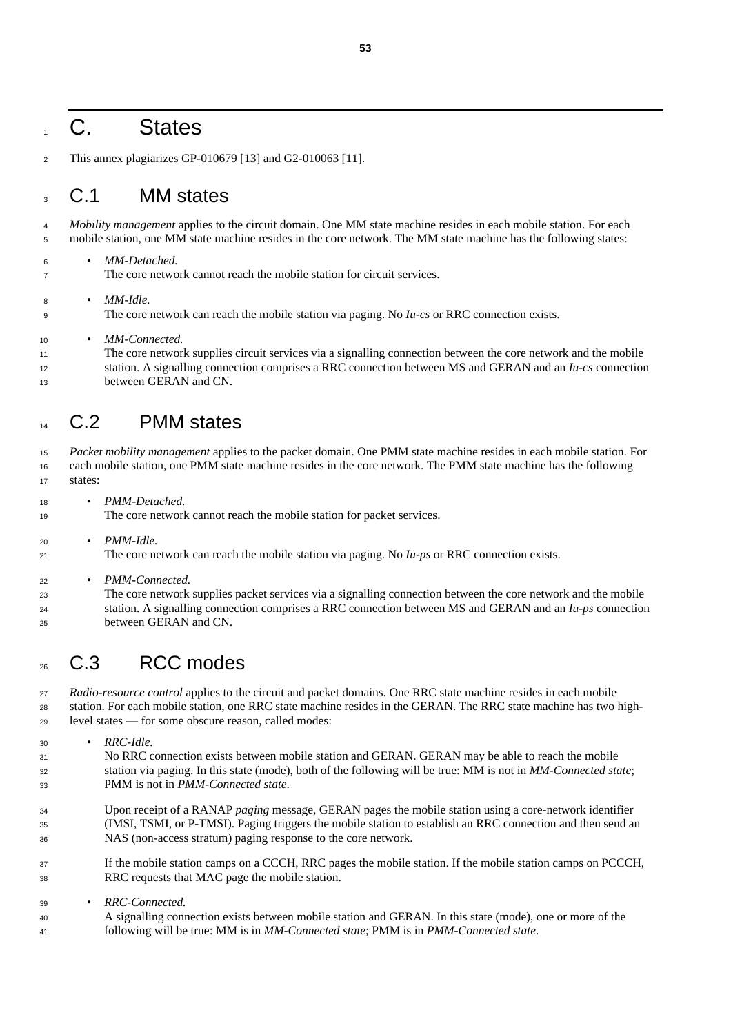## C. States

This annex plagiarizes GP-010679 [13] and G2-010063 [11].

### C.1 MM states

 *Mobility management* applies to the circuit domain. One MM state machine resides in each mobile station. For each mobile station, one MM state machine resides in the core network. The MM state machine has the following states:

• *MM-Detached.*

The core network cannot reach the mobile station for circuit services.

• *MM-Idle.*

The core network can reach the mobile station via paging. No *Iu-cs* or RRC connection exists.

• *MM-Connected.*

 The core network supplies circuit services via a signalling connection between the core network and the mobile station. A signalling connection comprises a RRC connection between MS and GERAN and an *Iu-cs* connection between GERAN and CN.

### <sup>14</sup> C.2 PMM states

 *Packet mobility management* applies to the packet domain. One PMM state machine resides in each mobile station. For each mobile station, one PMM state machine resides in the core network. The PMM state machine has the following states:

- *PMM-Detached.* The core network cannot reach the mobile station for packet services.
- *PMM-Idle.*

The core network can reach the mobile station via paging. No *Iu-ps* or RRC connection exists.

• *PMM-Connected.*

 The core network supplies packet services via a signalling connection between the core network and the mobile station. A signalling connection comprises a RRC connection between MS and GERAN and an *Iu-ps* connection between GERAN and CN.

## 26 C.3 RCC modes

 *Radio-resource control* applies to the circuit and packet domains. One RRC state machine resides in each mobile station. For each mobile station, one RRC state machine resides in the GERAN. The RRC state machine has two high-level states — for some obscure reason, called modes:

• *RRC-Idle.*

 No RRC connection exists between mobile station and GERAN. GERAN may be able to reach the mobile station via paging. In this state (mode), both of the following will be true: MM is not in *MM-Connected state*; PMM is not in *PMM-Connected state*.

- Upon receipt of a RANAP *paging* message, GERAN pages the mobile station using a core-network identifier (IMSI, TSMI, or P-TMSI). Paging triggers the mobile station to establish an RRC connection and then send an NAS (non-access stratum) paging response to the core network.
- If the mobile station camps on a CCCH, RRC pages the mobile station. If the mobile station camps on PCCCH, RRC requests that MAC page the mobile station.

• *RRC-Connected.*

 A signalling connection exists between mobile station and GERAN. In this state (mode), one or more of the following will be true: MM is in *MM-Connected state*; PMM is in *PMM-Connected state*.